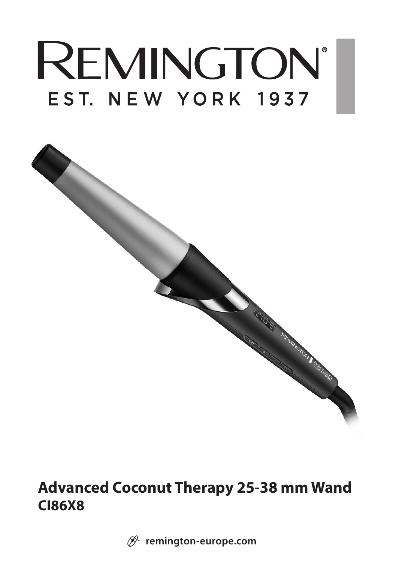# **REMINGTON** EST. NEW YORK 1937

# **Advanced Coconut Therapy 25-38 mm Wand CI86X8**

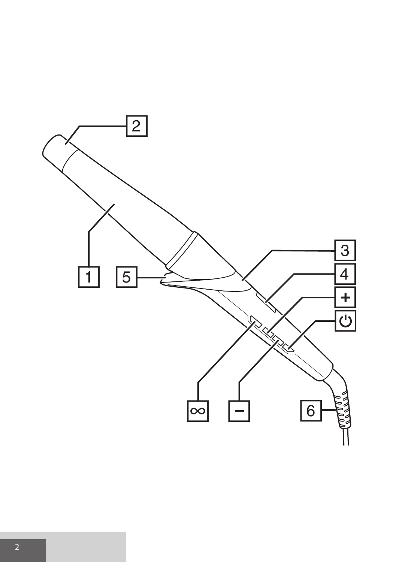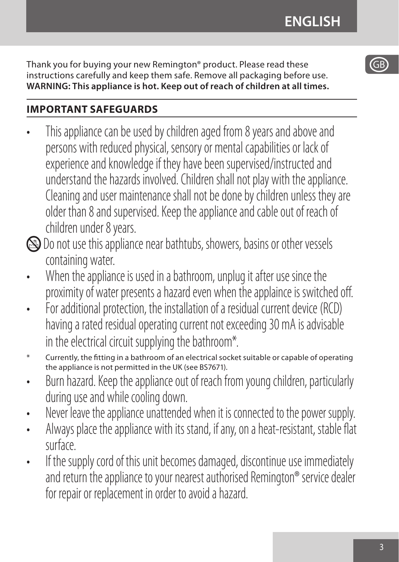GB

Thank you for buying your new Remington® product. Please read these instructions carefully and keep them safe. Remove all packaging before use. **WARNING: This appliance is hot. Keep out of reach of children at all times.**

# **IMPORTANT SAFEGUARDS**

- This appliance can be used by children aged from 8 years and above and persons with reduced physical, sensory or mental capabilities or lack of experience and knowledge if they have been supervised/instructed and understand the hazards involved. Children shall not play with the appliance. Cleaning and user maintenance shall not be done by children unless they are older than 8 and supervised. Keep the appliance and cable out of reach of children under 8 years.
- **EX** Do not use this appliance near bathtubs, showers, basins or other vessels containing water.
- When the appliance is used in a bathroom, unplug it after use since the proximity of water presents a hazard even when the applaince is switched off.
- For additional protection, the installation of a residual current device (RCD) having a rated residual operating current not exceeding 30 mA is advisable in the electrical circuit supplying the bathroom\*.
- Currently, the fitting in a bathroom of an electrical socket suitable or capable of operating the appliance is not permitted in the UK (see BS7671).
- Burn hazard. Keep the appliance out of reach from young children, particularly during use and while cooling down.
- Never leave the appliance unattended when it is connected to the power supply.
- Always place the appliance with its stand, if any, on a heat-resistant, stable flat surface.
- If the supply cord of this unit becomes damaged, discontinue use immediately and return the appliance to your nearest authorised Remington® service dealer for repair or replacement in order to avoid a hazard.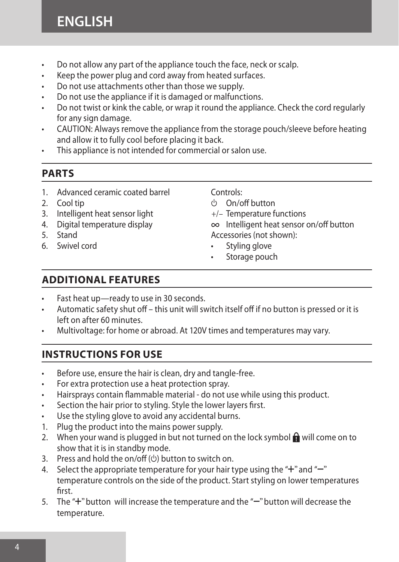- Do not allow any part of the appliance touch the face, neck or scalp.
- Keep the power plug and cord away from heated surfaces.
- Do not use attachments other than those we supply.
- Do not use the appliance if it is damaged or malfunctions.
- Do not twist or kink the cable, or wrap it round the appliance. Check the cord regularly for any sign damage.
- CAUTION: Always remove the appliance from the storage pouch/sleeve before heating and allow it to fully cool before placing it back.
- This appliance is not intended for commercial or salon use.

# **PARTS**

- 1. Advanced ceramic coated barrel
- 2. Cool tin
- 3. Intelligent heat sensor light
- 4. Digital temperature display
- 5. Stand
- 6. Swivel cord

Controls:

- $(h)$  On/off button
- +/– Temperature functions
- ∞ Intelligent heat sensor on/off button Accessories (not shown):
- Styling glove
- Storage pouch

# **ADDITIONAL FEATURES**

- Fast heat up—ready to use in 30 seconds.
- Automatic safety shut off this unit will switch itself off if no button is pressed or it is left on after 60 minutes.
- Multivoltage: for home or abroad. At 120V times and temperatures may vary.

# **INSTRUCTIONS FOR USE**

- Before use, ensure the hair is clean, dry and tangle-free.
- For extra protection use a heat protection spray.
- Hairsprays contain flammable material do not use while using this product.
- Section the hair prior to styling. Style the lower layers first.
- Use the styling glove to avoid any accidental burns.
- 1. Plug the product into the mains power supply.
- 2. When your wand is plugged in but not turned on the lock symbol  $\bigoplus$  will come on to show that it is in standby mode.
- 3. Press and hold the on/off  $($ c $)$ ) button to switch on.
- 4. Select the appropriate temperature for your hair type using the "+" and "-" temperature controls on the side of the product. Start styling on lower temperatures first.
- 5. The "+" button will increase the temperature and the "-" button will decrease the temperature.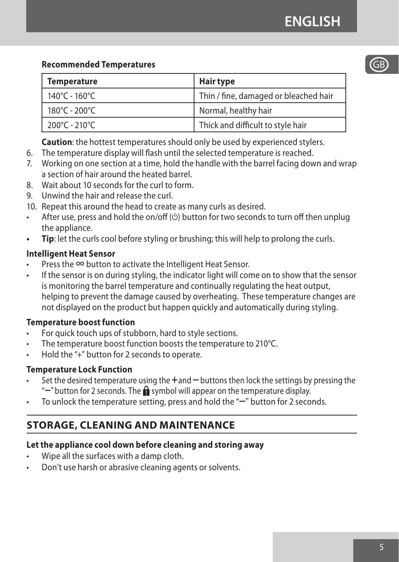GB

#### **Recommended Temperatures**

| Temperature   | <b>Hair type</b>                      |
|---------------|---------------------------------------|
| 140°C - 160°C | Thin / fine, damaged or bleached hair |
| 180°C - 200°C | Normal, healthy hair                  |
| 200°C - 210°C | Thick and difficult to style hair     |

**Caution**: the hottest temperatures should only be used by experienced stylers.

- 6. The temperature display will flash until the selected temperature is reached.
- 7. Working on one section at a time, hold the handle with the barrel facing down and wrap a section of hair around the heated barrel.
- 8. Wait about 10 seconds for the curl to form.
- 9. Unwind the hair and release the curl.
- 10. Repeat this around the head to create as many curls as desired.
- After use, press and hold the on/off  $(\circlearrowright)$  button for two seconds to turn off then unplug the appliance.
- **• Tip**: let the curls cool before styling or brushing; this will help to prolong the curls.

#### **Intelligent Heat Sensor**

- Press the ∞ button to activate the Intelligent Heat Sensor.
- If the sensor is on during styling, the indicator light will come on to show that the sensor is monitoring the barrel temperature and continually regulating the heat output, helping to prevent the damage caused by overheating. These temperature changes are not displayed on the product but happen quickly and automatically during styling.

#### **Temperature boost function**

- For quick touch ups of stubborn, hard to style sections.
- The temperature boost function boosts the temperature to 210°C.
- Hold the "+" button for 2 seconds to operate.

#### **Temperature Lock Function**

- Set the desired temperature using the  $+$  and  $-$  buttons then lock the settings by pressing the " $-$ "button for 2 seconds. The  $\mathbf{\hat{m}}$  symbol will appear on the temperature display.
- To unlock the temperature setting, press and hold the "-" button for 2 seconds.

# **STORAGE, CLEANING AND MAINTENANCE**

#### **Let the appliance cool down before cleaning and storing away**

- Wipe all the surfaces with a damp cloth.
- Don't use harsh or abrasive cleaning agents or solvents.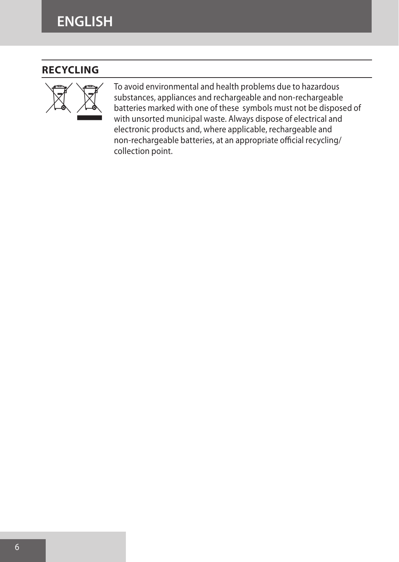# **RECYCLING**



To avoid environmental and health problems due to hazardous<br>substances, appliances and rechargeable and non-rechargeable<br>batteries marked with one of these symbols must not be dispos-<br>with unsorted municipal waste. Always substances, appliances and rechargeable and non-rechargeable batteries marked with one of these symbols must not be disposed of with unsorted municipal waste. Always dispose of electrical and electronic products and, where applicable, rechargeable and non-rechargeable batteries, at an appropriate official recycling/ collection point.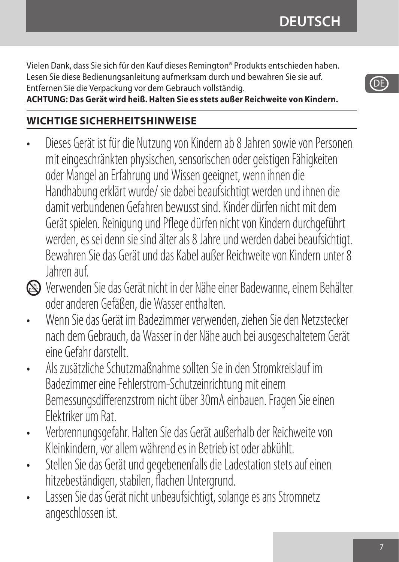Vielen Dank, dass Sie sich für den Kauf dieses Remington® Produkts entschieden haben. Lesen Sie diese Bedienungsanleitung aufmerksam durch und bewahren Sie sie auf. Entfernen Sie die Verpackung vor dem Gebrauch vollständig. **ACHTUNG: Das Gerät wird heiß. Halten Sie es stets außer Reichweite von Kindern.**



# **WICHTIGE SICHERHEITSHINWEISE**

- Dieses Gerät ist für die Nutzung von Kindern ab 8 Jahren sowie von Personen mit eingeschränkten physischen, sensorischen oder geistigen Fähigkeiten oder Mangel an Erfahrung und Wissen geeignet, wenn ihnen die Handhabung erklärt wurde/ sie dabei beaufsichtigt werden und ihnen die damit verbundenen Gefahren bewusst sind. Kinder dürfen nicht mit dem Gerät spielen. Reinigung und Pflege dürfen nicht von Kindern durchgeführt werden, es sei denn sie sind älter als 8 Jahre und werden dabei beaufsichtigt. Bewahren Sie das Gerät und das Kabel außer Reichweite von Kindern unter 8 Jahren auf.
- L Verwenden Sie das Gerät nicht in der Nähe einer Badewanne, einem Behälter oder anderen Gefäßen, die Wasser enthalten.
- Wenn Sie das Gerät im Badezimmer verwenden, ziehen Sie den Netzstecker nach dem Gebrauch, da Wasser in der Nähe auch bei ausgeschaltetem Gerät eine Gefahr darstellt.
- Als zusätzliche Schutzmaßnahme sollten Sie in den Stromkreislauf im Badezimmer eine Fehlerstrom-Schutzeinrichtung mit einem Bemessungsdifferenzstrom nicht über 30mA einbauen. Fragen Sie einen Elektriker um Rat.
- Verbrennungsgefahr. Halten Sie das Gerät außerhalb der Reichweite von Kleinkindern, vor allem während es in Betrieb ist oder abkühlt.
- Stellen Sie das Gerät und gegebenenfalls die Ladestation stets auf einen hitzebeständigen, stabilen, flachen Untergrund.
- Lassen Sie das Gerät nicht unbeaufsichtigt, solange es ans Stromnetz angeschlossen ist.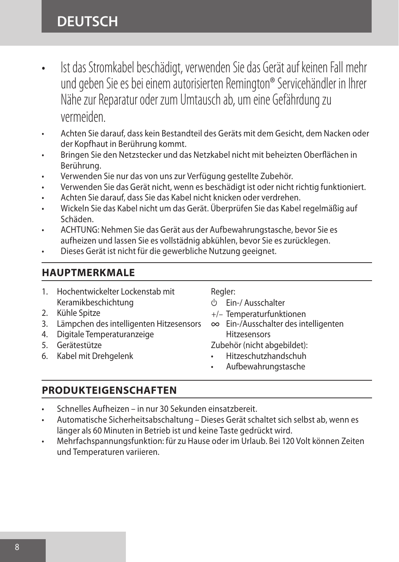# **DEUTSCH**

- Ist das Stromkabel beschädigt, verwenden Sie das Gerät auf keinen Fall mehr und geben Sie es bei einem autorisierten Remington® Servicehändler in Ihrer Nähe zur Reparatur oder zum Umtausch ab, um eine Gefährdung zu vermeiden.
- Achten Sie darauf, dass kein Bestandteil des Geräts mit dem Gesicht, dem Nacken oder der Kopfhaut in Berührung kommt.
- Bringen Sie den Netzstecker und das Netzkabel nicht mit beheizten Oberflächen in Berührung.
- Verwenden Sie nur das von uns zur Verfügung gestellte Zubehör.
- Verwenden Sie das Gerät nicht, wenn es beschädigt ist oder nicht richtig funktioniert.
- Achten Sie darauf, dass Sie das Kabel nicht knicken oder verdrehen.
- Wickeln Sie das Kabel nicht um das Gerät. Überprüfen Sie das Kabel regelmäßig auf Schäden.
- ACHTUNG: Nehmen Sie das Gerät aus der Aufbewahrungstasche, bevor Sie es aufheizen und lassen Sie es vollstädnig abkühlen, bevor Sie es zurücklegen.
- Dieses Gerät ist nicht für die gewerbliche Nutzung geeignet.

# **HAUPTMERKMALE**

#### 1. Hochentwickelter Lockenstab mit Keramikbeschichtung

- 2. Kühle Spitze
- 3. Lämpchen des intelligenten Hitzesensors
- 4. Digitale Temperaturanzeige
- 5. Gerätestütze
- 6. Kabel mit Drehgelenk

Regler:

- (<sup>1</sup>) Fin-/ Ausschalter
- +/– Temperaturfunktionen
- ∞ Ein-/Ausschalter des intelligenten Hitzesensors

Zubehör (nicht abgebildet):

- Hitzeschutzhandschuh
- Aufbewahrungstasche

# **PRODUKTEIGENSCHAFTEN**

- Schnelles Aufheizen in nur 30 Sekunden einsatzbereit.
- Automatische Sicherheitsabschaltung Dieses Gerät schaltet sich selbst ab, wenn es länger als 60 Minuten in Betrieb ist und keine Taste gedrückt wird.
- Mehrfachspannungsfunktion: für zu Hause oder im Urlaub. Bei 120 Volt können Zeiten und Temperaturen variieren.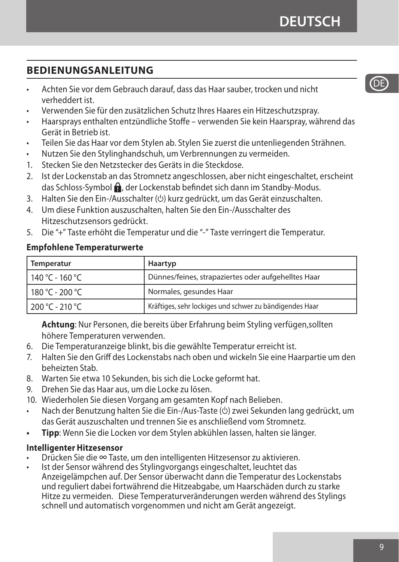# **BEDIENUNGSANLEITUNG**

- Achten Sie vor dem Gebrauch darauf, dass das Haar sauber, trocken und nicht verheddert ist.
- Verwenden Sie für den zusätzlichen Schutz Ihres Haares ein Hitzeschutzspray.
- Haarsprays enthalten entzündliche Stoffe verwenden Sie kein Haarspray, während das Gerät in Betrieb ist.
- Teilen Sie das Haar vor dem Stylen ab. Stylen Sie zuerst die untenliegenden Strähnen.
- Nutzen Sie den Stylinghandschuh, um Verbrennungen zu vermeiden.<br>1. Stecken Sie den Netzstecker des Geräts in die Steckdose
- 1. Stecken Sie den Netzstecker des Geräts in die Steckdose.
- 2. Ist der Lockenstab an das Stromnetz angeschlossen, aber nicht eingeschaltet, erscheint das Schloss-Symbol **B**, der Lockenstab befindet sich dann im Standby-Modus.
- 3. Halten Sie den Ein-/Ausschalter (C) kurz gedrückt, um das Gerät einzuschalten.
- 4. Um diese Funktion auszuschalten, halten Sie den Ein-/Ausschalter des Hitzeschutzsensors gedrückt.
- 5. Die "+" Taste erhöht die Temperatur und die "-" Taste verringert die Temperatur.

#### **Empfohlene Temperaturwerte**

| Temperatur        | Haartyp                                                 |
|-------------------|---------------------------------------------------------|
| $140 °C - 160 °C$ | Dünnes/feines, strapaziertes oder aufgehelltes Haar     |
| $180 °C - 200 °C$ | Normales, gesundes Haar                                 |
| $200 °C - 210 °C$ | Kräftiges, sehr lockiges und schwer zu bändigendes Haar |

**Achtung**: Nur Personen, die bereits über Erfahrung beim Styling verfügen,sollten höhere Temperaturen verwenden.

- 6. Die Temperaturanzeige blinkt, bis die gewählte Temperatur erreicht ist.
- 7. Halten Sie den Griff des Lockenstabs nach oben und wickeln Sie eine Haarpartie um den beheizten Stab.
- 8. Warten Sie etwa 10 Sekunden, bis sich die Locke geformt hat.
- 9. Drehen Sie das Haar aus, um die Locke zu lösen.
- 10. Wiederholen Sie diesen Vorgang am gesamten Kopf nach Belieben.
- Nach der Benutzung halten Sie die Ein-/Aus-Taste (c) zwei Sekunden lang gedrückt, um das Gerät auszuschalten und trennen Sie es anschließend vom Stromnetz.
- **• Tipp**: Wenn Sie die Locken vor dem Stylen abkühlen lassen, halten sie länger.

#### **Intelligenter Hitzesensor**

- Drücken Sie die ∞ Taste, um den intelligenten Hitzesensor zu aktivieren.
- Ist der Sensor während des Stylingvorgangs eingeschaltet, leuchtet das Anzeigelämpchen auf. Der Sensor überwacht dann die Temperatur des Lockenstabs und reguliert dabei fortwährend die Hitzeabgabe, um Haarschäden durch zu starke Hitze zu vermeiden. Diese Temperaturveränderungen werden während des Stylings schnell und automatisch vorgenommen und nicht am Gerät angezeigt.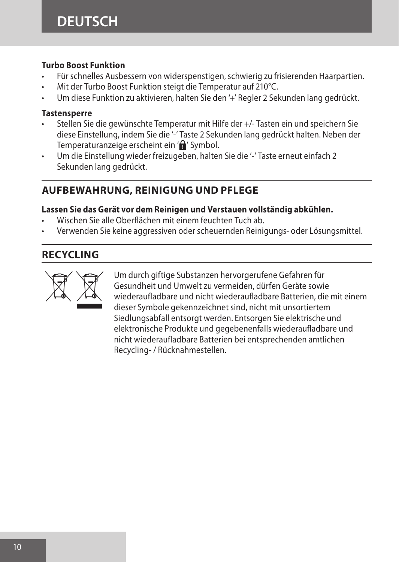#### **Turbo Boost Funktion**

- Für schnelles Ausbessern von widerspenstigen, schwierig zu frisierenden Haarpartien.
- Mit der Turbo Boost Funktion steigt die Temperatur auf 210°C.
- Um diese Funktion zu aktivieren, halten Sie den '+' Regler 2 Sekunden lang gedrückt.

#### **Tastensperre**

- Stellen Sie die gewünschte Temperatur mit Hilfe der +/- Tasten ein und speichern Sie diese Einstellung, indem Sie die '-' Taste 2 Sekunden lang gedrückt halten. Neben der Temperaturanzeige erscheint ein 'n Symbol.
- Um die Einstellung wieder freizugeben, halten Sie die '-' Taste erneut einfach 2 Sekunden lang gedrückt.

# **AUFBEWAHRUNG, REINIGUNG UND PFLEGE**

#### **Lassen Sie das Gerät vor dem Reinigen und Verstauen vollständig abkühlen.**

- Wischen Sie alle Oberflächen mit einem feuchten Tuch ab.
- Verwenden Sie keine aggressiven oder scheuernden Reinigungs- oder Lösungsmittel.

# **RECYCLING**



Um durch giftige Substanzen hervorgerufene Gefahren für<br>Gesundheit und Umwelt zu vermeiden, dürfen Geräte sowie<br>wiederauflabbare und nicht wiederauflabbare Batterien, die<br>dieser Symbole gekennzeichnet sind, nicht mit unsor Gesundheit und Umwelt zu vermeiden, dürfen Geräte sowie wiederaufladbare und nicht wiederaufladbare Batterien, die mit einem dieser Symbole gekennzeichnet sind, nicht mit unsortiertem Siedlungsabfall entsorgt werden. Entsorgen Sie elektrische und elektronische Produkte und gegebenenfalls wiederaufladbare und nicht wiederaufladbare Batterien bei entsprechenden amtlichen Recycling- / Rücknahmestellen.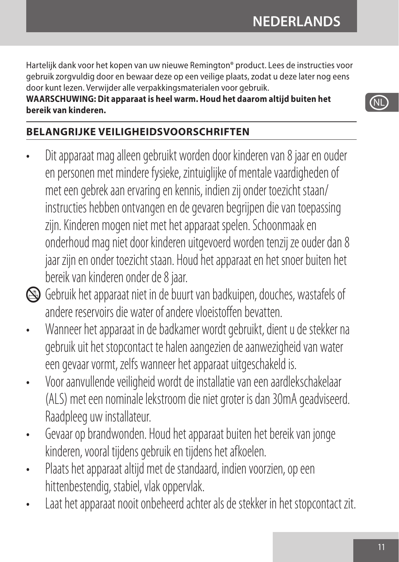Hartelijk dank voor het kopen van uw nieuwe Remington® product. Lees de instructies voor gebruik zorgvuldig door en bewaar deze op een veilige plaats, zodat u deze later nog eens door kunt lezen. Verwijder alle verpakkingsmaterialen voor gebruik.

#### **WAARSCHUWING: Dit apparaat is heel warm. Houd het daarom altijd buiten het bereik van kinderen.**



# **BELANGRIJKE VEILIGHEIDSVOORSCHRIFTEN**

- Dit apparaat mag alleen gebruikt worden door kinderen van 8 jaar en ouder en personen met mindere fysieke, zintuiglijke of mentale vaardigheden of met een gebrek aan ervaring en kennis, indien zij onder toezicht staan/ instructies hebben ontvangen en de gevaren begrijpen die van toepassing zijn. Kinderen mogen niet met het apparaat spelen. Schoonmaak en onderhoud mag niet door kinderen uitgevoerd worden tenzij ze ouder dan 8 jaar zijn en onder toezicht staan. Houd het apparaat en het snoer buiten het bereik van kinderen onder de 8 jaar.
- 

L Gebruik het apparaat niet in de buurt van badkuipen, douches, wastafels of andere reservoirs die water of andere vloeistoffen bevatten.

- Wanneer het apparaat in de badkamer wordt gebruikt, dient u de stekker na gebruik uit het stopcontact te halen aangezien de aanwezigheid van water een gevaar vormt, zelfs wanneer het apparaat uitgeschakeld is.
- Voor aanvullende veiligheid wordt de installatie van een aardlekschakelaar (ALS) met een nominale lekstroom die niet groter is dan 30mA geadviseerd. Raadpleeg uw installateur.
- Gevaar op brandwonden. Houd het apparaat buiten het bereik van jonge kinderen, vooral tijdens gebruik en tijdens het afkoelen.
- Plaats het apparaat altijd met de standaard, indien voorzien, op een hittenbestendig, stabiel, vlak oppervlak.
- Laat het apparaat nooit onbeheerd achter als de stekker in het stopcontact zit.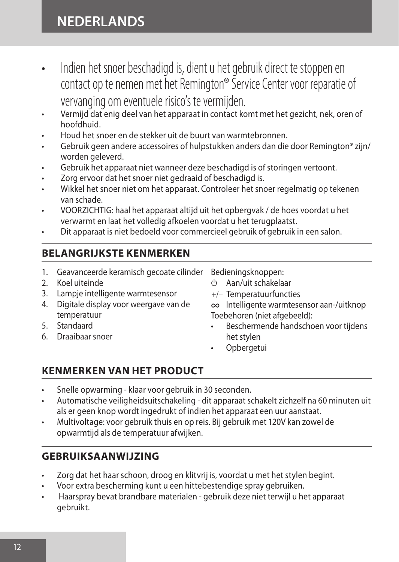# **NEDERLANDS**

- Indien het snoer beschadigd is, dient u het gebruik direct te stoppen en contact op te nemen met het Remington® Service Center voor reparatie of vervanging om eventuele risico's te vermijden.
- Vermijd dat enig deel van het apparaat in contact komt met het gezicht, nek, oren of hoofdhuid.
- Houd het snoer en de stekker uit de buurt van warmtebronnen.
- Gebruik geen andere accessoires of hulpstukken anders dan die door Remington® zijn/ worden geleverd.
- Gebruik het apparaat niet wanneer deze beschadigd is of storingen vertoont.
- Zorg ervoor dat het snoer niet gedraaid of beschadigd is.
- Wikkel het snoer niet om het apparaat. Controleer het snoer regelmatig op tekenen van schade.
- VOORZICHTIG: haal het apparaat altijd uit het opbergvak / de hoes voordat u het verwarmt en laat het volledig afkoelen voordat u het terugplaatst.
- Dit apparaat is niet bedoeld voor commercieel gebruik of gebruik in een salon.

# **BELANGRIJKSTE KENMERKEN**

- 1. Geavanceerde keramisch gecoate cilinder
- 2. Koel uiteinde
- 3. Lampje intelligente warmtesensor
- 4. Digitale display voor weergave van de temperatuur
- 5. Standaard
- 6. Draaibaar snoer

Bedieningsknoppen:

- Aan/uit schakelaar
- +/– Temperatuurfuncties

∞ Intelligente warmtesensor aan-/uitknop Toebehoren (niet afgebeeld):

- Beschermende handschoen voor tijdens het stylen
- Opbergetui

# **KENMERKEN VAN HET PRODUCT**

- Snelle opwarming klaar voor gebruik in 30 seconden.
- Automatische veiligheidsuitschakeling dit apparaat schakelt zichzelf na 60 minuten uit als er geen knop wordt ingedrukt of indien het apparaat een uur aanstaat.
- Multivoltage: voor gebruik thuis en op reis. Bij gebruik met 120V kan zowel de opwarmtijd als de temperatuur afwijken.

# **GEBRUIKSAANWIJZING**

- Zorg dat het haar schoon, droog en klitvrij is, voordat u met het stylen begint.
- Voor extra bescherming kunt u een hittebestendige spray gebruiken.
- Haarspray bevat brandbare materialen gebruik deze niet terwijl u het apparaat gebruikt.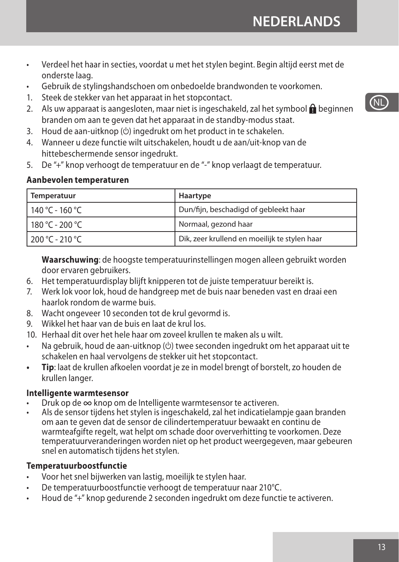- Verdeel het haar in secties, voordat u met het stylen begint. Begin altijd eerst met de onderste laag.
- Gebruik de stylingshandschoen om onbedoelde brandwonden te voorkomen.
- 1. Steek de stekker van het apparaat in het stopcontact.
- 2. Als uw apparaat is aangesloten, maar niet is ingeschakeld, zal het symbool **n** beginnen branden om aan te geven dat het apparaat in de standby-modus staat.
- 3. Houd de aan-uitknop ( $\circ$ ) ingedrukt om het product in te schakelen.
- 4. Wanneer u deze functie wilt uitschakelen, houdt u de aan/uit-knop van de hittebeschermende sensor ingedrukt.
- 5. De "+" knop verhoogt de temperatuur en de "-" knop verlaagt de temperatuur.

#### **Aanbevolen temperaturen**

| Temperatuur       | Haartype                                      |
|-------------------|-----------------------------------------------|
| 140 °C - 160 °C   | Dun/fijn, beschadigd of gebleekt haar         |
| 180 °C - 200 °C   | Normaal, gezond haar                          |
| $200 °C - 210 °C$ | Dik, zeer krullend en moeilijk te stylen haar |

**Waarschuwing**: de hoogste temperatuurinstellingen mogen alleen gebruikt worden door ervaren gebruikers.

- 6. Het temperatuurdisplay blijft knipperen tot de juiste temperatuur bereikt is.
- 7. Werk lok voor lok, houd de handgreep met de buis naar beneden vast en draai een haarlok rondom de warme buis.
- 8. Wacht ongeveer 10 seconden tot de krul gevormd is.
- 9. Wikkel het haar van de buis en laat de krul los.
- 10. Herhaal dit over het hele haar om zoveel krullen te maken als u wilt.
- Na gebruik, houd de aan-uitknop ( $\circlearrowleft$ ) twee seconden ingedrukt om het apparaat uit te schakelen en haal vervolgens de stekker uit het stopcontact.
- **• Tip**: laat de krullen afkoelen voordat je ze in model brengt of borstelt, zo houden de krullen langer.

#### **Intelligente warmtesensor**

- Druk op de ∞ knop om de Intelligente warmtesensor te activeren.
- Als de sensor tijdens het stylen is ingeschakeld, zal het indicatielampje gaan branden om aan te geven dat de sensor de cilindertemperatuur bewaakt en continu de warmteafgifte regelt, wat helpt om schade door oververhitting te voorkomen. Deze temperatuurveranderingen worden niet op het product weergegeven, maar gebeuren snel en automatisch tijdens het stylen.

# **Temperatuurboostfunctie**

- Voor het snel bijwerken van lastig, moeilijk te stylen haar.
- De temperatuurboostfunctie verhoogt de temperatuur naar 210°C.
- Houd de "+" knop gedurende 2 seconden ingedrukt om deze functie te activeren.

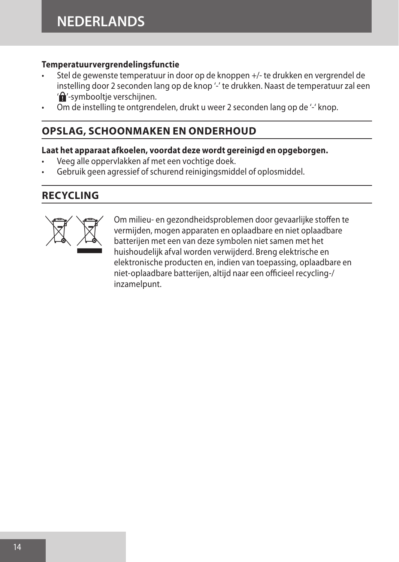#### **Temperatuurvergrendelingsfunctie**

- Stel de gewenste temperatuur in door op de knoppen +/- te drukken en vergrendel de instelling door 2 seconden lang op de knop '-' te drukken. Naast de temperatuur zal een '<sup>a</sup> '-symbooltie verschijnen.
- Om de instelling te ontgrendelen, drukt u weer 2 seconden lang op de '-' knop.

# **OPSLAG, SCHOONMAKEN EN ONDERHOUD**

#### **Laat het apparaat afkoelen, voordat deze wordt gereinigd en opgeborgen.**

- Veeg alle oppervlakken af met een vochtige doek.
- Gebruik geen agressief of schurend reinigingsmiddel of oplosmiddel.

#### **RECYCLING**



WEREN UM milieu- en gezondheidsproblemen door gevaarlijke stoffen te<br>
batterijden, mogen apparaten en oplaadbare en niet oplaadbare<br>
batterijden met een van deze symbolen niet samen met het<br>
huishoudelijk afval worden verw vermijden, mogen apparaten en oplaadbare en niet oplaadbare batterijen met een van deze symbolen niet samen met het huishoudelijk afval worden verwijderd. Breng elektrische en niet-oplaadbare batterijen, altijd naar een officieel recycling-/ inzamelpunt.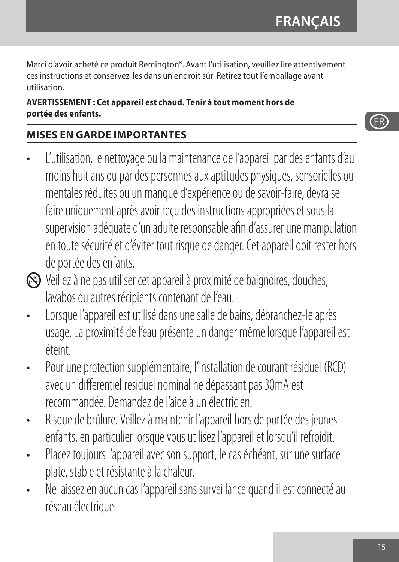Merci d'avoir acheté ce produit Remington®. Avant l'utilisation, veuillez lire attentivement ces instructions et conservez-les dans un endroit sûr. Retirez tout l'emballage avant utilisation.

#### **AVERTISSEMENT : Cet appareil est chaud. Tenir à tout moment hors de portée des enfants.**

# **MISES EN GARDE IMPORTANTES**

- L'utilisation, le nettoyage ou la maintenance de l'appareil par des enfants d'au moins huit ans ou par des personnes aux aptitudes physiques, sensorielles ou mentales réduites ou un manque d'expérience ou de savoir-faire, devra se faire uniquement après avoir reçu des instructions appropriées et sous la supervision adéquate d'un adulte responsable afin d'assurer une manipulation en toute sécurité et d'éviter tout risque de danger. Cet appareil doit rester hors de portée des enfants.
- 

L Veillez à ne pas utiliser cet appareil à proximité de baignoires, douches, lavabos ou autres récipients contenant de l'eau.

- Lorsque l'appareil est utilisé dans une salle de bains, débranchez-le après usage. La proximité de l'eau présente un danger même lorsque l'appareil est éteint.
- Pour une protection supplémentaire, l'installation de courant résiduel (RCD) avec un differentiel residuel nominal ne dépassant pas 30mA est recommandée. Demandez de l'aide à un électricien.
- Risque de brûlure. Veillez à maintenir l'appareil hors de portée des jeunes enfants, en particulier lorsque vous utilisez l'appareil et lorsqu'il refroidit.
- Placez toujours l'appareil avec son support, le cas échéant, sur une surface plate, stable et résistante à la chaleur.
- Ne laissez en aucun cas l'appareil sans surveillance quand il est connecté au réseau électrique.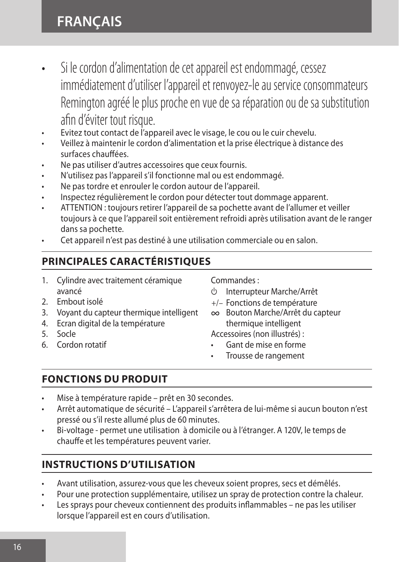- Si le cordon d'alimentation de cet appareil est endommagé, cessez immédiatement d'utiliser l'appareil et renvoyez-le au service consommateurs Remington agréé le plus proche en vue de sa réparation ou de sa substitution afin d'éviter tout risque.
- Evitez tout contact de l'appareil avec le visage, le cou ou le cuir chevelu.
- Veillez à maintenir le cordon d'alimentation et la prise électrique à distance des surfaces chauffées.
- Ne pas utiliser d'autres accessoires que ceux fournis.
- N'utilisez pas l'appareil s'il fonctionne mal ou est endommagé.
- Ne pas tordre et enrouler le cordon autour de l'appareil.
- Inspectez régulièrement le cordon pour détecter tout dommage apparent.
- ATTENTION : toujours retirer l'appareil de sa pochette avant de l'allumer et veiller toujours à ce que l'appareil soit entièrement refroidi après utilisation avant de le ranger dans sa pochette.
- Cet appareil n'est pas destiné à une utilisation commerciale ou en salon.

# **PRINCIPALES CARACTÉRISTIQUES**

- 1. Cylindre avec traitement céramique avancé
- 2. Embout isolé
- 3. Voyant du capteur thermique intelligent
- 4. Ecran digital de la température
- 5. Socle
- 6. Cordon rotatif

Commandes :

- C Interrupteur Marche/Arrêt
- +/– Fonctions de température
- ∞ Bouton Marche/Arrêt du capteur thermique intelligent

Accessoires (non illustrés) :

- Gant de mise en forme
- Trousse de rangement

# **FONCTIONS DU PRODUIT**

- Mise à température rapide prêt en 30 secondes.
- Arrêt automatique de sécurité L'appareil s'arrêtera de lui-même si aucun bouton n'est pressé ou s'il reste allumé plus de 60 minutes.
- Bi-voltage permet une utilisation à domicile ou à l'étranger. A 120V, le temps de chauffe et les températures peuvent varier.

# **INSTRUCTIONS D'UTILISATION**

- Avant utilisation, assurez-vous que les cheveux soient propres, secs et démêlés.
- Pour une protection supplémentaire, utilisez un spray de protection contre la chaleur.
- Les sprays pour cheveux contiennent des produits inflammables ne pas les utiliser lorsque l'appareil est en cours d'utilisation.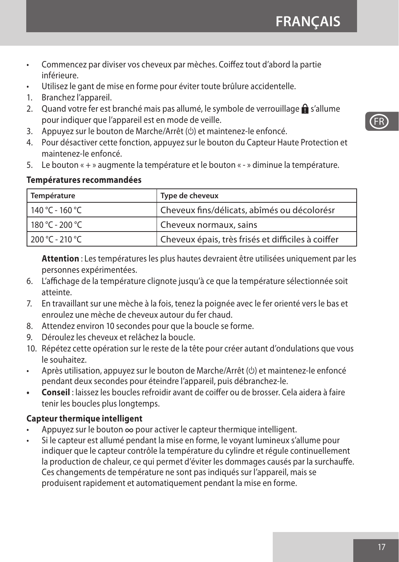**FRANÇAIS**

- Commencez par diviser vos cheveux par mèches. Coiffez tout d'abord la partie inférieure.
- Utilisez le gant de mise en forme pour éviter toute brûlure accidentelle.
- 1. Branchez l'appareil.
- 2. Quand votre fer est branché mais pas allumé, le symbole de verrouillage  $\bigoplus$  s'allume pour indiquer que l'appareil est en mode de veille.
- 3. Appuyez sur le bouton de Marche/Arrêt ( $\circlearrowleft$ ) et maintenez-le enfoncé.
- 4. Pour désactiver cette fonction, appuyez sur le bouton du Capteur Haute Protection et maintenez-le enfoncé.
- 5. Le bouton « + » augmente la température et le bouton « » diminue la température.

#### **Températures recommandées**

| Température       | Type de cheveux                                    |
|-------------------|----------------------------------------------------|
| 140 °C - 160 °C   | Cheveux fins/délicats, abîmés ou décolorésr        |
| $180 °C - 200 °C$ | Cheveux normaux, sains                             |
| $200 °C - 210 °C$ | Cheveux épais, très frisés et difficiles à coiffer |

**Attention** : Les températures les plus hautes devraient être utilisées uniquement par les personnes expérimentées.

- 6. L'affichage de la température clignote jusqu'à ce que la température sélectionnée soit atteinte.
- 7. En travaillant sur une mèche à la fois, tenez la poignée avec le fer orienté vers le bas et enroulez une mèche de cheveux autour du fer chaud.
- 8. Attendez environ 10 secondes pour que la boucle se forme.
- 9. Déroulez les cheveux et relâchez la boucle.
- 10. Répétez cette opération sur le reste de la tête pour créer autant d'ondulations que vous le souhaitez.
- Après utilisation, appuyez sur le bouton de Marche/Arrêt (cb) et maintenez-le enfoncé pendant deux secondes pour éteindre l'appareil, puis débranchez-le.
- **• Conseil** : laissez les boucles refroidir avant de coiffer ou de brosser. Cela aidera à faire tenir les boucles plus longtemps.

#### **Capteur thermique intelligent**

- Appuyez sur le bouton  $\infty$  pour activer le capteur thermique intelligent.
- Si le capteur est allumé pendant la mise en forme, le voyant lumineux s'allume pour indiquer que le capteur contrôle la température du cylindre et régule continuellement la production de chaleur, ce qui permet d'éviter les dommages causés par la surchauffe. Ces changements de température ne sont pas indiqués sur l'appareil, mais se produisent rapidement et automatiquement pendant la mise en forme.

# FR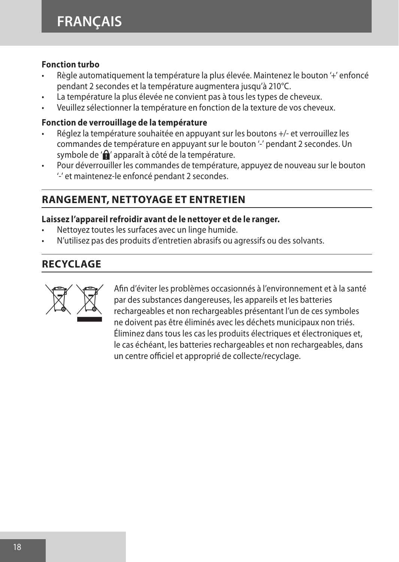#### **Fonction turbo**

- Règle automatiquement la température la plus élevée. Maintenez le bouton '+' enfoncé pendant 2 secondes et la température augmentera jusqu'à 210°C.
- La température la plus élevée ne convient pas à tous les types de cheveux.
- Veuillez sélectionner la température en fonction de la texture de vos cheveux.

#### **Fonction de verrouillage de la température**

- Réglez la température souhaitée en appuyant sur les boutons +/- et verrouillez les commandes de température en appuyant sur le bouton '-' pendant 2 secondes. Un symbole de 'n' apparaît à côté de la température.
- Pour déverrouiller les commandes de température, appuyez de nouveau sur le bouton '-' et maintenez-le enfoncé pendant 2 secondes.

# **RANGEMENT, NETTOYAGE ET ENTRETIEN**

#### **Laissez l'appareil refroidir avant de le nettoyer et de le ranger.**

- Nettoyez toutes les surfaces avec un linge humide.
- N'utilisez pas des produits d'entretien abrasifs ou agressifs ou des solvants.

# **RECYCLAGE**



Afin d'éviter les problèmes occasionnés à l'environnement et à la santé<br>
par des substances dangereuses, les appareils et les batteries<br>
redoivent pas être éliminés avec les déchets municipaux non triés.<br>
l'iminez dans tou par des substances dangereuses, les appareils et les batteries rechargeables et non rechargeables présentant l'un de ces symboles ne doivent pas être éliminés avec les déchets municipaux non triés. Éliminez dans tous les cas les produits électriques et électroniques et, le cas échéant, les batteries rechargeables et non rechargeables, dans un centre officiel et approprié de collecte/recyclage.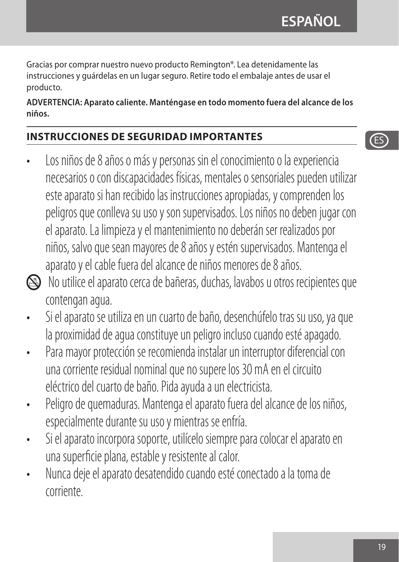Gracias por comprar nuestro nuevo producto Remington®. Lea detenidamente las instrucciones y guárdelas en un lugar seguro. Retire todo el embalaje antes de usar el producto.

**ADVERTENCIA: Aparato caliente. Manténgase en todo momento fuera del alcance de los niños.**

# **INSTRUCCIONES DE SEGURIDAD IMPORTANTES**

• Los niños de 8 años o más y personas sin el conocimiento o la experiencia necesarios o con discapacidades físicas, mentales o sensoriales pueden utilizar este aparato si han recibido las instrucciones apropiadas, y comprenden los peligros que conlleva su uso y son supervisados. Los niños no deben jugar con el aparato. La limpieza y el mantenimiento no deberán ser realizados por niños, salvo que sean mayores de 8 años y estén supervisados. Mantenga el aparato y el cable fuera del alcance de niños menores de 8 años.



L No utilice el aparato cerca de bañeras, duchas, lavabos u otros recipientes que contengan agua.

- Si el aparato se utiliza en un cuarto de baño, desenchúfelo tras su uso, ya que la proximidad de agua constituye un peligro incluso cuando esté apagado.
- Para mayor protección se recomienda instalar un interruptor diferencial con una corriente residual nominal que no supere los 30 mA en el circuito eléctrico del cuarto de baño. Pida ayuda a un electricista.
- Peligro de quemaduras. Mantenga el aparato fuera del alcance de los niños, especialmente durante su uso y mientras se enfría.
- Si el aparato incorpora soporte, utilícelo siempre para colocar el aparato en una superficie plana, estable y resistente al calor.
- Nunca deje el aparato desatendido cuando esté conectado a la toma de corriente.

ES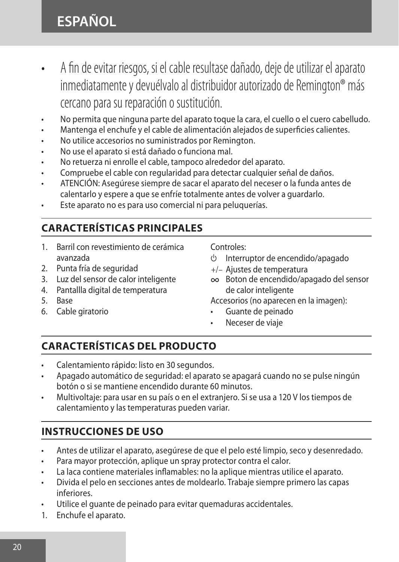- A fin de evitar riesgos, si el cable resultase dañado, deje de utilizar el aparato inmediatamente y devuélvalo al distribuidor autorizado de Remington® más cercano para su reparación o sustitución.
- No permita que ninguna parte del aparato toque la cara, el cuello o el cuero cabelludo.
- Mantenga el enchufe y el cable de alimentación alejados de superficies calientes.
- No utilice accesorios no suministrados por Remington.
- No use el aparato si está dañado o funciona mal.
- No retuerza ni enrolle el cable, tampoco alrededor del aparato.
- Compruebe el cable con regularidad para detectar cualquier señal de daños.
- ATENCIÓN: Asegúrese siempre de sacar el aparato del neceser o la funda antes de calentarlo y espere a que se enfríe totalmente antes de volver a guardarlo.
- Este aparato no es para uso comercial ni para peluquerías.

# **CARACTERÍSTICAS PRINCIPALES**

- 1. Barril con revestimiento de cerámica avanzada
- 2. Punta fría de seguridad
- 3. Luz del sensor de calor inteligente
- 4. Pantallla digital de temperatura
- 5. Base
- 6. Cable giratorio

Controles:

- C Interruptor de encendido/apagado
- +/– Ajustes de temperatura
- ∞ Boton de encendido/apagado del sensor de calor inteligente

Accesorios (no aparecen en la imagen):

- Guante de peinado
- Neceser de viaje

# **CARACTERÍSTICAS DEL PRODUCTO**

- Calentamiento rápido: listo en 30 segundos.
- Apagado automático de seguridad: el aparato se apagará cuando no se pulse ningún botón o si se mantiene encendido durante 60 minutos.
- Multivoltaje: para usar en su país o en el extranjero. Si se usa a 120 V los tiempos de calentamiento y las temperaturas pueden variar.

# **INSTRUCCIONES DE USO**

- Antes de utilizar el aparato, asegúrese de que el pelo esté limpio, seco y desenredado.
- Para mayor protección, aplique un spray protector contra el calor.
- La laca contiene materiales inflamables: no la aplique mientras utilice el aparato.
- Divida el pelo en secciones antes de moldearlo. Trabaje siempre primero las capas inferiores.
- Utilice el quante de peinado para evitar quemaduras accidentales.
- 1. Enchufe el aparato.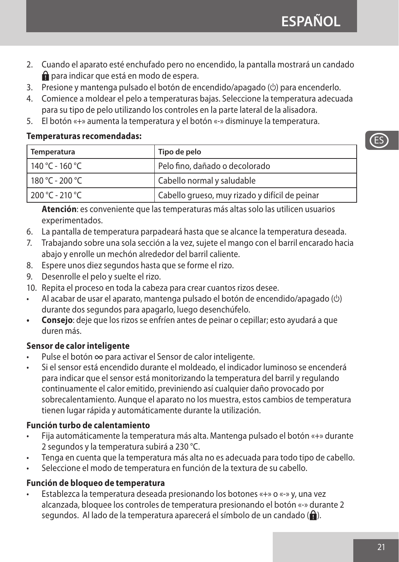**ESPAÑOL**

- 2. Cuando el aparato esté enchufado pero no encendido, la pantalla mostrará un candado  $\blacksquare$  para indicar que está en modo de espera.
- 3. Presione y mantenga pulsado el botón de encendido/apagado ( $\circ$ ) para encenderlo.
- 4. Comience a moldear el pelo a temperaturas bajas. Seleccione la temperatura adecuada para su tipo de pelo utilizando los controles en la parte lateral de la alisadora.
- 5. El botón «+» aumenta la temperatura y el botón «-» disminuye la temperatura.

#### **Temperaturas recomendadas:**

| Temperatura       | Tipo de pelo                                   |
|-------------------|------------------------------------------------|
| $140 °C - 160 °C$ | Pelo fino, dañado o decolorado                 |
| $180 °C - 200 °C$ | Cabello normal y saludable                     |
| $200 °C - 210 °C$ | Cabello grueso, muy rizado y difícil de peinar |

**Atención**: es conveniente que las temperaturas más altas solo las utilicen usuarios experimentados.

- 6. La pantalla de temperatura parpadeará hasta que se alcance la temperatura deseada.
- 7. Trabajando sobre una sola sección a la vez, sujete el mango con el barril encarado hacia abajo y enrolle un mechón alrededor del barril caliente.
- 8. Espere unos diez segundos hasta que se forme el rizo.
- 9. Desenrolle el pelo y suelte el rizo.
- 10. Repita el proceso en toda la cabeza para crear cuantos rizos desee.
- Al acabar de usar el aparato, mantenga pulsado el botón de encendido/apagado (C) durante dos segundos para apagarlo, luego desenchúfelo.
- **• Consejo**: deje que los rizos se enfríen antes de peinar o cepillar; esto ayudará a que duren más.

#### **Sensor de calor inteligente**

- Pulse el botón ∞ para activar el Sensor de calor inteligente.
- Si el sensor está encendido durante el moldeado, el indicador luminoso se encenderá para indicar que el sensor está monitorizando la temperatura del barril y regulando continuamente el calor emitido, previniendo así cualquier daño provocado por sobrecalentamiento. Aunque el aparato no los muestra, estos cambios de temperatura tienen lugar rápida y automáticamente durante la utilización.

#### **Función turbo de calentamiento**

- Fija automáticamente la temperatura más alta. Mantenga pulsado el botón «+» durante 2 segundos y la temperatura subirá a 230 °C.
- Tenga en cuenta que la temperatura más alta no es adecuada para todo tipo de cabello.
- Seleccione el modo de temperatura en función de la textura de su cabello.

#### **Función de bloqueo de temperatura**

• Establezca la temperatura deseada presionando los botones «+» o «-» y, una vez alcanzada, bloquee los controles de temperatura presionando el botón «-» durante 2 segundos. Al lado de la temperatura aparecerá el símbolo de un candado ( $\oplus$ ).

ES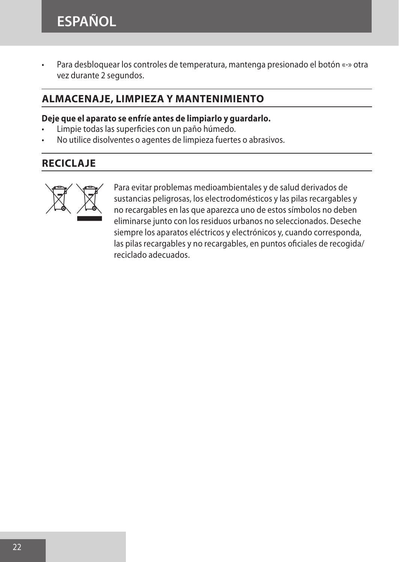• Para desbloquear los controles de temperatura, mantenga presionado el botón «-» otra vez durante 2 segundos.

#### **ALMACENAJE, LIMPIEZA Y MANTENIMIENTO**

#### **Deje que el aparato se enfríe antes de limpiarlo y guardarlo.**

- Limpie todas las superficies con un paño húmedo.
- No utilice disolventes o agentes de limpieza fuertes o abrasivos.

# **RECICLAJE**



Para evitar problemas medioambientales y de salud derivados de<br>sustancias peligrosas, los electrodomésticos y las pilas recargable<br>no recargables en las que aparezca uno de estos símbolos no deb<br>eliminarse junto con los re sustancias peligrosas, los electrodomésticos y las pilas recargables y no recargables en las que aparezca uno de estos símbolos no deben eliminarse junto con los residuos urbanos no seleccionados. Deseche siempre los aparatos eléctricos y electrónicos y, cuando corresponda, las pilas recargables y no recargables, en puntos oficiales de recogida/ reciclado adecuados.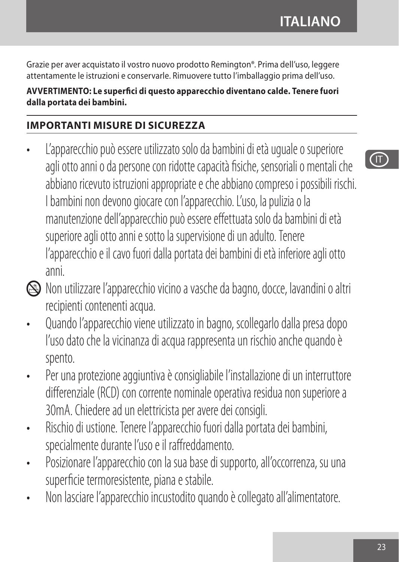Grazie per aver acquistato il vostro nuovo prodotto Remington®. Prima dell'uso, leggere attentamente le istruzioni e conservarle. Rimuovere tutto l'imballaggio prima dell'uso.

# **AVVERTIMENTO: Le superfici di questo apparecchio diventano calde. Tenere fuori dalla portata dei bambini.**

# **IMPORTANTI MISURE DI SICUREZZA**

- L'apparecchio può essere utilizzato solo da bambini di età uguale o superiore agli otto anni o da persone con ridotte capacità fisiche, sensoriali o mentali che abbiano ricevuto istruzioni appropriate e che abbiano compreso i possibili rischi. I bambini non devono giocare con l'apparecchio. L'uso, la pulizia o la manutenzione dell'apparecchio può essere effettuata solo da bambini di età superiore agli otto anni e sotto la supervisione di un adulto. Tenere l'apparecchio e il cavo fuori dalla portata dei bambini di età inferiore agli otto anni.
- L Non utilizzare l'apparecchio vicino a vasche da bagno, docce, lavandini o altri recipienti contenenti acqua.
- Quando l'apparecchio viene utilizzato in bagno, scollegarlo dalla presa dopo l'uso dato che la vicinanza di acqua rappresenta un rischio anche quando è spento.
- Per una protezione aggiuntiva è consigliabile l'installazione di un interruttore differenziale (RCD) con corrente nominale operativa residua non superiore a 30mA. Chiedere ad un elettricista per avere dei consigli.
- Rischio di ustione. Tenere l'apparecchio fuori dalla portata dei bambini, specialmente durante l'uso e il raffreddamento.
- Posizionare l'apparecchio con la sua base di supporto, all'occorrenza, su una superficie termoresistente, piana e stabile.
- Non lasciare l'apparecchio incustodito quando è collegato all'alimentatore.

IT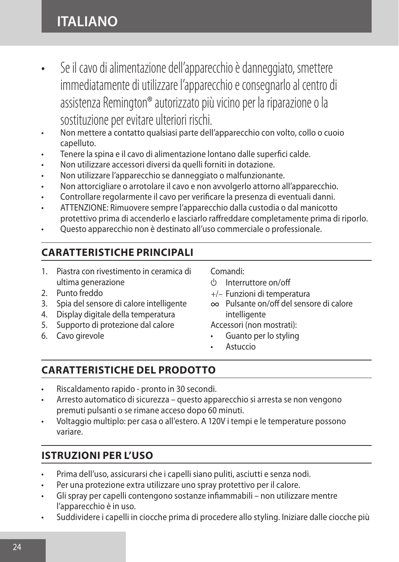- Se il cavo di alimentazione dell'apparecchio è danneggiato, smettere immediatamente di utilizzare l'apparecchio e consegnarlo al centro di assistenza Remington® autorizzato più vicino per la riparazione o la sostituzione per evitare ulteriori rischi.
- Non mettere a contatto qualsiasi parte dell'apparecchio con volto, collo o cuoio capelluto.
- Tenere la spina e il cavo di alimentazione lontano dalle superfici calde.
- Non utilizzare accessori diversi da quelli forniti in dotazione.
- Non utilizzare l'apparecchio se danneggiato o malfunzionante.
- Non attorcigliare o arrotolare il cavo e non avvolgerlo attorno all'apparecchio.
- Controllare regolarmente il cavo per verificare la presenza di eventuali danni.
- ATTENZIONE: Rimuovere sempre l'apparecchio dalla custodia o dal manicotto protettivo prima di accenderlo e lasciarlo raffreddare completamente prima di riporlo.
- Questo apparecchio non è destinato all'uso commerciale o professionale.

# **CARATTERISTICHE PRINCIPALI**

- 1. Piastra con rivestimento in ceramica di ultima generazione
- 2. Punto freddo
- 3. Spia del sensore di calore intelligente
- 4. Display digitale della temperatura
- 5. Supporto di protezione dal calore
- 6. Cavo girevole

Comandi:

- $(b)$  Interruttore on/off
- +/– Funzioni di temperatura
- ∞ Pulsante on/off del sensore di calore intelligente

Accessori (non mostrati):

- Guanto per lo styling
- **Astuccio**

# **CARATTERISTICHE DEL PRODOTTO**

- Riscaldamento rapido pronto in 30 secondi.
- Arresto automatico di sicurezza questo apparecchio si arresta se non vengono premuti pulsanti o se rimane acceso dopo 60 minuti.
- Voltaggio multiplo: per casa o all'estero. A 120V i tempi e le temperature possono variare.

# **ISTRUZIONI PER L'USO**

- Prima dell'uso, assicurarsi che i capelli siano puliti, asciutti e senza nodi.
- Per una protezione extra utilizzare uno spray protettivo per il calore.
- Gli spray per capelli contengono sostanze infiammabili non utilizzare mentre l'apparecchio è in uso.
- Suddividere i capelli in ciocche prima di procedere allo styling. Iniziare dalle ciocche più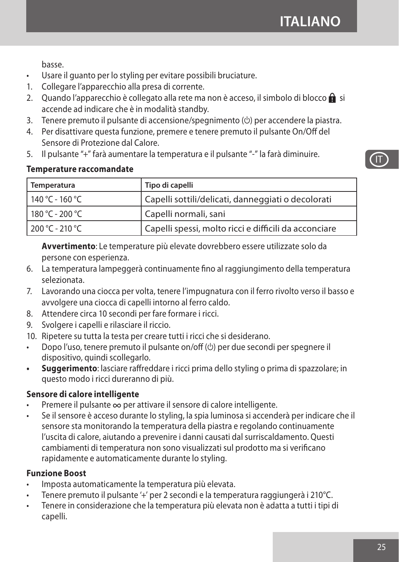basse.

- Usare il guanto per lo styling per evitare possibili bruciature.
- 1. Collegare l'apparecchio alla presa di corrente.
- 2. Quando l'apparecchio è collegato alla rete ma non è acceso, il simbolo di blocco **n**e si accende ad indicare che è in modalità standby.
- 3. Tenere premuto il pulsante di accensione/spegnimento ( $\circ$ ) per accendere la piastra.<br>4. Per disattivare questa funzione, premere e tenere premuto il pulsante On/Off del
- 4. Per disattivare questa funzione, premere e tenere premuto il pulsante On/Off del Sensore di Protezione dal Calore.
- 5. Il pulsante "+" farà aumentare la temperatura e il pulsante "-" la farà diminuire.

#### **Temperature raccomandate**

| Temperatura       | Tipo di capelli                                       |
|-------------------|-------------------------------------------------------|
| $140 °C - 160 °C$ | Capelli sottili/delicati, danneggiati o decolorati    |
| $180 °C - 200 °C$ | Capelli normali, sani                                 |
| $200 °C - 210 °C$ | Capelli spessi, molto ricci e difficili da acconciare |

**Avvertimento**: Le temperature più elevate dovrebbero essere utilizzate solo da persone con esperienza.

- 6. La temperatura lampeggerà continuamente fino al raggiungimento della temperatura selezionata.
- 7. Lavorando una ciocca per volta, tenere l'impugnatura con il ferro rivolto verso il basso e avvolgere una ciocca di capelli intorno al ferro caldo.
- 8. Attendere circa 10 secondi per fare formare i ricci.
- 9. Svolgere i capelli e rilasciare il riccio.
- 10. Ripetere su tutta la testa per creare tutti i ricci che si desiderano.
- Dopo l'uso, tenere premuto il pulsante on/off  $(\bigcup)$  per due secondi per spegnere il dispositivo, quindi scollegarlo.
- **• Suggerimento**: lasciare raffreddare i ricci prima dello styling o prima di spazzolare; in questo modo i ricci dureranno di più.

#### **Sensore di calore intelligente**

- Premere il pulsante ∞ per attivare il sensore di calore intelligente.
- Se il sensore è acceso durante lo styling, la spia luminosa si accenderà per indicare che il sensore sta monitorando la temperatura della piastra e regolando continuamente l'uscita di calore, aiutando a prevenire i danni causati dal surriscaldamento. Questi cambiamenti di temperatura non sono visualizzati sul prodotto ma si verificano rapidamente e automaticamente durante lo styling.

#### **Funzione Boost**

- Imposta automaticamente la temperatura più elevata.
- Tenere premuto il pulsante '+' per 2 secondi e la temperatura raggiungerà i 210°C.
- Tenere in considerazione che la temperatura più elevata non è adatta a tutti i tipi di capelli.

IT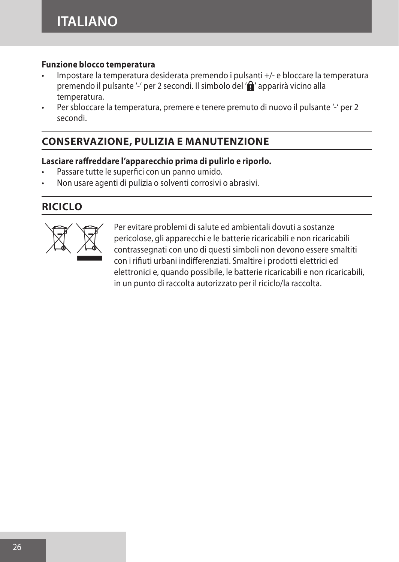#### **Funzione blocco temperatura**

- Impostare la temperatura desiderata premendo i pulsanti +/- e bloccare la temperatura premendo il pulsante '-' per 2 secondi. Il simbolo del 'n 'apparirà vicino alla temperatura.
- Per sbloccare la temperatura, premere e tenere premuto di nuovo il pulsante '-' per 2 secondi.

# **CONSERVAZIONE, PULIZIA E MANUTENZIONE**

#### **Lasciare raffreddare l'apparecchio prima di pulirlo e riporlo.**

- Passare tutte le superfici con un panno umido.
- Non usare agenti di pulizia o solventi corrosivi o abrasivi.

#### **RICICLO**



Per evitare problemi di salute ed ambientali dovuti a sostanze<br>pericolose, gli apparecchi e le batterie ricaricabili e non ricarica<br>contrassegnati con uno di questi simboli non devono essere s<br>con i rifuti urbani indiffere pericolose, gli apparecchi e le batterie ricaricabili e non ricaricabili contrassegnati con uno di questi simboli non devono essere smaltiti con i rifiuti urbani indifferenziati. Smaltire i prodotti elettrici ed elettronici e, quando possibile, le batterie ricaricabili e non ricaricabili, in un punto di raccolta autorizzato per il riciclo/la raccolta.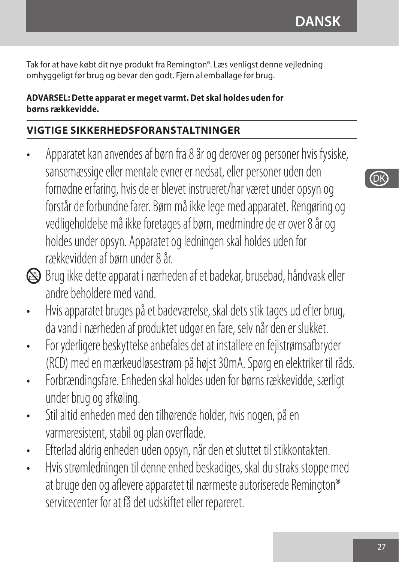**DANSK**

Tak for at have købt dit nye produkt fra Remington®. Læs venligst denne vejledning omhyggeligt før brug og bevar den godt. Fjern al emballage før brug.

#### **ADVARSEL: Dette apparat er meget varmt. Det skal holdes uden for børns rækkevidde.**

# **VIGTIGE SIKKERHEDSFORANSTALTNINGER**

• Apparatet kan anvendes af børn fra 8 år og derover og personer hvis fysiske, sansemæssige eller mentale evner er nedsat, eller personer uden den fornødne erfaring, hvis de er blevet instrueret/har været under opsyn og forstår de forbundne farer. Børn må ikke lege med apparatet. Rengøring og vedligeholdelse må ikke foretages af børn, medmindre de er over 8 år og holdes under opsyn. Apparatet og ledningen skal holdes uden for rækkevidden af børn under 8 år.



L Brug ikke dette apparat i nærheden af et badekar, brusebad, håndvask eller andre beholdere med vand.

- Hvis apparatet bruges på et badeværelse, skal dets stik tages ud efter brug, da vand i nærheden af produktet udgør en fare, selv når den er slukket.
- For yderligere beskyttelse anbefales det at installere en fejlstrømsafbryder (RCD) med en mærkeudløsestrøm på højst 30mA. Spørg en elektriker til råds.
- Forbrændingsfare. Enheden skal holdes uden for børns rækkevidde, særligt under brug og afkøling.
- Stil altid enheden med den tilhørende holder, hvis nogen, på en varmeresistent, stabil og plan overflade.
- Efterlad aldrig enheden uden opsyn, når den et sluttet til stikkontakten.
- Hvis strømledningen til denne enhed beskadiges, skal du straks stoppe med at bruge den og aflevere apparatet til nærmeste autoriserede Remington® servicecenter for at få det udskiftet eller repareret.

DK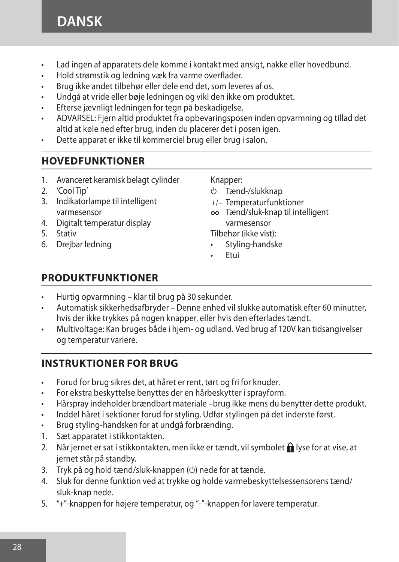- Lad ingen af apparatets dele komme i kontakt med ansigt, nakke eller hovedbund.
- Hold strømstik og ledning væk fra varme overflader.
- Brug ikke andet tilbehør eller dele end det, som leveres af os.
- Undgå at vride eller bøje ledningen og vikl den ikke om produktet.
- Efterse jævnligt ledningen for tegn på beskadigelse.
- ADVARSEL: Fjern altid produktet fra opbevaringsposen inden opvarmning og tillad det altid at køle ned efter brug, inden du placerer det i posen igen.
- Dette apparat er ikke til kommerciel brug eller brug i salon.

# **HOVEDFUNKTIONER**

- 1. Avanceret keramisk belagt cylinder
- 2. 'Cool Tip'
- 3. Indikatorlampe til intelligent varmesensor
- 4. Digitalt temperatur display
- 5. Stativ
- 6. Drejbar ledning

Knapper:

- **少 Tænd-/slukknap**
- +/– Temperaturfunktioner
- ∞ Tænd/sluk-knap til intelligent varmesensor

#### Tilbehør (ikke vist):

- Styling-handske
- Etui

# **PRODUKTFUNKTIONER**

- Hurtig opvarmning klar til brug på 30 sekunder.
- Automatisk sikkerhedsafbryder Denne enhed vil slukke automatisk efter 60 minutter, hvis der ikke trykkes på nogen knapper, eller hvis den efterlades tændt.
- Multivoltage: Kan bruges både i hjem- og udland. Ved brug af 120V kan tidsangivelser og temperatur variere.

# **INSTRUKTIONER FOR BRUG**

- Forud for brug sikres det, at håret er rent, tørt og fri for knuder.
- For ekstra beskyttelse benyttes der en hårbeskytter i sprayform.
- Hårspray indeholder brændbart materiale –brug ikke mens du benytter dette produkt.
- Inddel håret i sektioner forud for styling. Udfør stylingen på det inderste først.
- Brug styling-handsken for at undgå forbrænding.
- 1. Sæt apparatet i stikkontakten.
- 2. Når jernet er sat i stikkontakten, men ikke er tændt, vil symbolet du lyse for at vise, at jernet står på standby.
- 3. Tryk på og hold tænd/sluk-knappen  $(\circlearrowleft)$  nede for at tænde.
- 4. Sluk for denne funktion ved at trykke og holde varmebeskyttelsessensorens tænd/ sluk-knap nede.
- 5. "+"-knappen for højere temperatur, og "-"-knappen for lavere temperatur.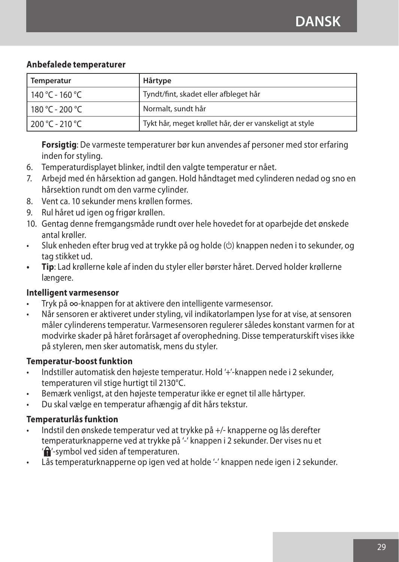#### **Anbefalede temperaturer**

| Temperatur        | Hårtype                                                 |
|-------------------|---------------------------------------------------------|
| 140 °C - 160 °C   | Tyndt/fint, skadet eller afbleget hår                   |
| $180 °C - 200 °C$ | Normalt, sundt hår                                      |
| $200 °C - 210 °C$ | Tykt hår, meget krøllet hår, der er vanskeligt at style |

**Forsigtig**: De varmeste temperaturer bør kun anvendes af personer med stor erfaring inden for styling.

- 6. Temperaturdisplayet blinker, indtil den valgte temperatur er nået.
- 7. Arbejd med én hårsektion ad gangen. Hold håndtaget med cylinderen nedad og sno en hårsektion rundt om den varme cylinder.
- 8. Vent ca. 10 sekunder mens krøllen formes.
- 9. Rul håret ud igen og frigør krøllen.
- 10. Gentag denne fremgangsmåde rundt over hele hovedet for at oparbejde det ønskede antal krøller.
- Sluk enheden efter brug ved at trykke på og holde (C) knappen neden i to sekunder, og tag stikket ud.
- **• Tip**: Lad krøllerne køle af inden du styler eller børster håret. Derved holder krøllerne længere.

#### **Intelligent varmesensor**

- Tryk på ∞-knappen for at aktivere den intelligente varmesensor.
- Når sensoren er aktiveret under styling, vil indikatorlampen lyse for at vise, at sensoren måler cylinderens temperatur. Varmesensoren regulerer således konstant varmen for at modvirke skader på håret forårsaget af overophedning. Disse temperaturskift vises ikke på styleren, men sker automatisk, mens du styler.

#### **Temperatur-boost funktion**

- Indstiller automatisk den højeste temperatur. Hold '+'-knappen nede i 2 sekunder, temperaturen vil stige hurtigt til 2130°C.
- Bemærk venligst, at den højeste temperatur ikke er egnet til alle hårtyper.
- Du skal vælge en temperatur afhængig af dit hårs tekstur.

#### **Temperaturlås funktion**

- Indstil den ønskede temperatur ved at trykke på +/- knapperne og lås derefter temperaturknapperne ved at trykke på '-' knappen i 2 sekunder. Der vises nu et 'B'-symbol ved siden af temperaturen.
- Lås temperaturknapperne op igen ved at holde '-' knappen nede igen i 2 sekunder.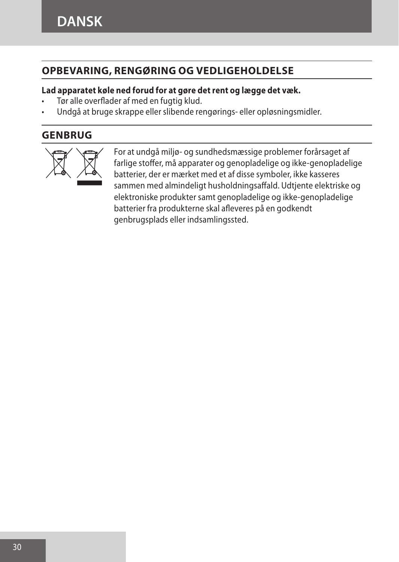# **OPBEVARING, RENGØRING OG VEDLIGEHOLDELSE**

#### **Lad apparatet køle ned forud for at gøre det rent og lægge det væk.**

- Tør alle overflader af med en fugtig klud.
- Undgå at bruge skrappe eller slibende rengørings- eller opløsningsmidler.

#### **GENBRUG**



For at undgå miljø- og sundhedsmæssige problemer forårsaget af<br>farlige stoffer, må apparater og genopladelige og ikke-genopladel<br>batterier, der er mærket med et af disse symboler, ikke kasseres<br>sammen med almindeligt husho farlige stoffer, må apparater og genopladelige og ikke-genopladelige batterier, der er mærket med et af disse symboler, ikke kasseres sammen med almindeligt husholdningsaffald. Udtjente elektriske og elektroniske produkter samt genopladelige og ikke-genopladelige batterier fra produkterne skal afleveres på en godkendt genbrugsplads eller indsamlingssted.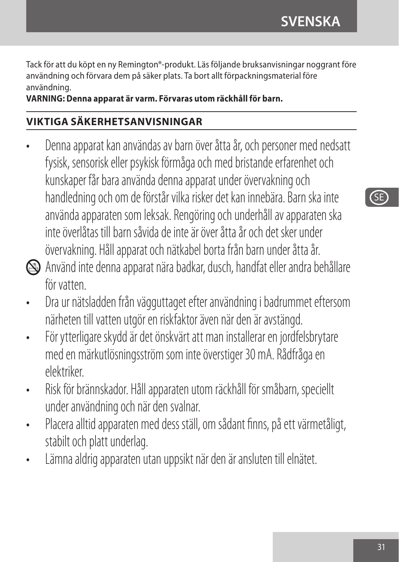Tack för att du köpt en ny Remington®-produkt. Läs följande bruksanvisningar noggrant före användning och förvara dem på säker plats. Ta bort allt förpackningsmaterial före användning.

**VARNING: Denna apparat är varm. Förvaras utom räckhåll för barn.**

# **VIKTIGA SÄKERHETSANVISNINGAR**

- Denna apparat kan användas av barn över åtta år, och personer med nedsatt fysisk, sensorisk eller psykisk förmåga och med bristande erfarenhet och kunskaper får bara använda denna apparat under övervakning och handledning och om de förstår vilka risker det kan innebära. Barn ska inte använda apparaten som leksak. Rengöring och underhåll av apparaten ska inte överlåtas till barn såvida de inte är över åtta år och det sker under övervakning. Håll apparat och nätkabel borta från barn under åtta år.
- L Använd inte denna apparat nära badkar, dusch, handfat eller andra behållare för vatten.
- Dra ur nätsladden från vägguttaget efter användning i badrummet eftersom närheten till vatten utgör en riskfaktor även när den är avstängd.
- För ytterligare skydd är det önskvärt att man installerar en jordfelsbrytare med en märkutlösningsström som inte överstiger 30 mA. Rådfråga en elektriker.
- Risk för brännskador. Håll apparaten utom räckhåll för småbarn, speciellt under användning och när den svalnar.
- Placera alltid apparaten med dess ställ, om sådant finns, på ett värmetåligt, stabilt och platt underlag.
- Lämna aldrig apparaten utan uppsikt när den är ansluten till elnätet.

SE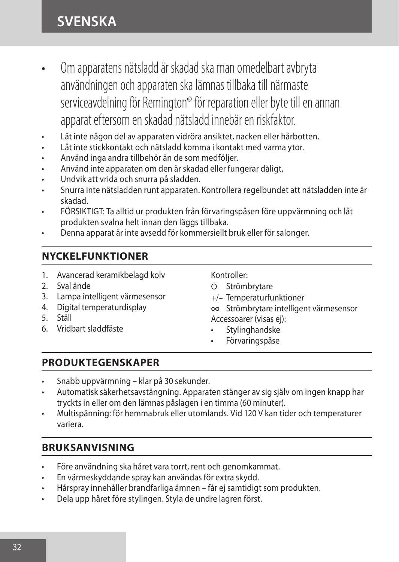# **SVENSKA**

- Om apparatens nätsladd är skadad ska man omedelbart avbryta användningen och apparaten ska lämnas tillbaka till närmaste serviceavdelning för Remington® för reparation eller byte till en annan apparat eftersom en skadad nätsladd innebär en riskfaktor.
- Låt inte någon del av apparaten vidröra ansiktet, nacken eller hårbotten.
- Låt inte stickkontakt och nätsladd komma i kontakt med varma vtor.
- Använd inga andra tillbehör än de som medföljer.
- Använd inte apparaten om den är skadad eller fungerar dåligt.
- Undvik att vrida och snurra på sladden.
- Snurra inte nätsladden runt apparaten. Kontrollera regelbundet att nätsladden inte är skadad.
- FÖRSIKTIGT: Ta alltid ur produkten från förvaringspåsen före uppvärmning och låt produkten svalna helt innan den läggs tillbaka.
- Denna apparat är inte avsedd för kommersiellt bruk eller för salonger.

# **NYCKELFUNKTIONER**

- 1. Avancerad keramikbelagd kolv
- 2. Sval ände
- 3. Lampa intelligent värmesensor
- 4. Digital temperaturdisplay
- 5. Ställ
- 6. Vridbart sladdfäste
- Kontroller:
- (b) Strömbrytare
- +/– Temperaturfunktioner
- ∞ Strömbrytare intelligent värmesensor Accessoarer (visas ej):
- **Stylinghandske**
- Förvaringspåse

# **PRODUKTEGENSKAPER**

- Snabb uppvärmning klar på 30 sekunder.
- Automatisk säkerhetsavstängning. Apparaten stänger av sig själv om ingen knapp har tryckts in eller om den lämnas påslagen i en timma (60 minuter).
- Multispänning: för hemmabruk eller utomlands. Vid 120 V kan tider och temperaturer variera.

# **BRUKSANVISNING**

- Före användning ska håret vara torrt, rent och genomkammat.
- En värmeskyddande spray kan användas för extra skydd.
- Hårspray innehåller brandfarliga ämnen får ej samtidigt som produkten.
- Dela upp håret före stylingen. Styla de undre lagren först.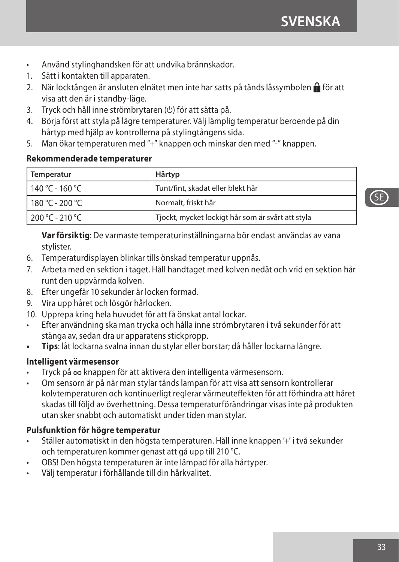- Använd stylinghandsken för att undvika brännskador.
- 1. Sätt i kontakten till apparaten.
- 2. När locktången är ansluten elnätet men inte har satts på tänds låssymbolen  $\mathbf{\hat{m}}$  för att visa att den är i standby-läge.
- 3. Tryck och håll inne strömbrytaren (C) för att sätta på.
- 4. Börja först att styla på lägre temperaturer. Välj lämplig temperatur beroende på din hårtyp med hjälp av kontrollerna på stylingtångens sida.
- 5. Man ökar temperaturen med "+" knappen och minskar den med "-" knappen.

#### **Rekommenderade temperaturer**

| Temperatur         | Hårtvp                                            |  |
|--------------------|---------------------------------------------------|--|
| 140 °C - 160 °C    | Tunt/fint, skadat eller blekt hår                 |  |
| $180 °C - 200 °C$  | Normalt, friskt hår                               |  |
| $1200 °C - 210 °C$ | Tjockt, mycket lockigt hår som är svårt att styla |  |

**Var försiktig**: De varmaste temperaturinställningarna bör endast användas av vana stylister.

- 6. Temperaturdisplayen blinkar tills önskad temperatur uppnås.
- 7. Arbeta med en sektion i taget. Håll handtaget med kolven nedåt och vrid en sektion hår runt den uppvärmda kolven.
- 8. Efter ungefär 10 sekunder är locken formad.
- 9. Vira upp håret och lösgör hårlocken.
- 10. Upprepa kring hela huvudet för att få önskat antal lockar.
- Efter användning ska man trycka och hålla inne strömbrytaren i två sekunder för att stänga av, sedan dra ur apparatens stickpropp.
- **• Tips**: låt lockarna svalna innan du stylar eller borstar; då håller lockarna längre.

#### **Intelligent värmesensor**

- Tryck på ∞ knappen för att aktivera den intelligenta värmesensorn.
- Om sensorn är på när man stylar tänds lampan för att visa att sensorn kontrollerar kolvtemperaturen och kontinuerligt reglerar värmeuteffekten för att förhindra att håret skadas till följd av överhettning. Dessa temperaturförändringar visas inte på produkten utan sker snabbt och automatiskt under tiden man stylar.

#### **Pulsfunktion för högre temperatur**

- Ställer automatiskt in den högsta temperaturen. Håll inne knappen '+' i två sekunder och temperaturen kommer genast att gå upp till 210 °C.
- OBS! Den högsta temperaturen är inte lämpad för alla hårtyper.
- Välj temperatur i förhållande till din hårkvalitet.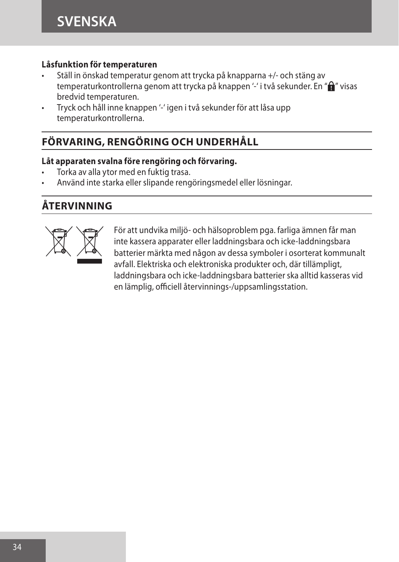#### **Låsfunktion för temperaturen**

- Ställ in önskad temperatur genom att trycka på knapparna +/- och stäng av temperaturkontrollerna genom att trycka på knappen '-' i två sekunder. En " $\mathbf{\hat{m}}$ " visas bredvid temperaturen.
- Tryck och håll inne knappen '-' igen i två sekunder för att låsa upp temperaturkontrollerna.

# **FÖRVARING, RENGÖRING OCH UNDERHÅLL**

#### **Låt apparaten svalna före rengöring och förvaring.**

- Torka av alla ytor med en fuktig trasa.
- Använd inte starka eller slipande rengöringsmedel eller lösningar.

# **ÅTERVINNING**



För att undvika miljö- och hälsoproblem pga. farliga ämnen får man<br>inte kassera apparater eller laddningsbara och icke-laddningsbara<br>batterier märkta med någon av dessa symboler i osorterat kommun.<br>avall. Elektriska och el inte kassera apparater eller laddningsbara och icke-laddningsbara batterier märkta med någon av dessa symboler i osorterat kommunalt avfall. Elektriska och elektroniska produkter och, där tillämpligt, laddningsbara och icke-laddningsbara batterier ska alltid kasseras vid en lämplig, officiell återvinnings-/uppsamlingsstation.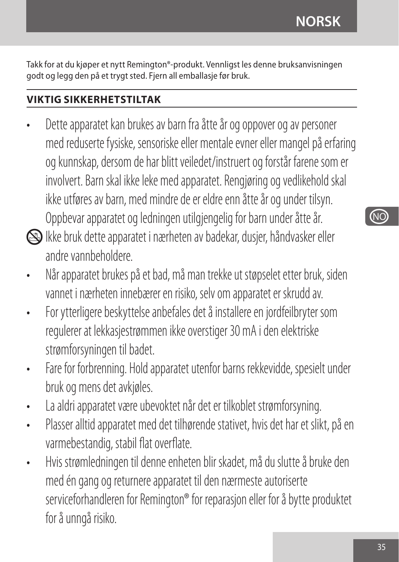Takk for at du kjøper et nytt Remington®-produkt. Vennligst les denne bruksanvisningen godt og legg den på et trygt sted. Fjern all emballasje før bruk.

# **VIKTIG SIKKERHETSTILTAK**

- Dette apparatet kan brukes av barn fra åtte år og oppover og av personer med reduserte fysiske, sensoriske eller mentale evner eller mangel på erfaring og kunnskap, dersom de har blitt veiledet/instruert og forstår farene som er involvert. Barn skal ikke leke med apparatet. Rengjøring og vedlikehold skal ikke utføres av barn, med mindre de er eldre enn åtte år og under tilsyn. Oppbevar apparatet og ledningen utilgjengelig for barn under åtte år.
- L Ikke bruk dette apparatet i nærheten av badekar, dusjer, håndvasker eller andre vannbeholdere.
- Når apparatet brukes på et bad, må man trekke ut støpselet etter bruk, siden vannet i nærheten innebærer en risiko, selv om apparatet er skrudd av.
- For ytterligere beskyttelse anbefales det å installere en jordfeilbryter som regulerer at lekkasjestrømmen ikke overstiger 30 mA i den elektriske strømforsyningen til badet.
- Fare for forbrenning. Hold apparatet utenfor barns rekkevidde, spesielt under bruk og mens det avkjøles.
- La aldri apparatet være ubevoktet når det er tilkoblet strømforsyning.
- Plasser alltid apparatet med det tilhørende stativet, hvis det har et slikt, på en varmebestandig, stabil flat overflate.
- Hvis strømledningen til denne enheten blir skadet, må du slutte å bruke den med én gang og returnere apparatet til den nærmeste autoriserte serviceforhandleren for Remington® for reparasjon eller for å bytte produktet for å unngå risiko.

NO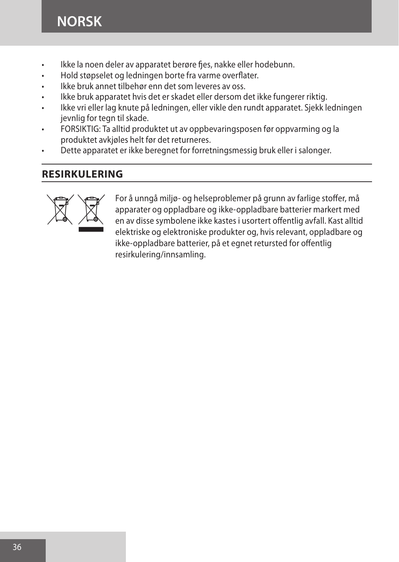- Ikke la noen deler av apparatet berøre fies, nakke eller hodebunn.
- Hold støpselet og ledningen borte fra varme overflater.
- Ikke bruk annet tilbehør enn det som leveres av oss.
- Ikke bruk apparatet hvis det er skadet eller dersom det ikke fungerer riktig.
- Ikke vri eller lag knute på ledningen, eller vikle den rundt apparatet. Sjekk ledningen jevnlig for tegn til skade.
- FORSIKTIG: Ta alltid produktet ut av oppbevaringsposen før oppvarming og la produktet avkjøles helt før det returneres.
- Dette apparatet er ikke beregnet for forretningsmessig bruk eller i salonger.

# **RESIRKULERING**



For å unngå miljø- og helseproblemer på grunn av farlige stoffer, må<br>
enparater og oppladbare og ikke-oppladbare batterier markert med<br>
elektriske og elektroniske produkter og, hvis relevant, oppladbare og<br>
ikke-oppladbare apparater og oppladbare og ikke-oppladbare batterier markert med en av disse symbolene ikke kastes i usortert offentlig avfall. Kast alltid ikke-oppladbare batterier, på et egnet retursted for offentlig resirkulering/innsamling.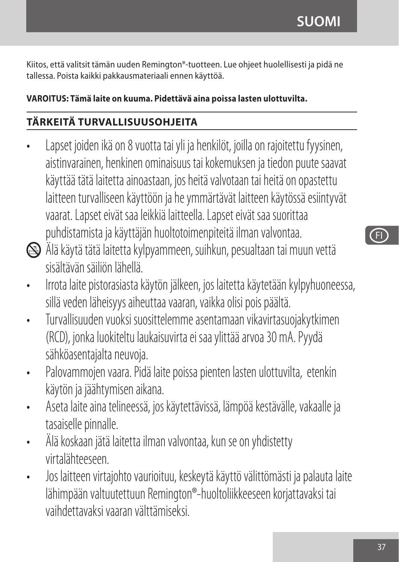Kiitos, että valitsit tämän uuden Remington®-tuotteen. Lue ohjeet huolellisesti ja pidä ne tallessa. Poista kaikki pakkausmateriaali ennen käyttöä.

### **VAROITUS: Tämä laite on kuuma. Pidettävä aina poissa lasten ulottuvilta.**

# **TÄRKEITÄ TURVALLISUUSOHJEITA**

• Lapset joiden ikä on 8 vuotta tai yli ja henkilöt, joilla on rajoitettu fyysinen, aistinvarainen, henkinen ominaisuus tai kokemuksen ja tiedon puute saavat käyttää tätä laitetta ainoastaan, jos heitä valvotaan tai heitä on opastettu laitteen turvalliseen käyttöön ja he ymmärtävät laitteen käytössä esiintyvät vaarat. Lapset eivät saa leikkiä laitteella. Lapset eivät saa suorittaa puhdistamista ja käyttäjän huoltotoimenpiteitä ilman valvontaa.



- L Älä käytä tätä laitetta kylpyammeen, suihkun, pesualtaan tai muun vettä sisältävän säiliön lähellä.
- Irrota laite pistorasiasta käytön jälkeen, jos laitetta käytetään kylpyhuoneessa, sillä veden läheisyys aiheuttaa vaaran, vaikka olisi pois päältä.
- Turvallisuuden vuoksi suosittelemme asentamaan vikavirtasuojakytkimen (RCD), jonka luokiteltu laukaisuvirta ei saa ylittää arvoa 30 mA. Pyydä sähköasentajalta neuvoja.
- Palovammojen vaara. Pidä laite poissa pienten lasten ulottuvilta, etenkin käytön ja jäähtymisen aikana.
- Aseta laite aina telineessä, jos käytettävissä, lämpöä kestävälle, vakaalle ja tasaiselle pinnalle.
- Älä koskaan jätä laitetta ilman valvontaa, kun se on yhdistetty virtalähteeseen.
- Jos laitteen virtajohto vaurioituu, keskeytä käyttö välittömästi ja palauta laite lähimpään valtuutettuun Remington®-huoltoliikkeeseen korjattavaksi tai vaihdettavaksi vaaran välttämiseksi.

FI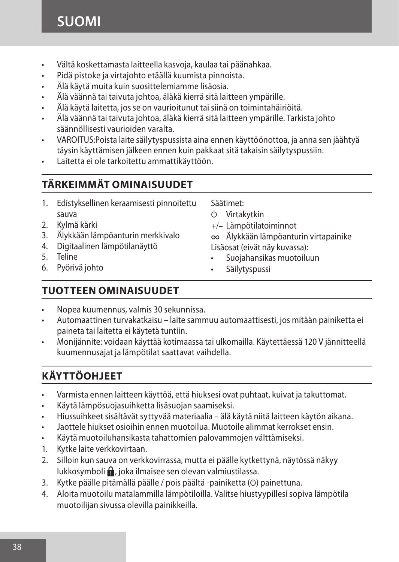- Vältä koskettamasta laitteella kasvoja, kaulaa tai päänahkaa.
- Pidä pistoke ja virtajohto etäällä kuumista pinnoista.
- Älä käytä muita kuin suosittelemiamme lisäosia.
- Älä väännä tai taivuta johtoa, äläkä kierrä sitä laitteen ympärille.
- Älä käytä laitetta, jos se on vaurioitunut tai siinä on toimintahäiriöitä.
- Älä väännä tai taivuta johtoa, äläkä kierrä sitä laitteen ympärille. Tarkista johto säännöllisesti vaurioiden varalta.
- VAROITUS:Poista laite säilytyspussista aina ennen käyttöönottoa, ja anna sen jäähtyä täysin käyttämisen jälkeen ennen kuin pakkaat sitä takaisin säilytyspussiin.
- Laitetta ei ole tarkoitettu ammattikäyttöön.

# **TÄRKEIMMÄT OMINAISUUDET**

- 1. Edistyksellinen keraamisesti pinnoitettu sauva
- 2. Kylmä kärki
- 3. Älykkään lämpöanturin merkkivalo
- 4. Digitaalinen lämpötilanäyttö
- 5. Teline
- 6. Pyörivä johto

Säätimet:

- C Virtakytkin
- +/– Lämpötilatoiminnot
- ∞ Älykkään lämpöanturin virtapainike Lisäosat (eivät näy kuvassa):
- Suojahansikas muotoiluun
- **Säilytyspussi**

### **TUOTTEEN OMINAISUUDET**

- Nopea kuumennus, valmis 30 sekunnissa.
- Automaattinen turvakatkaisu laite sammuu automaattisesti, jos mitään painiketta ei paineta tai laitetta ei käytetä tuntiin.
- Monijännite: voidaan käyttää kotimaassa tai ulkomailla. Käytettäessä 120 V jännitteellä kuumennusajat ja lämpötilat saattavat vaihdella.

# **KÄYTTÖOHJEET**

- Varmista ennen laitteen käyttöä, että hiuksesi ovat puhtaat, kuivat ja takuttomat.
- Käytä lämpösuojasuihketta lisäsuojan saamiseksi.
- Hiussuihkeet sisältävät syttyvää materiaalia älä käytä niitä laitteen käytön aikana.
- Jaottele hiukset osioihin ennen muotoilua. Muotoile alimmat kerrokset ensin.
- Käytä muotoiluhansikasta tahattomien palovammojen välttämiseksi.
- 1. Kytke laite verkkovirtaan.
- 2. Silloin kun sauva on verkkovirrassa, mutta ei päälle kytkettynä, näytössä näkyy lukkosymboli  $\mathbf{\hat{m}}$ , joka ilmaisee sen olevan valmiustilassa.
- 3. Kytke päälle pitämällä päälle / pois päältä -painiketta ( $\circ$ ) painettuna.
- 4. Aloita muotoilu matalammilla lämpötiloilla. Valitse hiustyypillesi sopiva lämpötila muotoilijan sivussa olevilla painikkeilla.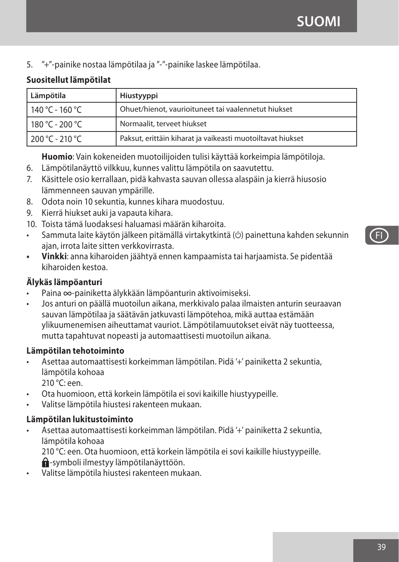5. "+"-painike nostaa lämpötilaa ja "-"-painike laskee lämpötilaa.

#### **Suositellut lämpötilat**

| Lämpötila         | Hiustyyppi                                                 |
|-------------------|------------------------------------------------------------|
| 140 °C - 160 °C   | Ohuet/hienot, vaurioituneet tai vaalennetut hiukset        |
| 180 °C - 200 °C   | Normaalit, terveet hiukset                                 |
| $200 °C - 210 °C$ | Paksut, erittäin kiharat ja vaikeasti muotoiltavat hiukset |

**Huomio**: Vain kokeneiden muotoilijoiden tulisi käyttää korkeimpia lämpötiloja.

- 6. Lämpötilanäyttö vilkkuu, kunnes valittu lämpötila on saavutettu.
- 7. Käsittele osio kerrallaan, pidä kahvasta sauvan ollessa alaspäin ja kierrä hiusosio lämmenneen sauvan ympärille.
- 8. Odota noin 10 sekuntia, kunnes kihara muodostuu.
- 9. Kierrä hiukset auki ja vapauta kihara.
- 10. Toista tämä luodaksesi haluamasi määrän kiharoita.
- Sammuta laite käytön jälkeen pitämällä virtakytkintä ( $\circ$ ) painettuna kahden sekunnin ajan, irrota laite sitten verkkovirrasta.
- **• Vinkki**: anna kiharoiden jäähtyä ennen kampaamista tai harjaamista. Se pidentää kiharoiden kestoa.

#### **Älykäs lämpöanturi**

- Paina ∞-painiketta älykkään lämpöanturin aktivoimiseksi.
- Jos anturi on päällä muotoilun aikana, merkkivalo palaa ilmaisten anturin seuraavan sauvan lämpötilaa ja säätävän jatkuvasti lämpötehoa, mikä auttaa estämään ylikuumenemisen aiheuttamat vauriot. Lämpötilamuutokset eivät näy tuotteessa, mutta tapahtuvat nopeasti ja automaattisesti muotoilun aikana.

#### **Lämpötilan tehotoiminto**

- Asettaa automaattisesti korkeimman lämpötilan. Pidä '+' painiketta 2 sekuntia, lämpötila kohoaa
	- 210 °C: een.
- Ota huomioon, että korkein lämpötila ei sovi kaikille hiustyypeille.
- Valitse lämpötila hiustesi rakenteen mukaan.

#### **Lämpötilan lukitustoiminto**

• Asettaa automaattisesti korkeimman lämpötilan. Pidä '+' painiketta 2 sekuntia, lämpötila kohoaa

210 °C: een. Ota huomioon, että korkein lämpötila ei sovi kaikille hiustyypeille. **n**-symboli ilmestyy lämpötilanäyttöön.

• Valitse lämpötila hiustesi rakenteen mukaan.

FI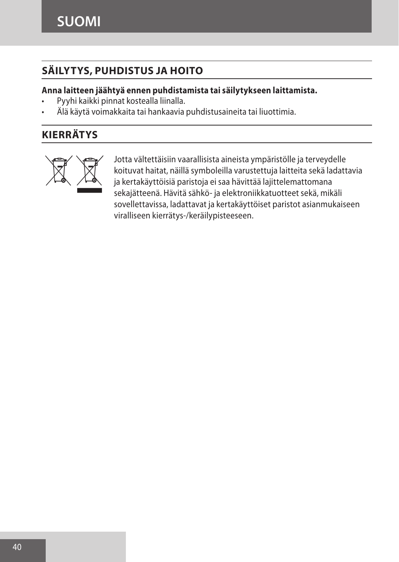### **SÄILYTYS, PUHDISTUS JA HOITO**

#### **Anna laitteen jäähtyä ennen puhdistamista tai säilytykseen laittamista.**

- Pyyhi kaikki pinnat kostealla liinalla.
- Älä käytä voimakkaita tai hankaavia puhdistusaineita tai liuottimia.

### **KIERRÄTYS**



Jotta vältettäisiin vaarallisista aineista ympäristölle ja terveydelle<br>koituvat haitat, näillä symboleilla varustettuja laitteita sekä ladatt<br>ja kertakäyttöisiä paristoja ei saa hävittää lajittelemattomana<br>sekäjätteenä. Hä koituvat haitat, näillä symboleilla varustettuja laitteita sekä ladattavia ja kertakäyttöisiä paristoja ei saa hävittää lajittelemattomana sekajätteenä. Hävitä sähkö- ja elektroniikkatuotteet sekä, mikäli sovellettavissa, ladattavat ja kertakäyttöiset paristot asianmukaiseen viralliseen kierrätys-/keräilypisteeseen.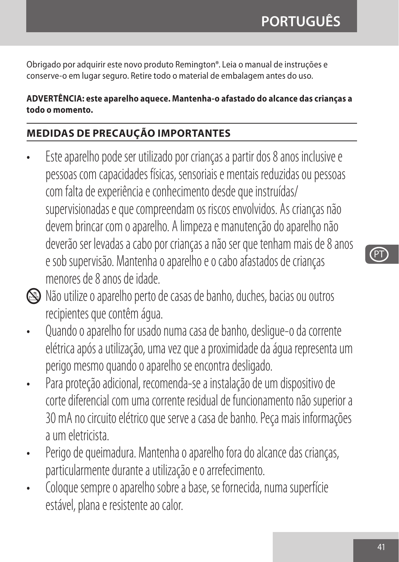Obrigado por adquirir este novo produto Remington®. Leia o manual de instruções e conserve-o em lugar seguro. Retire todo o material de embalagem antes do uso.

#### **ADVERTÊNCIA: este aparelho aquece. Mantenha-o afastado do alcance das crianças a todo o momento.**

# **MEDIDAS DE PRECAUÇÃO IMPORTANTES**

• Este aparelho pode ser utilizado por crianças a partir dos 8 anos inclusive e pessoas com capacidades físicas, sensoriais e mentais reduzidas ou pessoas com falta de experiência e conhecimento desde que instruídas/ supervisionadas e que compreendam os riscos envolvidos. As crianças não devem brincar com o aparelho. A limpeza e manutenção do aparelho não deverão ser levadas a cabo por crianças a não ser que tenham mais de 8 anos e sob supervisão. Mantenha o aparelho e o cabo afastados de crianças menores de 8 anos de idade.



L Não utilize o aparelho perto de casas de banho, duches, bacias ou outros recipientes que contêm água.

- Quando o aparelho for usado numa casa de banho, desligue-o da corrente elétrica após a utilização, uma vez que a proximidade da água representa um perigo mesmo quando o aparelho se encontra desligado.
- Para proteção adicional, recomenda-se a instalação de um dispositivo de corte diferencial com uma corrente residual de funcionamento não superior a 30 mA no circuito elétrico que serve a casa de banho. Peça mais informações a um eletricista.
- Perigo de queimadura. Mantenha o aparelho fora do alcance das crianças, particularmente durante a utilização e o arrefecimento.
- Coloque sempre o aparelho sobre a base, se fornecida, numa superfície estável, plana e resistente ao calor.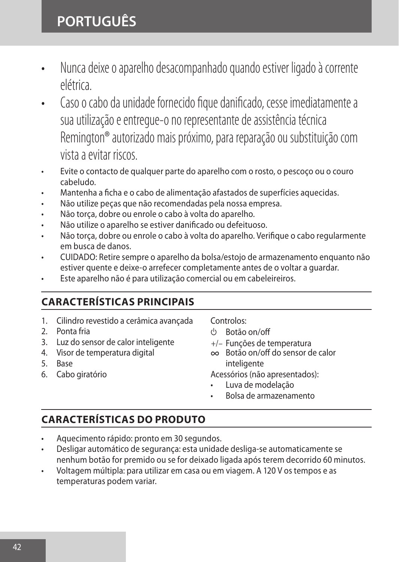# **PORTUGUÊS**

- Nunca deixe o aparelho desacompanhado quando estiver ligado à corrente elétrica.
- Caso o cabo da unidade fornecido fique danificado, cesse imediatamente a sua utilização e entregue-o no representante de assistência técnica Remington® autorizado mais próximo, para reparação ou substituição com vista a evitar riscos.
- Evite o contacto de qualquer parte do aparelho com o rosto, o pescoço ou o couro cabeludo.
- Mantenha a ficha e o cabo de alimentação afastados de superfícies aquecidas.
- Não utilize peças que não recomendadas pela nossa empresa.
- Não torça, dobre ou enrole o cabo à volta do aparelho.
- Não utilize o aparelho se estiver danificado ou defeituoso.
- Não torça, dobre ou enrole o cabo à volta do aparelho. Verifique o cabo regularmente em busca de danos.
- CUIDADO: Retire sempre o aparelho da bolsa/estojo de armazenamento enquanto não estiver quente e deixe-o arrefecer completamente antes de o voltar a guardar.
- Este aparelho não é para utilização comercial ou em cabeleireiros.

### **CARACTERÍSTICAS PRINCIPAIS**

- 1. Cilindro revestido a cerâmica avançada
- 2. Ponta fria
- 3. Luz do sensor de calor inteligente
- 4. Visor de temperatura digital
- 5. Base
- 6. Cabo giratório

Controlos:

- $(b)$  Botão on/off
- +/– Funções de temperatura
- ∞ Botão on/off do sensor de calor inteligente

Acessórios (não apresentados):

- Luva de modelação
- Bolsa de armazenamento

### **CARACTERÍSTICAS DO PRODUTO**

- Aquecimento rápido: pronto em 30 segundos.
- Desligar automático de segurança: esta unidade desliga-se automaticamente se nenhum botão for premido ou se for deixado ligada após terem decorrido 60 minutos.
- Voltagem múltipla: para utilizar em casa ou em viagem. A 120 V os tempos e as temperaturas podem variar.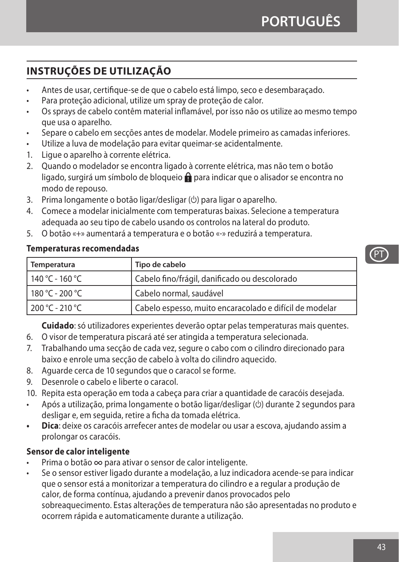# **INSTRUÇÕES DE UTILIZAÇÃO**

- Antes de usar, certifique-se de que o cabelo está limpo, seco e desembaracado.
- Para proteção adicional, utilize um spray de proteção de calor.
- Os sprays de cabelo contêm material inflamável, por isso não os utilize ao mesmo tempo que usa o aparelho.
- Separe o cabelo em secções antes de modelar. Modele primeiro as camadas inferiores.
- Utilize a luva de modelação para evitar queimar-se acidentalmente.
- 1. Ligue o aparelho à corrente elétrica.
- 2. Quando o modelador se encontra ligado à corrente elétrica, mas não tem o botão ligado, surgirá um símbolo de bloqueio  $\bigoplus$  para indicar que o alisador se encontra no modo de repouso.
- 3. Prima longamente o botão ligar/desligar  $(\circ)$  para ligar o aparelho.
- 4. Comece a modelar inicialmente com temperaturas baixas. Selecione a temperatura adequada ao seu tipo de cabelo usando os controlos na lateral do produto.
- 5. O botão «+» aumentará a temperatura e o botão «-» reduzirá a temperatura.

#### **Temperaturas recomendadas**

| Temperatura        | Tipo de cabelo                                          |
|--------------------|---------------------------------------------------------|
| $140 °C - 160 °C$  | Cabelo fino/frágil, danificado ou descolorado           |
| $180 °C - 200 °C$  | Cabelo normal, saudável                                 |
| $1200 °C - 210 °C$ | Cabelo espesso, muito encaracolado e difícil de modelar |

**Cuidado**: só utilizadores experientes deverão optar pelas temperaturas mais quentes.

- 6. O visor de temperatura piscará até ser atingida a temperatura selecionada.
- 7. Trabalhando uma secção de cada vez, segure o cabo com o cilindro direcionado para baixo e enrole uma secção de cabelo à volta do cilindro aquecido.
- 8. Aguarde cerca de 10 segundos que o caracol se forme.
- 9. Desenrole o cabelo e liberte o caracol.
- 10. Repita esta operação em toda a cabeça para criar a quantidade de caracóis desejada.
- Após a utilização, prima longamente o botão ligar/desligar (C) durante 2 segundos para desligar e, em seguida, retire a ficha da tomada elétrica.
- **• Dica**: deixe os caracóis arrefecer antes de modelar ou usar a escova, ajudando assim a prolongar os caracóis.

#### **Sensor de calor inteligente**

- Prima o botão ∞ para ativar o sensor de calor inteligente.
- Se o sensor estiver ligado durante a modelação, a luz indicadora acende-se para indicar que o sensor está a monitorizar a temperatura do cilindro e a regular a produção de calor, de forma contínua, ajudando a prevenir danos provocados pelo sobreaquecimento. Estas alterações de temperatura não são apresentadas no produto e ocorrem rápida e automaticamente durante a utilização.

PT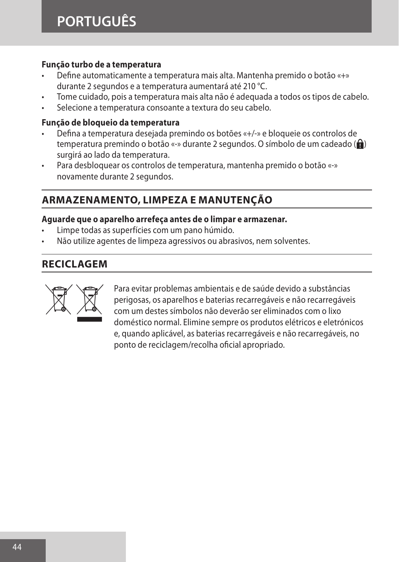#### **Função turbo de a temperatura**

- Define automaticamente a temperatura mais alta. Mantenha premido o botão «+» durante 2 segundos e a temperatura aumentará até 210 °C.
- Tome cuidado, pois a temperatura mais alta não é adequada a todos os tipos de cabelo.
- Selecione a temperatura consoante a textura do seu cabelo.

#### **Função de bloqueio da temperatura**

- Defina a temperatura desejada premindo os botões «+/-» e bloqueie os controlos de temperatura premindo o botão «-» durante 2 segundos. O símbolo de um cadeado ( $\bigoplus$ ) surgirá ao lado da temperatura.
- Para desbloquear os controlos de temperatura, mantenha premido o botão «-» novamente durante 2 segundos.

### **ARMAZENAMENTO, LIMPEZA E MANUTENÇÃO**

#### **Aguarde que o aparelho arrefeça antes de o limpar e armazenar.**

- Limpe todas as superfícies com um pano húmido.
- Não utilize agentes de limpeza agressivos ou abrasivos, nem solventes.

#### **RECICLAGEM**



Para evitar problemas ambientais e de saúde devido a substâncias<br>
perigosas, os aparelhos e baterias recarregáveis e não recarregávei<br>
com um destes símbolos não deverão ser eliminados com o lixo<br>
doméstico normal. Elimine perigosas, os aparelhos e baterias recarregáveis e não recarregáveis com um destes símbolos não deverão ser eliminados com o lixo doméstico normal. Elimine sempre os produtos elétricos e eletrónicos e, quando aplicável, as baterias recarregáveis e não recarregáveis, no ponto de reciclagem/recolha oficial apropriado.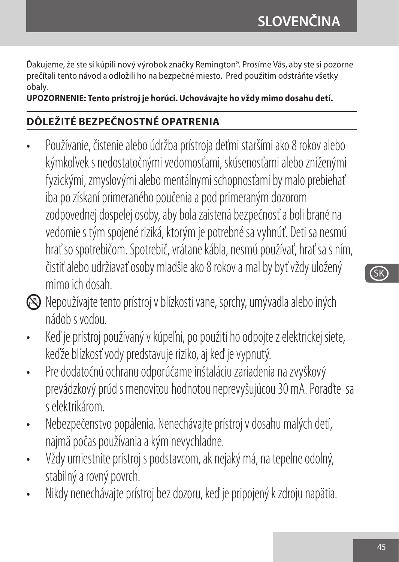Ďakujeme, že ste si kúpili nový výrobok značky Remington®. Prosíme Vás, aby ste si pozorne prečítali tento návod a odložili ho na bezpečné miesto. Pred použitím odstráňte všetky obaly.

**UPOZORNENIE: Tento prístroj je horúci. Uchovávajte ho vždy mimo dosahu detí.**

# **DÔLEŽITÉ BEZPEČNOSTNÉ OPATRENIA**

- Používanie, čistenie alebo údržba prístroja deťmi staršími ako 8 rokov alebo kýmkoľvek s nedostatočnými vedomosťami, skúsenosťami alebo zníženými fyzickými, zmyslovými alebo mentálnymi schopnosťami by malo prebiehať iba po získaní primeraného poučenia a pod primeraným dozorom zodpovednej dospelej osoby, aby bola zaistená bezpečnosť a boli brané na vedomie s tým spojené riziká, ktorým je potrebné sa vyhnúť. Deti sa nesmú hrať so spotrebičom. Spotrebič, vrátane kábla, nesmú používať, hrať sa s ním, čistiť alebo udržiavať osoby mladšie ako 8 rokov a mal by byť vždy uložený mimo ich dosah.
- L Nepoužívajte tento prístroj v blízkosti vane, sprchy, umývadla alebo iných nádob s vodou.
- Keď je prístroj používaný v kúpeľni, po použití ho odpojte z elektrickej siete, keďže blízkosť vody predstavuje riziko, aj keď je vypnutý.
- Pre dodatočnú ochranu odporúčame inštaláciu zariadenia na zvyškový prevádzkový prúd s menovitou hodnotou neprevyšujúcou 30 mA. Poraďte sa s elektrikárom.
- Nebezpečenstvo popálenia. Nenechávajte prístroj v dosahu malých detí, najmä počas používania a kým nevychladne.
- Vždy umiestnite prístroj s podstavcom, ak nejaký má, na tepelne odolný, stabilný a rovný povrch.
- Nikdy nenechávajte prístroj bez dozoru, keď je pripojený k zdroju napätia.

SK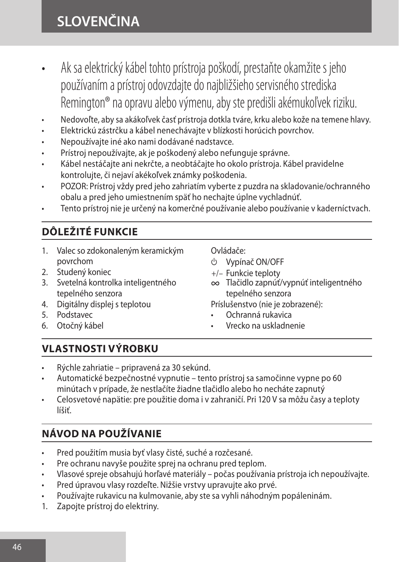# **SLOVENČINA**

- Ak sa elektrický kábel tohto prístroja poškodí, prestaňte okamžite s jeho používaním a prístroj odovzdajte do najbližšieho servisného strediska Remington® na opravu alebo výmenu, aby ste predišli akémukoľvek riziku.
- Nedovoľte, aby sa akákoľvek časť prístroja dotkla tváre, krku alebo kože na temene hlavy.
- Elektrickú zástrčku a kábel nenechávajte v blízkosti horúcich povrchov.
- Nepoužívajte iné ako nami dodávané nadstavce.
- Prístroj nepoužívajte, ak je poškodený alebo nefunguje správne.
- Kábel nestáčajte ani nekrčte, a neobtáčajte ho okolo prístroja. Kábel pravidelne kontrolujte, či nejaví akékoľvek známky poškodenia.
- POZOR: Prístroj vždy pred jeho zahriatím vyberte z puzdra na skladovanie/ochranného obalu a pred jeho umiestnením späť ho nechajte úplne vychladnúť.
- Tento prístroj nie je určený na komerčné používanie alebo používanie v kaderníctvach.

### **DÔLEŽITÉ FUNKCIE**

- 1. Valec so zdokonaleným keramickým povrchom
- 2. Studený koniec
- 3. Svetelná kontrolka inteligentného tepelného senzora
- 4. Digitálny displej s teplotou
- 5. Podstavec
- 6. Otočný kábel

Ovládače:

- C Vypínač ON/OFF
- +/– Funkcie teploty
- ∞ Tlačidlo zapnúť/vypnúť inteligentného tepelného senzora

Príslušenstvo (nie je zobrazené):

- Ochranná rukavica
- Vrecko na uskladnenie

### **VLASTNOSTI VÝROBKU**

- Rýchle zahriatie pripravená za 30 sekúnd.
- Automatické bezpečnostné vypnutie tento prístroj sa samočinne vypne po 60 minútach v prípade, že nestlačíte žiadne tlačidlo alebo ho necháte zapnutý
- Celosvetové napätie: pre použitie doma i v zahraničí. Pri 120 V sa môžu časy a teploty líšiť.

# **NÁVOD NA POUŽÍVANIE**

- Pred použitím musia byť vlasy čisté, suché a rozčesané.
- Pre ochranu navyše použite sprej na ochranu pred teplom.
- Vlasové spreje obsahujú horľavé materiály počas používania prístroja ich nepoužívajte.
- Pred úpravou vlasy rozdeľte. Nižšie vrstvy upravujte ako prvé.
- Používajte rukavicu na kulmovanie, aby ste sa vyhli náhodným popáleninám.
- 1. Zapojte prístroj do elektriny.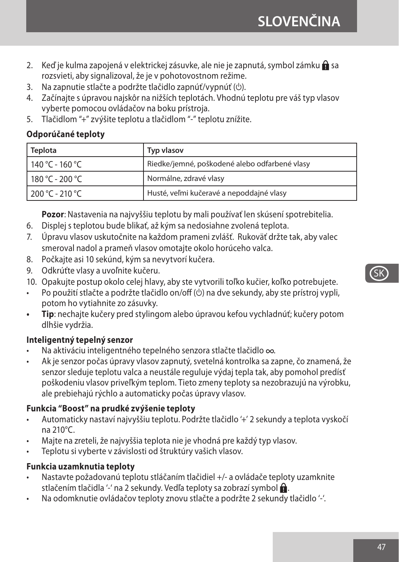- 2. Keď je kulma zapojená v elektrickej zásuvke, ale nie je zapnutá, symbol zámku  $\mathbf{\hat{u}}$  sa rozsvieti, aby signalizoval, že je v pohotovostnom režime.
- 3. Na zapnutie stlačte a podržte tlačidlo zapnúť/vypnúť (C).
- 4. Začínajte s úpravou najskôr na nižších teplotách. Vhodnú teplotu pre váš typ vlasov vyberte pomocou ovládačov na boku prístroja.
- 5. Tlačidlom "+" zvýšite teplotu a tlačidlom "-" teplotu znížite.

### **Odporúčané teploty**

| <b>Teplota</b>    | Typ vlasov                                    |
|-------------------|-----------------------------------------------|
| 140 °C - 160 °C   | Riedke/jemné, poškodené alebo odfarbené vlasy |
| 180 °C - 200 °C   | Normálne, zdravé vlasy                        |
| $200 °C - 210 °C$ | Husté, veľmi kučeravé a nepoddajné vlasy      |

**Pozor**: Nastavenia na najvyššiu teplotu by mali používať len skúsení spotrebitelia.

- 6. Displej s teplotou bude blikať, až kým sa nedosiahne zvolená teplota.
- 7. Úpravu vlasov uskutočnite na každom prameni zvlášť. Rukoväť držte tak, aby valec smeroval nadol a prameň vlasov omotajte okolo horúceho valca.
- 8. Počkajte asi 10 sekúnd, kým sa nevytvorí kučera.
- 9. Odkrúťte vlasy a uvoľnite kučeru.
- 10. Opakujte postup okolo celej hlavy, aby ste vytvorili toľko kučier, koľko potrebujete.
- Po použití stlačte a podržte tlačidlo on/off ( $\circ$ ) na dve sekundy, aby ste prístroj vypli, potom ho vytiahnite zo zásuvky.
- **• Tip**: nechajte kučery pred stylingom alebo úpravou kefou vychladnúť; kučery potom dlhšie vydržia.

#### **Inteligentný tepelný senzor**

- Na aktiváciu inteligentného tepelného senzora stlačte tlačidlo ∞.
- Ak je senzor počas úpravy vlasov zapnutý, svetelná kontrolka sa zapne, čo znamená, že senzor sleduje teplotu valca a neustále reguluje výdaj tepla tak, aby pomohol predísť poškodeniu vlasov priveľkým teplom. Tieto zmeny teploty sa nezobrazujú na výrobku, ale prebiehajú rýchlo a automaticky počas úpravy vlasov.

#### **Funkcia "Boost" na prudké zvýšenie teploty**

- Automaticky nastaví najvyššiu teplotu. Podržte tlačidlo '+' 2 sekundy a teplota vyskočí na 210°C.
- Majte na zreteli, že najvyššia teplota nie je vhodná pre každý typ vlasov.
- Teplotu si vyberte v závislosti od štruktúry vašich vlasov.

#### **Funkcia uzamknutia teploty**

- Nastavte požadovanú teplotu stláčaním tlačidiel +/- a ovládače teploty uzamknite stlačením tlačidla '-' na 2 sekundy. Vedľa teploty sa zobrazí symbol  $\bigcap$ .
- Na odomknutie ovládačov teploty znovu stlačte a podržte 2 sekundy tlačidlo '-'.

SK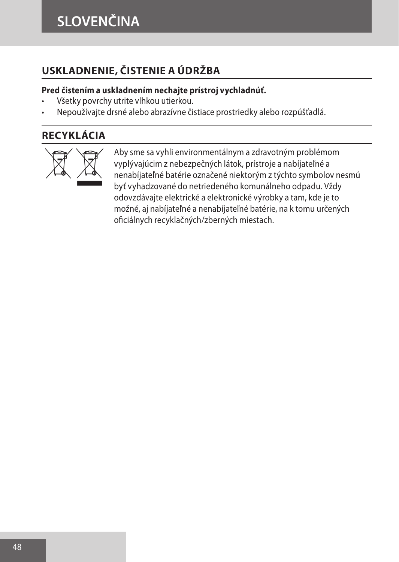### **USKLADNENIE, ČISTENIE A ÚDRŽBA**

#### **Pred čistením a uskladnením nechajte prístroj vychladnúť.**

- Všetky povrchy utrite vlhkou utierkou.
- Nepoužívajte drsné alebo abrazívne čistiace prostriedky alebo rozpúšťadlá.

### **RECYKLÁCIA**



Aby sme sa vyhli environmentálnym a zdravotným problémom<br>vyplývajúcim z nebezpečných látok, prístroje a nabíjateľné a<br>nenabíjateľné batérie označené niektorým z týchto symbolov byť vyhadzované do netriedeného komunálneho o vyplývajúcim z nebezpečných látok, prístroje a nabíjateľné a nenabíjateľné batérie označené niektorým z týchto symbolov nesmú byť vyhadzované do netriedeného komunálneho odpadu. Vždy odovzdávajte elektrické a elektronické výrobky a tam, kde je to možné, aj nabíjateľné a nenabíjateľné batérie, na k tomu určených oficiálnych recyklačných/zberných miestach.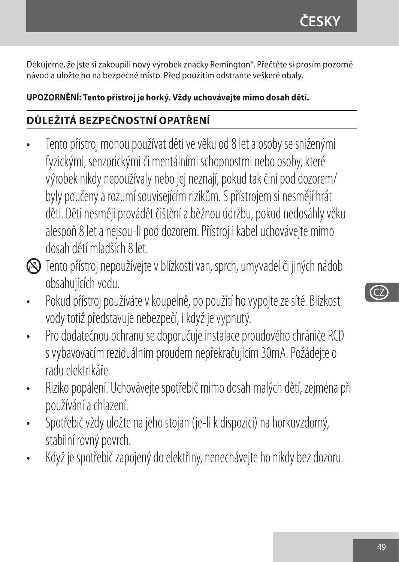Děkujeme, že jste si zakoupili nový výrobek značky Remington®. Přečtěte si prosím pozorně návod a uložte ho na bezpečné místo. Před použitím odstraňte veškeré obaly.

### **UPOZORNĚNÍ: Tento přístroj je horký. Vždy uchovávejte mimo dosah dětí.**

# **DŮLEŽITÁ BEZPEČNOSTNÍ OPATŘENÍ**

- Tento přístroj mohou používat děti ve věku od 8 let a osoby se sníženými fyzickými, senzorickými či mentálními schopnostmi nebo osoby, které výrobek nikdy nepoužívaly nebo jej neznají, pokud tak činí pod dozorem/ byly poučeny a rozumí souvisejícím rizikům. S přístrojem si nesmějí hrát děti. Děti nesmějí provádět čištění a běžnou údržbu, pokud nedosáhly věku alespoň 8 let a nejsou-li pod dozorem. Přístroj i kabel uchovávejte mimo dosah dětí mladších 8 let.
- L Tento přístroj nepoužívejte v blízkosti van, sprch, umyvadel či jiných nádob obsahujících vodu.
- Pokud přístroj používáte v koupelně, po použití ho vypojte ze sítě. Blízkost vody totiž představuje nebezpečí, i když je vypnutý.
- Pro dodatečnou ochranu se doporučuje instalace proudového chrániče RCD s vybavovacím reziduálním proudem nepřekračujícím 30mA. Požádejte o radu elektrikáře.
- Riziko popálení. Uchovávejte spotřebič mimo dosah malých dětí, zejména při používání a chlazení.
- Spotřebič vždy uložte na jeho stojan (je-li k dispozici) na horkuvzdorný, stabilní rovný povrch.
- Když je spotřebič zapojený do elektřiny, nenechávejte ho nikdy bez dozoru.

 $\overline{C}$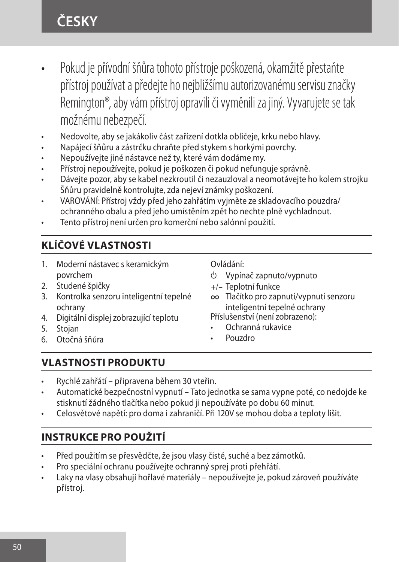# **ČESKY**

- Pokud je přívodní šňůra tohoto přístroje poškozená, okamžitě přestaňte přístroj používat a předejte ho nejbližšímu autorizovanému servisu značky Remington®, aby vám přístroj opravili či vyměnili za jiný. Vyvarujete se tak možnému nebezpečí.
- Nedovolte, aby se jakákoliv část zařízení dotkla obličeje, krku nebo hlavy.
- Napájecí šňůru a zástrčku chraňte před stykem s horkými povrchy.
- Nepoužívejte jiné nástavce než ty, které vám dodáme my.
- Přístroj nepoužívejte, pokud je poškozen či pokud nefunguje správně.
- Dávejte pozor, aby se kabel nezkroutil či nezauzloval a neomotávejte ho kolem strojku Šňůru pravidelně kontrolujte, zda nejeví známky poškození.
- VAROVÁNÍ: Přístroj vždy před jeho zahřátím vyjměte ze skladovacího pouzdra/ ochranného obalu a před jeho umístěním zpět ho nechte plně vychladnout.
- Tento přístroj není určen pro komerční nebo salónní použití.

# **KLÍČOVÉ VLASTNOSTI**

- 1. Moderní nástavec s keramickým povrchem
- 2. Studené špičky
- 3. Kontrolka senzoru inteligentní tepelné ochrany
- 4. Digitální displej zobrazující teplotu
- 5. Stojan
- 6. Otočná šňůra

Ovládání:

- C Vypínač zapnuto/vypnuto
- +/– Teplotní funkce
- ∞ Tlačítko pro zapnutí/vypnutí senzoru inteligentní tepelné ochrany
- Příslušenství (není zobrazeno):
- Ochranná rukavice
- Pouzdro

### **VLASTNOSTI PRODUKTU**

- Rychlé zahřátí připravena během 30 vteřin.
- Automatické bezpečnostní vypnutí Tato jednotka se sama vypne poté, co nedojde ke stisknutí žádného tlačítka nebo pokud ji nepoužíváte po dobu 60 minut.
- Celosvětové napětí: pro doma i zahraničí. Při 120V se mohou doba a teploty lišit.

### **INSTRUKCE PRO POUŽITÍ**

- Před použitím se přesvědčte, že jsou vlasy čisté, suché a bez zámotků.
- Pro speciální ochranu používejte ochranný sprej proti přehřátí.
- Laky na vlasy obsahují hořlavé materiály nepoužívejte je, pokud zároveň používáte přístroj.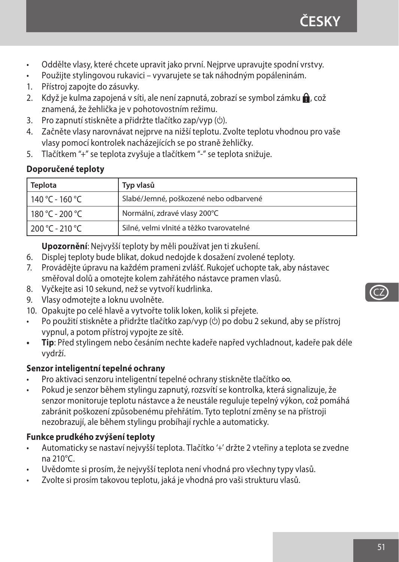**ČESKY**

- Oddělte vlasy, které chcete upravit jako první. Nejprve upravujte spodní vrstvy.
- Použijte stylingovou rukavici vyvarujete se tak náhodným popáleninám.
- 1. Přístroj zapojte do zásuvky.
- 2. Když je kulma zapojená v síti, ale není zapnutá, zobrazí se symbol zámku  $\mathbf{a}$ , což znamená, že žehlička je v pohotovostním režimu.
- 3. Pro zapnutí stiskněte a přidržte tlačítko zap/vyp (c)).
- 4. Začněte vlasy narovnávat nejprve na nižší teplotu. Zvolte teplotu vhodnou pro vaše vlasy pomocí kontrolek nacházejících se po straně žehličky.
- 5. Tlačítkem "+" se teplota zvyšuje a tlačítkem "-" se teplota snižuje.

#### **Doporučené teploty**

| <b>Teplota</b>    | Typ vlasů                                |
|-------------------|------------------------------------------|
| $140 °C - 160 °C$ | Slabé/Jemné, poškozené nebo odbarvené    |
| $180 °C - 200 °C$ | Normální, zdravé vlasy 200°C             |
| $200 °C - 210 °C$ | Silné, velmi vlnité a těžko tvarovatelné |

**Upozornění**: Nejvyšší teploty by měli používat jen ti zkušení.

- 6. Displej teploty bude blikat, dokud nedojde k dosažení zvolené teploty.
- 7. Provádějte úpravu na každém prameni zvlášť. Rukojeť uchopte tak, aby nástavec směřoval dolů a omotejte kolem zahřátého nástavce pramen vlasů.
- 8. Vyčkejte asi 10 sekund, než se vytvoří kudrlinka.
- 9. Vlasy odmotejte a loknu uvolněte.
- 10. Opakujte po celé hlavě a vytvořte tolik loken, kolik si přejete.
- Po použití stiskněte a přidržte tlačítko zap/vyp (C) po dobu 2 sekund, aby se přístroj vypnul, a potom přístroj vypojte ze sítě.
- **• Tip**: Před stylingem nebo česáním nechte kadeře napřed vychladnout, kadeře pak déle vydrží.

#### **Senzor inteligentní tepelné ochrany**

- Pro aktivaci senzoru inteligentní tepelné ochrany stiskněte tlačítko ∞.
- Pokud je senzor během stylingu zapnutý, rozsvítí se kontrolka, která signalizuje, že senzor monitoruje teplotu nástavce a že neustále reguluje tepelný výkon, což pomáhá zabránit poškození způsobenému přehřátím. Tyto teplotní změny se na přístroji nezobrazují, ale během stylingu probíhají rychle a automaticky.

#### **Funkce prudkého zvýšení teploty**

- Automaticky se nastaví nejvyšší teplota. Tlačítko '+' držte 2 vteřiny a teplota se zvedne na 210°C.
- Uvědomte si prosím, že nejvyšší teplota není vhodná pro všechny typy vlasů.
- Zvolte si prosím takovou teplotu, jaká je vhodná pro vaši strukturu vlasů.

# CZ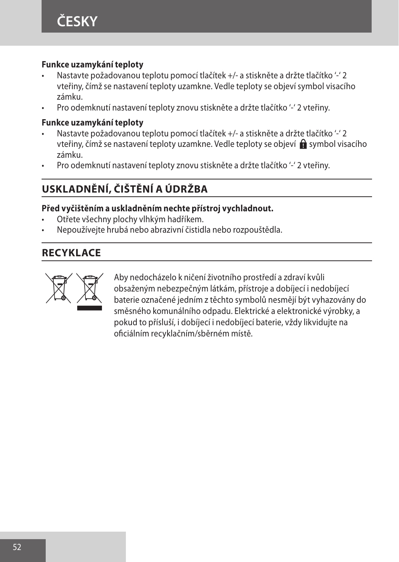#### **Funkce uzamykání teploty**

- Nastavte požadovanou teplotu pomocí tlačítek +/- a stiskněte a držte tlačítko '-' 2 vteřiny, čímž se nastavení teploty uzamkne. Vedle teploty se objeví symbol visacího zámku.
- Pro odemknutí nastavení teploty znovu stiskněte a držte tlačítko '-' 2 vteřiny.

#### **Funkce uzamykání teploty**

- Nastavte požadovanou teplotu pomocí tlačítek +/- a stiskněte a držte tlačítko '-' 2 vteřiny, čímž se nastavení teploty uzamkne. Vedle teploty se objeví **na** symbol visacího zámku.
- Pro odemknutí nastavení teploty znovu stiskněte a držte tlačítko '-' 2 vteřiny.

### **USKLADNĚNÍ, ČIŠTĚNÍ A ÚDRŽBA**

#### **Před vyčištěním a uskladněním nechte přístroj vychladnout.**

- Otřete všechny plochy vlhkým hadříkem.
- Nepoužívejte hrubá nebo abrazivní čistidla nebo rozpouštědla.

### **RECYKLACE**



Aby nedocházelo k ničení životního prostředí a zdraví kvůli bosaženým nebezpečným látkám, přístroje a dobíjecí i nedobíjecí barenie odpadu. Elektrické a elektronické výrobky, a sokud to přísluší. Idobíjecí i nedobíjecí bar obsaženým nebezpečným látkám, přístroje a dobíjecí i nedobíjecí baterie označené jedním z těchto symbolů nesmějí být vyhazovány do pokud to přísluší, i dobíjecí i nedobíjecí baterie, vždy likvidujte na oficiálním recyklačním/sběrném místě.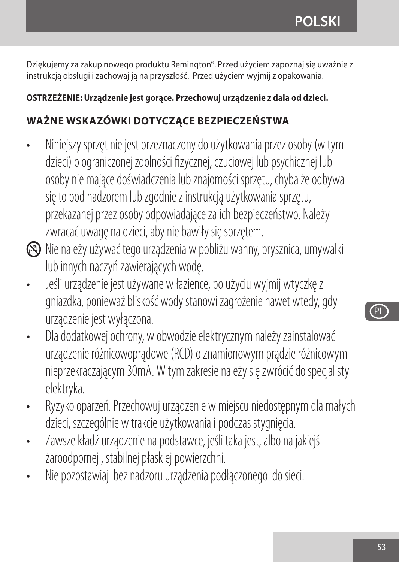Dziękujemy za zakup nowego produktu Remington®. Przed użyciem zapoznaj się uważnie z instrukcją obsługi i zachowaj ją na przyszłość. Przed użyciem wyjmij z opakowania.

### **OSTRZEŻENIE: Urządzenie jest gorące. Przechowuj urządzenie z dala od dzieci.**

# **WAŻNE WSKAZÓWKI DOTYCZĄCE BEZPIECZEŃSTWA**

- Niniejszy sprzęt nie jest przeznaczony do użytkowania przez osoby (w tym dzieci) o ograniczonej zdolności fizycznej, czuciowej lub psychicznej lub osoby nie mające doświadczenia lub znajomości sprzętu, chyba że odbywa się to pod nadzorem lub zgodnie z instrukcją użytkowania sprzętu, przekazanej przez osoby odpowiadające za ich bezpieczeństwo. Należy zwracać uwagę na dzieci, aby nie bawiły się sprzętem.
- 

L Nie należy używać tego urządzenia w pobliżu wanny, prysznica, umywalki lub innych naczyń zawierających wodę.

- Jeśli urządzenie jest używane w łazience, po użyciu wyjmij wtyczkę z gniazdka, ponieważ bliskość wody stanowi zagrożenie nawet wtedy, gdy urządzenie jest wyłączona.
- Dla dodatkowej ochrony, w obwodzie elektrycznym należy zainstalować urządzenie różnicowoprądowe (RCD) o znamionowym prądzie różnicowym nieprzekraczającym 30mA. W tym zakresie należy się zwrócić do specjalisty elektryka.
- Ryzyko oparzeń. Przechowuj urządzenie w miejscu niedostępnym dla małych dzieci, szczególnie w trakcie użytkowania i podczas stygnięcia.
- Zawsze kładź urządzenie na podstawce, jeśli taka jest, albo na jakiejś żaroodpornej , stabilnej płaskiej powierzchni.
- Nie pozostawiaj bez nadzoru urządzenia podłączonego do sieci.

(PL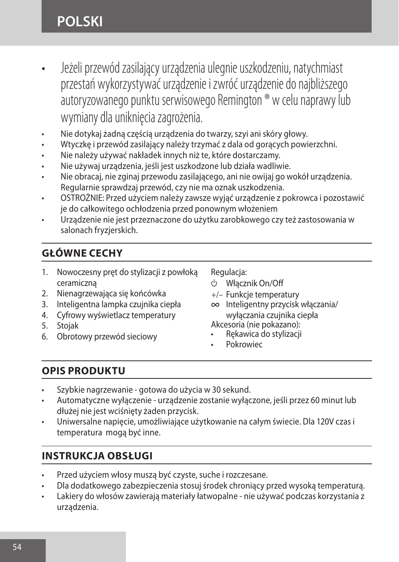# **POLSKI**

- Jeżeli przewód zasilający urządzenia ulegnie uszkodzeniu, natychmiast przestań wykorzystywać urządzenie i zwróć urządzenie do najbliższego autoryzowanego punktu serwisowego Remington ® w celu naprawy lub wymiany dla uniknięcia zagrożenia.
- Nie dotykaj żadną częścią urządzenia do twarzy, szyi ani skóry głowy.
- Wtyczkę i przewód zasilający należy trzymać z dala od gorących powierzchni.
- Nie należy używać nakładek innych niż te, które dostarczamy.
- Nie używaj urządzenia, jeśli jest uszkodzone lub działa wadliwie.
- Nie obracaj, nie zginaj przewodu zasilającego, ani nie owijaj go wokół urządzenia. Regularnie sprawdzaj przewód, czy nie ma oznak uszkodzenia.
- OSTROŻNIE: Przed użyciem należy zawsze wyjąć urządzenie z pokrowca i pozostawić je do całkowitego ochłodzenia przed ponownym włożeniem
- Urządzenie nie jest przeznaczone do użytku zarobkowego czy też zastosowania w salonach fryzjerskich.

### **GŁÓWNE CECHY**

- 1. Nowoczesny pręt do stylizacji z powłoką ceramiczną
- 2. Nienagrzewająca się końcówka
- 3. Inteligentna lampka czujnika ciepła
- 4. Cyfrowy wyświetlacz temperatury
- 5. Stojak
- 6. Obrotowy przewód sieciowy

Regulacja:

- (b) Włącznik On/Off
- +/– Funkcje temperatury
- ∞ Inteligentny przycisk włączania/ wyłączania czujnika ciepła
- Akcesoria (nie pokazano):
- Rękawica do stylizacji
- Pokrowiec

### **OPIS PRODUKTU**

- Szybkie nagrzewanie gotowa do użycia w 30 sekund.
- Automatyczne wyłączenie urządzenie zostanie wyłączone, jeśli przez 60 minut lub dłużej nie jest wciśnięty żaden przycisk.
- Uniwersalne napięcie, umożliwiające użytkowanie na całym świecie. Dla 120V czas i temperatura mogą być inne.

### **INSTRUKCJA OBSŁUGI**

- Przed użyciem włosy muszą być czyste, suche i rozczesane.
- Dla dodatkowego zabezpieczenia stosuj środek chroniący przed wysoką temperaturą.
- Lakiery do włosów zawierają materiały łatwopalne nie używać podczas korzystania z urządzenia.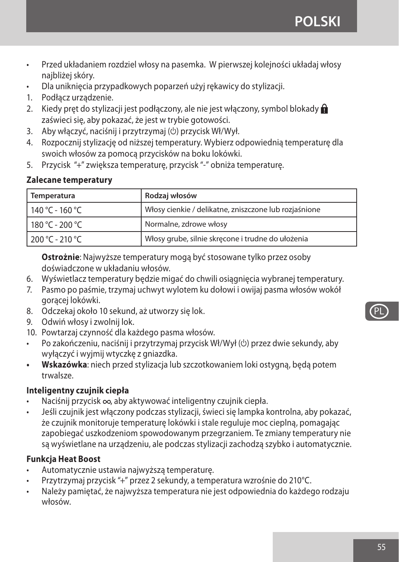**POLSKI**

- Przed układaniem rozdziel włosy na pasemka. W pierwszej kolejności układaj włosy najbliżej skóry.
- Dla uniknięcia przypadkowych poparzeń użyj rękawicy do stylizacji.
- 1. Podłącz urządzenie.
- 2. Kiedy pręt do stylizacji jest podłączony, ale nie jest włączony, symbol blokady  $\hat{\mathbf{h}}$ zaświeci się, aby pokazać, że jest w trybie gotowości.
- 3. Aby włączyć, naciśnij i przytrzymaj ( $\circledcirc$ ) przycisk Wł/Wył.
- 4. Rozpocznij stylizację od niższej temperatury. Wybierz odpowiednią temperaturę dla swoich włosów za pomocą przycisków na boku lokówki.
- 5. Przycisk "+" zwiększa temperaturę, przycisk "-" obniża temperaturę.

#### **Zalecane temperatury**

| Temperatura       | Rodzaj włosów                                         |
|-------------------|-------------------------------------------------------|
| 140 °C - 160 °C   | Włosy cienkie / delikatne, zniszczone lub rozjaśnione |
| 180 °C - 200 °C   | Normalne, zdrowe włosy                                |
| $200 °C - 210 °C$ | Włosy grube, silnie skrecone i trudne do ułożenia     |

**Ostrożnie**: Najwyższe temperatury mogą być stosowane tylko przez osoby doświadczone w układaniu włosów.

- 6. Wyświetlacz temperatury będzie migać do chwili osiągnięcia wybranej temperatury.
- 7. Pasmo po paśmie, trzymaj uchwyt wylotem ku dołowi i owijaj pasma włosów wokół gorącej lokówki.
- 8. Odczekaj około 10 sekund, aż utworzy się lok.
- 9. Odwiń włosy i zwolnij lok.
- 10. Powtarzaj czynność dla każdego pasma włosów.
- Po zakończeniu, naciśnij i przytrzymaj przycisk Wł/Wył (C) przez dwie sekundy, aby wyłączyć i wyjmij wtyczkę z gniazdka.
- **• Wskazówka**: niech przed stylizacja lub szczotkowaniem loki ostygną, będą potem trwalsze.

#### **Inteligentny czujnik ciepła**

- Naciśnij przycisk ∞, aby aktywować inteligentny czujnik ciepła.
- Jeśli czujnik jest włączony podczas stylizacji, świeci się lampka kontrolna, aby pokazać, że czujnik monitoruje temperaturę lokówki i stale reguluje moc cieplną, pomagając zapobiegać uszkodzeniom spowodowanym przegrzaniem. Te zmiany temperatury nie są wyświetlane na urządzeniu, ale podczas stylizacji zachodzą szybko i automatycznie.

#### **Funkcja Heat Boost**

- Automatycznie ustawia najwyższą temperaturę.
- Przytrzymaj przycisk "+" przez 2 sekundy, a temperatura wzrośnie do 210°C.
- Należy pamiętać, że najwyższa temperatura nie jest odpowiednia do każdego rodzaju włosów.

### PL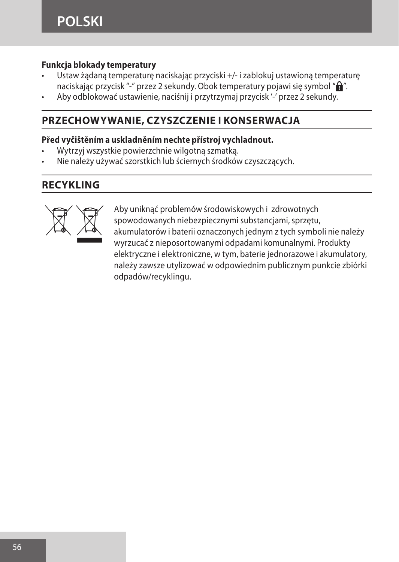#### **Funkcja blokady temperatury**

- Ustaw żądaną temperaturę naciskając przyciski +/- i zablokuj ustawioną temperaturę naciskając przycisk "-" przez 2 sekundy. Obok temperatury pojawi się symbol " $\mathbf{f}$ ".
- Aby odblokować ustawienie, naciśnij i przytrzymaj przycisk '-' przez 2 sekundy.

### **PRZECHOWYWANIE, CZYSZCZENIE I KONSERWACJA**

#### **Před vyčištěním a uskladněním nechte přístroj vychladnout.**

- Wytrzyj wszystkie powierzchnie wilgotną szmatką.
- Nie należy używać szorstkich lub ściernych środków czyszczących.

### **RECYKLING**



Aby uniknąć problemów środowiskowych i zdrowotnych<br>spowodowanych niebezpiecznymi substancjami, sprzętu,<br>wyrzucać z nieposortowanymi odpadami komunalnymi.<br>wyrzucać z nieposortowanymi odpadami komunalnymi.<br>elektryczne i elek spowodowanych niebezpiecznymi substancjami, sprzętu, akumulatorów i baterii oznaczonych jednym z tych symboli nie należy wyrzucać z nieposortowanymi odpadami komunalnymi. Produkty elektryczne i elektroniczne, w tym, baterie jednorazowe i akumulatory, należy zawsze utylizować w odpowiednim publicznym punkcie zbiórki odpadów/recyklingu.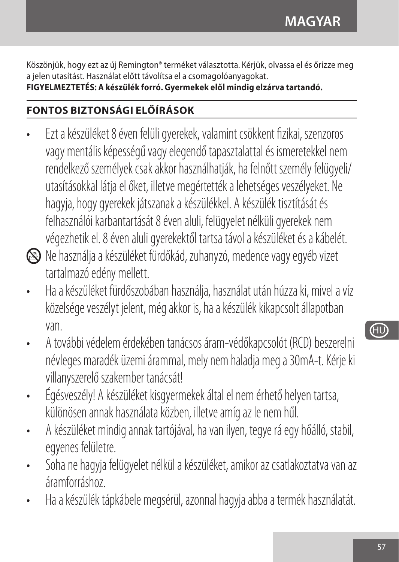Köszönjük, hogy ezt az új Remington® terméket választotta. Kérjük, olvassa el és őrizze meg a jelen utasítást. Használat előtt távolítsa el a csomagolóanyagokat. **FIGYELMEZTETÉS: A készülék forró. Gyermekek elől mindig elzárva tartandó.**

# **FONTOS BIZTONSÁGI ELŐÍRÁSOK**

- Ezt a készüléket 8 éven felüli gyerekek, valamint csökkent fizikai, szenzoros vagy mentális képességű vagy elegendő tapasztalattal és ismeretekkel nem rendelkező személyek csak akkor használhatják, ha felnőtt személy felügyeli/ utasításokkal látja el őket, illetve megértették a lehetséges veszélyeket. Ne hagyja, hogy gyerekek játszanak a készülékkel. A készülék tisztítását és felhasználói karbantartását 8 éven aluli, felügyelet nélküli gyerekek nem végezhetik el. 8 éven aluli gyerekektől tartsa távol a készüléket és a kábelét.
- 

L Ne használja a készüléket fürdőkád, zuhanyzó, medence vagy egyéb vizet tartalmazó edény mellett.

- Ha a készüléket fürdőszobában használja, használat után húzza ki, mivel a víz közelsége veszélyt jelent, még akkor is, ha a készülék kikapcsolt állapotban van.
- A további védelem érdekében tanácsos áram-védőkapcsolót (RCD) beszerelni névleges maradék üzemi árammal, mely nem haladja meg a 30mA-t. Kérje ki villanyszerelő szakember tanácsát!
- Égésveszély! A készüléket kisgyermekek által el nem érhető helyen tartsa, különösen annak használata közben, illetve amíg az le nem hűl.
- A készüléket mindig annak tartójával, ha van ilyen, tegye rá egy hőálló, stabil, egyenes felületre.
- Soha ne hagyja felügyelet nélkül a készüléket, amikor az csatlakoztatva van az áramforráshoz.
- Ha a készülék tápkábele megsérül, azonnal hagyja abba a termék használatát.

HU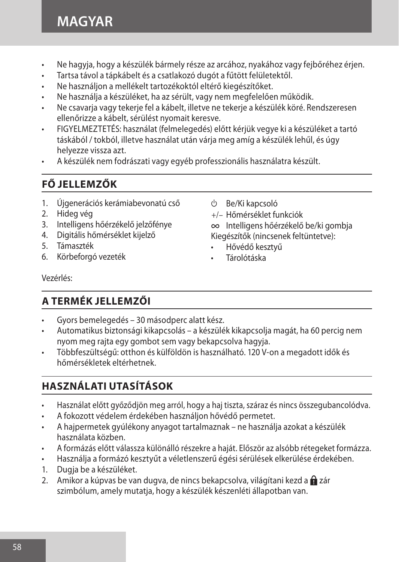- Ne hagyja, hogy a készülék bármely része az arcához, nyakához vagy fejbőréhez érjen.
- Tartsa távol a tápkábelt és a csatlakozó dugót a fűtött felületektől.
- Ne használjon a mellékelt tartozékoktól eltérő kiegészítőket.
- Ne használja a készüléket, ha az sérült, vagy nem megfelelően működik.
- Ne csavarja vagy tekerje fel a kábelt, illetve ne tekerje a készülék köré. Rendszeresen ellenőrizze a kábelt, sérülést nyomait keresve.
- FIGYELMEZTETÉS: használat (felmelegedés) előtt kérjük vegye ki a készüléket a tartó táskából / tokból, illetve használat után várja meg amíg a készülék lehűl, és úgy helyezze vissza azt.
- A készülék nem fodrászati vagy egyéb professzionális használatra készült.

# **FŐ JELLEMZŐK**

- 1. Újgenerációs kerámiabevonatú cső
- 2. Hideg vég
- 3. Intelligens hőérzékelő jelzőfénye
- 4. Digitális hőmérséklet kijelző
- 5. Támaszték
- 6. Körbeforgó vezeték

C Be/Ki kapcsoló

+/– Hőmérséklet funkciók

∞ Intelligens hőérzékelő be/ki gombja Kiegészítők (nincsenek feltüntetve):

- Hővédő kesztyű
- Tárolótáska

Vezérlés:

# **A TERMÉK JELLEMZŐI**

- Gyors bemelegedés 30 másodperc alatt kész.
- Automatikus biztonsági kikapcsolás a készülék kikapcsolja magát, ha 60 percig nem nyom meg rajta egy gombot sem vagy bekapcsolva hagyja.
- Többfeszültségű: otthon és külföldön is használható. 120 V-on a megadott idők és hőmérsékletek eltérhetnek.

### **HASZNÁLATI UTASÍTÁSOK**

- Használat előtt győződjön meg arról, hogy a haj tiszta, száraz és nincs összegubancolódva.
- A fokozott védelem érdekében használjon hővédő permetet.
- A hajpermetek gyúlékony anyagot tartalmaznak ne használja azokat a készülék használata közben.
- A formázás előtt válassza különálló részekre a haját. Először az alsóbb rétegeket formázza.
- Használja a formázó kesztyűt a véletlenszerű égési sérülések elkerülése érdekében.
- 1. Dugja be a készüléket.
- 2. Amikor a kúpvas be van dugva, de nincs bekapcsolva, világítani kezd a  $\bigoplus$  zár szimbólum, amely mutatja, hogy a készülék készenléti állapotban van.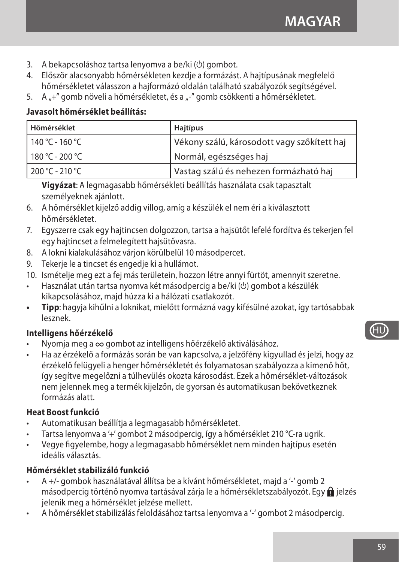- 3. A bekapcsoláshoz tartsa lenyomya a be/ki ( $\cup$ ) gombot.
- 4. Először alacsonyabb hőmérsékleten kezdje a formázást. A hajtípusának megfelelő hőmérsékletet válasszon a hajformázó oldalán található szabályozók segítségével.
- 5. A "+" gomb növeli a hőmérsékletet, és a "-" gomb csökkenti a hőmérsékletet.

### **Javasolt hőmérséklet beállítás:**

| Hőmérséklet        | <b>Hajtípus</b>                             |
|--------------------|---------------------------------------------|
| $140 °C - 160 °C$  | Vékony szálú, károsodott vagy szőkített haj |
| $180 °C - 200 °C$  | Normál, egészséges haj                      |
| $1200 °C - 210 °C$ | Vastag szálú és nehezen formázható haj      |

**Vigyázat**: A legmagasabb hőmérsékleti beállítás használata csak tapasztalt személyeknek ajánlott.

- 6. A hőmérséklet kijelző addig villog, amíg a készülék el nem éri a kiválasztott hőmérsékletet.
- 7. Egyszerre csak egy hajtincsen dolgozzon, tartsa a hajsütőt lefelé fordítva és tekerjen fel egy hajtincset a felmelegített hajsütővasra.
- 8. A lokni kialakulásához várjon körülbelül 10 másodpercet.
- 9. Tekerje le a tincset és engedje ki a hullámot.
- 10. Ismételje meg ezt a fej más területein, hozzon létre annyi fürtöt, amennyit szeretne.
- Használat után tartsa nyomva két másodpercig a be/ki ( $\circ$ ) gombot a készülék kikapcsolásához, majd húzza ki a hálózati csatlakozót.
- **• Tipp**: hagyja kihűlni a loknikat, mielőtt formázná vagy kifésülné azokat, így tartósabbak lesznek.

### **Intelligens hőérzékelő**

- Nyomja meg a ∞ gombot az intelligens hőérzékelő aktiválásához.
- Ha az érzékelő a formázás során be van kapcsolva, a jelzőfény kigyullad és jelzi, hogy az érzékelő felügyeli a henger hőmérsékletét és folyamatosan szabályozza a kimenő hőt, így segítve megelőzni a túlhevülés okozta károsodást. Ezek a hőmérséklet-változások nem jelennek meg a termék kijelzőn, de gyorsan és automatikusan bekövetkeznek formázás alatt.

### **Heat Boost funkció**

- Automatikusan beállítja a legmagasabb hőmérsékletet.
- Tartsa lenyomva a '+' gombot 2 másodpercig, így a hőmérséklet 210 °C-ra ugrik.
- Vegye figyelembe, hogy a legmagasabb hőmérséklet nem minden hajtípus esetén ideális választás.

### **Hőmérséklet stabilizáló funkció**

- A +/- gombok használatával állítsa be a kívánt hőmérsékletet, majd a '-' gomb 2 másodpercig történő nyomva tartásával zárja le a hőmérsékletszabályozót. Egy B jelzés jelenik meg a hőmérséklet jelzése mellett.
- A hőmérséklet stabilizálás feloldásához tartsa lenyomva a '-' gombot 2 másodpercig.

### HU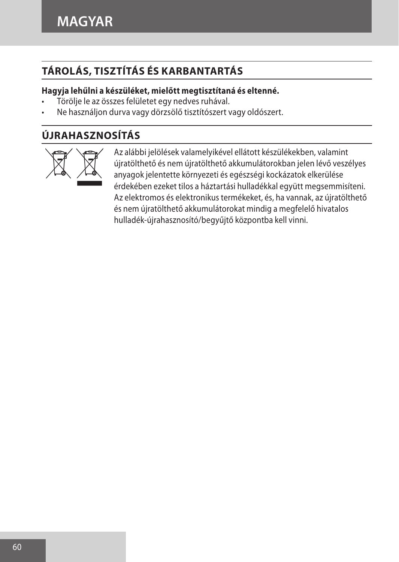### **TÁROLÁS, TISZTÍTÁS ÉS KARBANTARTÁS**

#### **Hagyja lehűlni a készüléket, mielőtt megtisztítaná és eltenné.**

- Törölje le az összes felületet egy nedves ruhával.
- Ne használjon durva vagy dörzsölő tisztítószert vagy oldószert.

### **ÚJRAHASZNOSÍTÁS**



Az alábbi jelölések valamelyikével ellátott készülékekben, valamint<br>igratölthető és nem újratölthető akkumulátorokban jelen lévő vesz<br>anyagok jelentette környezeti és egészségi kockázatok elkerülése<br>érdekben ezeket tilos a újratölthető és nem újratölthető akkumulátorokban jelen lévő veszélyes anyagok jelentette környezeti és egészségi kockázatok elkerülése érdekében ezeket tilos a háztartási hulladékkal együtt megsemmisíteni. Az elektromos és elektronikus termékeket, és, ha vannak, az újratölthető és nem újratölthető akkumulátorokat mindig a megfelelő hivatalos hulladék-újrahasznosító/begyűjtő központba kell vinni.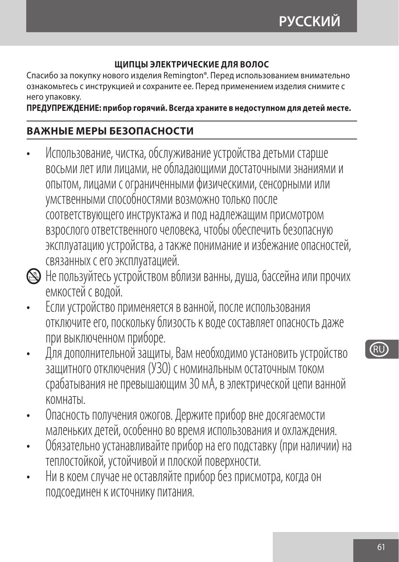#### **ЩИПЦЫ ЭЛЕКТРИЧЕСКИЕ ДЛЯ ВОЛОС**

Спасибо за покупку нового изделия Remington®. Перед использованием внимательно ознакомьтесь с инструкцией и сохраните ее. Перед применением изделия снимите с него упаковку.

#### **ПРЕДУПРЕЖДЕНИЕ: прибор горячий. Всегда храните в недоступном для детей месте.**

### **ВАЖНЫЕ МЕРЫ БЕЗОПАСНОСТИ**

• Использование, чистка, обслуживание устройства детьми старше восьми лет или лицами, не обладающими достаточными знаниями и опытом, лицами с ограниченными физическими, сенсорными или умственными способностями возможно только после соответствующего инструктажа и под надлежащим присмотром взрослого ответственного человека, чтобы обеспечить безопасную эксплуатацию устройства, а также понимание и избежание опасностей, связанных с его эксплуатацией.



L Не пользуйтесь устройством вблизи ванны, душа, бассейна или прочих емкостей с водой.

- Если устройство применяется в ванной, после использования отключите его, поскольку близость к воде составляет опасность даже при выключенном приборе.
- Для дополнительной защиты, Вам необходимо установить устройство защитного отключения (УЗО) с номинальным остаточным током срабатывания не превышающим 30 мА, в электрической цепи ванной комнаты.
- Опасность получения ожогов. Держите прибор вне досягаемости маленьких детей, особенно во время использования и охлаждения.
- Обязательно устанавливайте прибор на его подставку (при наличии) на теплостойкой, устойчивой и плоской поверхности.
- Ни в коем случае не оставляйте прибор без присмотра, когда он подсоединен к источнику питания.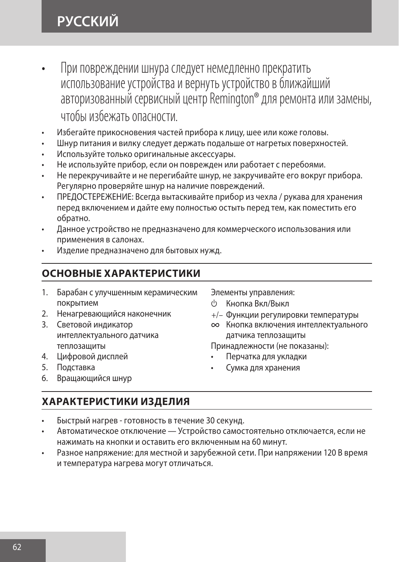- При повреждении шнура следует немедленно прекратить использование устройства и вернуть устройство в ближайший авторизованный сервисный центр Remington® для ремонта или замены, чтобы избежать опасности.
- Избегайте прикосновения частей прибора к лицу, шее или коже головы.
- Шнур питания и вилку следует держать подальше от нагретых поверхностей.
- Используйте только оригинальные аксессуары.
- Не используйте прибор, если он поврежден или работает с перебоями.
- Не перекручивайте и не перегибайте шнур, не закручивайте его вокруг прибора. Регулярно проверяйте шнур на наличие повреждений.
- ПРЕДОСТЕРЕЖЕНИЕ: Всегда вытаскивайте прибор из чехла / рукава для хранения перед включением и дайте ему полностью остыть перед тем, как поместить его обратно.
- Данное устройство не предназначено для коммерческого использования или применения в салонах.
- Изделие предназначено для бытовых нужд.

### **ОСНОВНЫЕ ХАРАКТЕРИСТИКИ**

- 1. Барабан с улучшенным керамическим покрытием
- 2. Ненагревающийся наконечник
- 3. Световой индикатор интеллектуального датчика теплозащиты
- 4. Цифровой дисплей
- 5. Подставка
- Элементы управления:
- <sup>(1)</sup> Кнопка Вкл/Выкл
- +/– Функции регулировки температуры
- ∞ Кнопка включения интеллектуального датчика теплозащиты
- Принадлежности (не показаны):
- Перчатка для укладки
- Сумка для хранения

6. Вращающийся шнур

### **ХАРАКТЕРИСТИКИ ИЗДЕЛИЯ**

- Быстрый нагрев готовность в течение 30 секунд.
- Автоматическое отключение Устройство самостоятельно отключается, если не нажимать на кнопки и оставить его включенным на 60 минут.
- Разное напряжение: для местной и зарубежной сети. При напряжении 120 В время и температура нагрева могут отличаться.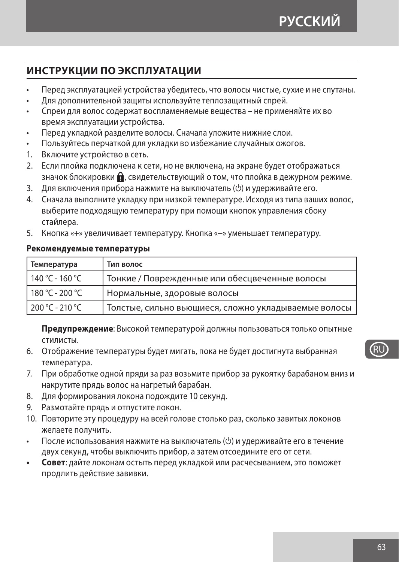### **ИНСТРУКЦИИ ПО ЭКСПЛУАТАЦИИ**

- Перед эксплуатацией устройства убедитесь, что волосы чистые, сухие и не спутаны.
- Для дополнительной защиты используйте теплозащитный спрей.
- Спреи для волос содержат воспламеняемые вещества не применяйте их во время эксплуатации устройства.
- Перед укладкой разделите волосы. Сначала уложите нижние слои.
- Пользуйтесь перчаткой для укладки во избежание случайных ожогов.
- 1. Включите устройство в сеть.
- 2. Если плойка подключена к сети, но не включена, на экране будет отображаться значок блокировки  $\mathbf{G}$ , свидетельствующий о том, что плойка в дежурном режиме.
- 3. Для включения прибора нажмите на выключатель (C) и удерживайте его.
- 4. Сначала выполните укладку при низкой температуре. Исходя из типа ваших волос, выберите подходящую температуру при помощи кнопок управления сбоку стайлера.
- 5. Кнопка «+» увеличивает температуру. Кнопка «−» уменьшает температуру.

#### **Рекомендуемые температуры**

| Температура       | Тип волос                                            |
|-------------------|------------------------------------------------------|
| $140 °C - 160 °C$ | Тонкие / Поврежденные или обесцвеченные волосы       |
| $180 °C - 200 °C$ | Нормальные, здоровые волосы                          |
| $200 °C - 210 °C$ | Толстые, сильно вьющиеся, сложно укладываемые волосы |

**Предупреждение**: Высокой температурой должны пользоваться только опытные стилисты.

- 6. Отображение температуры будет мигать, пока не будет достигнута выбранная температура.
- 7. При обработке одной пряди за раз возьмите прибор за рукоятку барабаном вниз и накрутите прядь волос на нагретый барабан.
- 8. Для формирования локона подождите 10 секунд.
- 9. Размотайте прядь и отпустите локон.
- 10. Повторите эту процедуру на всей голове столько раз, сколько завитых локонов желаете получить.
- После использования нажмите на выключатель ( $\uplus$ ) и удерживайте его в течение двух секунд, чтобы выключить прибор, а затем отсоедините его от сети.
- **• Совет**: дайте локонам остыть перед укладкой или расчесыванием, это поможет продлить действие завивки.

RU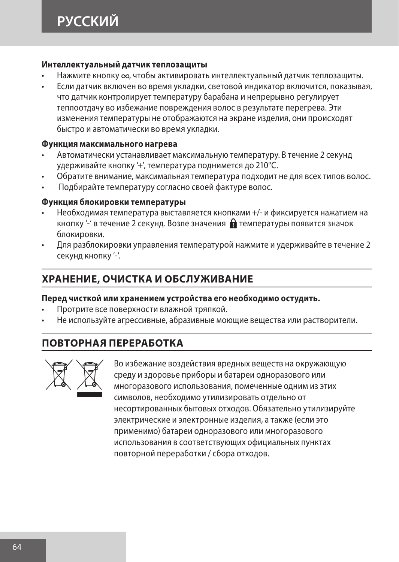#### **Интеллектуальный датчик теплозащиты**

- Нажмите кнопку ∞, чтобы активировать интеллектуальный датчик теплозащиты.
- Если датчик включен во время укладки, световой индикатор включится, показывая, что датчик контролирует температуру барабана и непрерывно регулирует теплоотдачу во избежание повреждения волос в результате перегрева. Эти изменения температуры не отображаются на экране изделия, они происходят быстро и автоматически во время укладки.

#### **Функция максимального нагрева**

- Автоматически устанавливает максимальную температуру. В течение 2 секунд удерживайте кнопку '+', температура поднимется до 210°C.
- Обратите внимание, максимальная температура подходит не для всех типов волос.
- Подбирайте температуру согласно своей фактуре волос.

#### **Функция блокировки температуры**

- Необходимая температура выставляется кнопками +/- и фиксируется нажатием на кнопку '-' в течение 2 секунд. Возле значения **B** температуры появится значок блокировки.
- Для разблокировки управления температурой нажмите и удерживайте в течение 2 секунд кнопку '-'.

#### **ХРАНЕНИЕ, ОЧИСТКА И ОБСЛУЖИВАНИЕ**

#### **Перед чисткой или хранением устройства его необходимо остудить.**

- Протрите все поверхности влажной тряпкой.
- Не используйте агрессивные, абразивные моющие вещества или растворители.

### **ПОВТОРНАЯ ПЕРЕРАБОТКА**



Во избежание воздействия вредных веществ на окружающую<br>среду и здоровье приборы и батареи одноразового или<br>многоразового использования, помеченные одним из этих<br>символов, необходимо утилизировать отдельно от инескотирован среду и здоровье приборы и батареи одноразового или многоразового использования, помеченные одним из этих символов, необходимо утилизировать отдельно от несортированных бытовых отходов. Обязательно утилизируйте электрические и электронные изделия, а также (если это применимо) батареи одноразового или многоразового использования в соответствующих официальных пунктах повторной переработки / сбора отходов.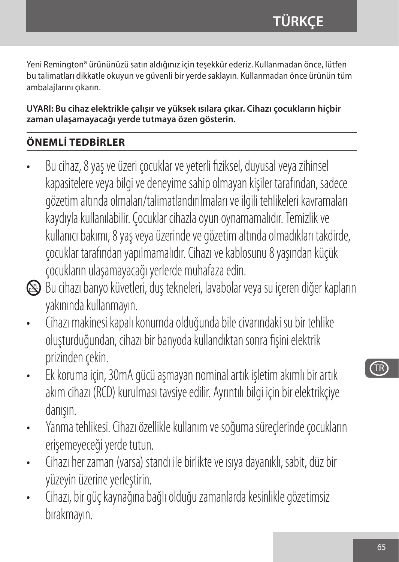Yeni Remington® ürününüzü satın aldığınız için teşekkür ederiz. Kullanmadan önce, lütfen bu talimatları dikkatle okuyun ve güvenli bir yerde saklayın. Kullanmadan önce ürünün tüm ambalajlarını çıkarın.

### **UYARI: Bu cihaz elektrikle çalışır ve yüksek ısılara çıkar. Cihazı çocukların hiçbir zaman ulaşamayacağı yerde tutmaya özen gösterin.**

# **ÖNEMLİ TEDBİRLER**

- Bu cihaz, 8 yaş ve üzeri çocuklar ve yeterli fiziksel, duyusal veya zihinsel kapasitelere veya bilgi ve deneyime sahip olmayan kişiler tarafından, sadece gözetim altında olmaları/talimatlandırılmaları ve ilgili tehlikeleri kavramaları kaydıyla kullanılabilir. Çocuklar cihazla oyun oynamamalıdır. Temizlik ve kullanıcı bakımı, 8 yaş veya üzerinde ve gözetim altında olmadıkları takdirde, çocuklar tarafından yapılmamalıdır. Cihazı ve kablosunu 8 yaşından küçük çocukların ulaşamayacağı yerlerde muhafaza edin.
- L Bu cihazı banyo küvetleri, duş tekneleri, lavabolar veya su içeren diğer kapların yakınında kullanmayın.
- Cihazı makinesi kapalı konumda olduğunda bile civarındaki su bir tehlike oluşturduğundan, cihazı bir banyoda kullandıktan sonra fişini elektrik prizinden çekin.
- Ek koruma için, 30mA gücü aşmayan nominal artık işletim akımlı bir artık akım cihazı (RCD) kurulması tavsiye edilir. Ayrıntılı bilgi için bir elektrikçiye danışın.
- Yanma tehlikesi. Cihazı özellikle kullanım ve soğuma süreçlerinde çocukların erişemeyeceği yerde tutun.
- Cihazı her zaman (varsa) standı ile birlikte ve ısıya dayanıklı, sabit, düz bir yüzeyin üzerine yerleştirin.
- Cihazı, bir güç kaynağına bağlı olduğu zamanlarda kesinlikle gözetimsiz bırakmayın.

TR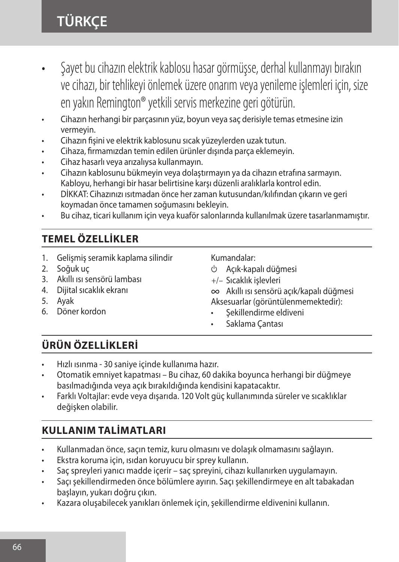# **TÜRKÇE**

- Şayet bu cihazın elektrik kablosu hasar görmüşse, derhal kullanmayı bırakın ve cihazı, bir tehlikeyi önlemek üzere onarım veya yenileme işlemleri için, size en yakın Remington® yetkili servis merkezine geri götürün.
- Cihazın herhangi bir parçasının yüz, boyun veya saç derisiyle temas etmesine izin vermeyin.
- Cihazın fişini ve elektrik kablosunu sıcak yüzeylerden uzak tutun.
- Cihaza, firmamızdan temin edilen ürünler dışında parça eklemeyin.
- Cihaz hasarlı veya arızalıysa kullanmayın.
- Cihazın kablosunu bükmeyin veya dolaştırmayın ya da cihazın etrafına sarmayın. Kabloyu, herhangi bir hasar belirtisine karşı düzenli aralıklarla kontrol edin.
- DİKKAT: Cihazınızı ısıtmadan önce her zaman kutusundan/kılıfından çıkarın ve geri koymadan önce tamamen soğumasını bekleyin.
- Bu cihaz, ticari kullanım için veya kuaför salonlarında kullanılmak üzere tasarlanmamıştır.

### **TEMEL ÖZELLİKLER**

- 1. Gelişmiş seramik kaplama silindir
- 2. Soğuk uç
- 3. Akıllı ısı sensörü lambası
- 4. Dijital sıcaklık ekranı
- 5. Ayak
- 6. Döner kordon

Kumandalar:

- C Açık-kapalı düğmesi
- +/– Sıcaklık işlevleri

∞ Akıllı ısı sensörü açık/kapalı düğmesi Aksesuarlar (görüntülenmemektedir):

- Şekillendirme eldiveni
- Saklama Çantası

# **ÜRÜN ÖZELLİKLERİ**

- Hızlı ısınma 30 saniye içinde kullanıma hazır.
- Otomatik emniyet kapatması Bu cihaz, 60 dakika boyunca herhangi bir düğmeye basılmadığında veya açık bırakıldığında kendisini kapatacaktır.
- Farklı Voltajlar: evde veya dışarıda. 120 Volt güç kullanımında süreler ve sıcaklıklar değişken olabilir.

### **KULLANIM TALİMATLARI**

- Kullanmadan önce, saçın temiz, kuru olmasını ve dolaşık olmamasını sağlayın.
- Ekstra koruma için, ısıdan koruyucu bir sprey kullanın.
- Saç spreyleri yanıcı madde içerir saç spreyini, cihazı kullanırken uygulamayın.
- Saçı şekillendirmeden önce bölümlere ayırın. Saçı şekillendirmeye en alt tabakadan başlayın, yukarı doğru çıkın.
- Kazara oluşabilecek yanıkları önlemek için, şekillendirme eldivenini kullanın.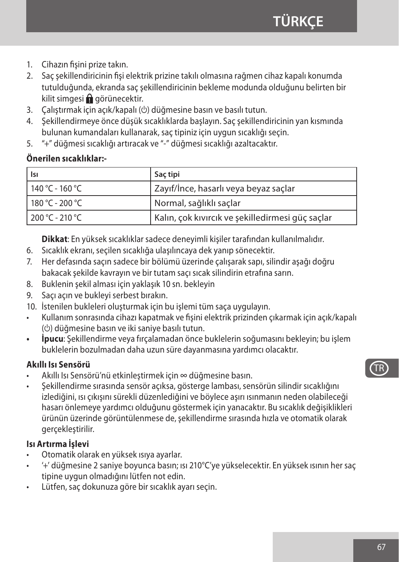- 1. Cihazın fişini prize takın.
- 2. Saç şekillendiricinin fişi elektrik prizine takılı olmasına rağmen cihaz kapalı konumda tutulduğunda, ekranda saç şekillendiricinin bekleme modunda olduğunu belirten bir kilit simgesi **A** görünecektir.
- 3. Çalıştırmak için açık/kapalı (C) düğmesine basın ve basılı tutun.
- 4. Şekillendirmeye önce düşük sıcaklıklarda başlayın. Saç şekillendiricinin yan kısmında bulunan kumandaları kullanarak, saç tipiniz için uygun sıcaklığı seçin.
- 5. "+" düğmesi sıcaklığı artıracak ve "-" düğmesi sıcaklığı azaltacaktır.

#### **Önerilen sıcaklıklar:-**

| lsı               | Sac tipi                                         |
|-------------------|--------------------------------------------------|
| 140 °C - 160 °C   | Zayıf/İnce, hasarlı veya beyaz saçlar            |
| $180 °C - 200 °C$ | Normal, sağlıklı saçlar                          |
| $200 °C - 210 °C$ | Kalın, çok kıvırcık ve şekilledirmesi güç saçlar |

**Dikkat**: En yüksek sıcaklıklar sadece deneyimli kişiler tarafından kullanılmalıdır.

- 6. Sıcaklık ekranı, seçilen sıcaklığa ulaşılıncaya dek yanıp sönecektir.
- 7. Her defasında saçın sadece bir bölümü üzerinde çalışarak sapı, silindir aşağı doğru bakacak şekilde kavrayın ve bir tutam saçı sıcak silindirin etrafına sarın.
- 8. Buklenin şekil alması için yaklaşık 10 sn. bekleyin
- 9. Saçı açın ve bukleyi serbest bırakın.
- 10. İstenilen bukleleri oluşturmak için bu işlemi tüm saça uygulayın.
- Kullanım sonrasında cihazı kapatmak ve fişini elektrik prizinden çıkarmak için açık/kapalı (C) düğmesine basın ve iki saniye basılı tutun.
- **• İpucu**: Şekillendirme veya fırçalamadan önce buklelerin soğumasını bekleyin; bu işlem buklelerin bozulmadan daha uzun süre dayanmasına yardımcı olacaktır.

#### **Akıllı Isı Sensörü**

- Akıllı Isı Sensörü'nü etkinleştirmek için ∞ düğmesine basın.
- Şekillendirme sırasında sensör açıksa, gösterge lambası, sensörün silindir sıcaklığını izlediğini, ısı çıkışını sürekli düzenlediğini ve böylece aşırı ısınmanın neden olabileceği hasarı önlemeye yardımcı olduğunu göstermek için yanacaktır. Bu sıcaklık değişiklikleri ürünün üzerinde görüntülenmese de, şekillendirme sırasında hızla ve otomatik olarak gerçekleştirilir.

#### **Isı Artırma İşlevi**

- Otomatik olarak en yüksek ısıya ayarlar.
- '+' düğmesine 2 saniye boyunca basın; ısı 210°C'ye yükselecektir. En yüksek ısının her saç tipine uygun olmadığını lütfen not edin.
- Lütfen, saç dokunuza göre bir sıcaklık ayarı seçin.

# TR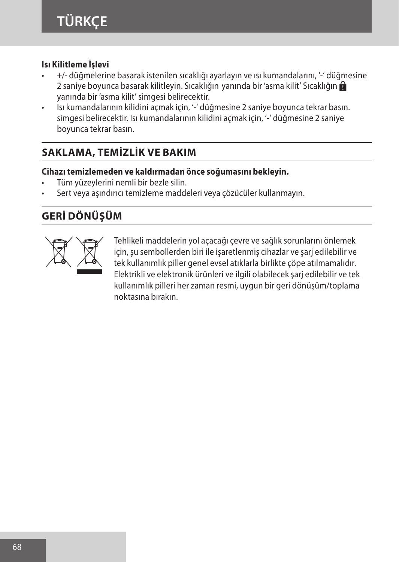#### **Isı Kilitleme İşlevi**

- +/- düğmelerine basarak istenilen sıcaklığı ayarlayın ve ısı kumandalarını, '-' düğmesine 2 saniye boyunca basarak kilitleyin. Sıcaklığın yanında bir 'asma kilit' Sıcaklığın  $\widehat{B}$ yanında bir 'asma kilit' simgesi belirecektir.
- Isı kumandalarının kilidini açmak için, '-' düğmesine 2 saniye boyunca tekrar basın. simgesi belirecektir. Isı kumandalarının kilidini açmak için, '-' düğmesine 2 saniye boyunca tekrar basın.

### **SAKLAMA, TEMİZLİK VE BAKIM**

#### **Cihazı temizlemeden ve kaldırmadan önce soğumasını bekleyin.**

- Tüm yüzeylerini nemli bir bezle silin.
- Sert veya aşındırıcı temizleme maddeleri veya çözücüler kullanmayın.

### **GERİ DÖNÜŞÜM**



Tehlikeli maddelerin yol açacağı çevre ve sağlık sorunlarını önlemek<br>
için, şu sembollerden biri ile işaretlemmiş cihazlar ve şarj edilebilir ve<br>
tekkullanımlık piller genel evsel atıklarla birlikte çöpe atılmamalıdır.<br>
E için, şu sembollerden biri ile işaretlenmiş cihazlar ve şarj edilebilir ve tek kullanımlık piller genel evsel atıklarla birlikte çöpe atılmamalıdır. Elektrikli ve elektronik ürünleri ve ilgili olabilecek şarj edilebilir ve tek kullanımlık pilleri her zaman resmi, uygun bir geri dönüşüm/toplama noktasına bırakın.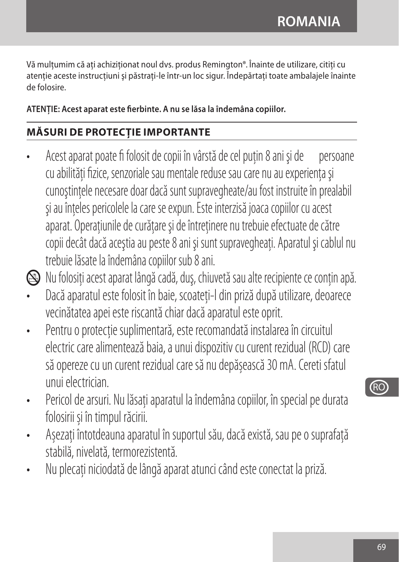Vă mulţumim că aţi achiziţionat noul dvs. produs Remington®. Înainte de utilizare, citiţi cu atenție aceste instrucțiuni și păstrați-le într-un loc sigur. Îndepărtați toate ambalajele înainte de folosire.

### **ATENŢIE: Acest aparat este fierbinte. A nu se lăsa la îndemâna copiilor.**

# **MĂSURI DE PROTECŢIE IMPORTANTE**

- Acest aparat poate fi folosit de copii în vârstă de cel putin 8 ani și de persoane cu abilități fizice, senzoriale sau mentale reduse sau care nu au experiența și cunoștințele necesare doar dacă sunt supravegheate/au fost instruite în prealabil si au înteles pericolele la care se expun. Este interzisă joaca copiilor cu acest aparat. Operațiunile de curățare și de întreținere nu trebuie efectuate de către copii decât dacă aceștia au peste 8 ani și sunt supravegheați. Aparatul și cablul nu trebuie lăsate la îndemâna copiilor sub 8 ani.
- L Nu folosiţi acest aparat lângă cadă, duş, chiuvetă sau alte recipiente ce conţin apă.
- Dacă aparatul este folosit în baie, scoateti-l din priză după utilizare, deoarece vecinătatea apei este riscantă chiar dacă aparatul este oprit.
- Pentru o protecție suplimentară, este recomandată instalarea în circuitul electric care alimentează baia, a unui dispozitiv cu curent rezidual (RCD) care să opereze cu un curent rezidual care să nu depășească 30 mA. Cereti sfatul unui electrician.
- Pericol de arsuri. Nu lăsați aparatul la îndemâna copiilor, în special pe durata folosirii și în timpul răcirii.
- Așezaţi întotdeauna aparatul în suportul său, dacă există, sau pe o suprafaţă stabilă, nivelată, termorezistentă.
- Nu plecați niciodată de lângă aparat atunci când este conectat la priză.

RO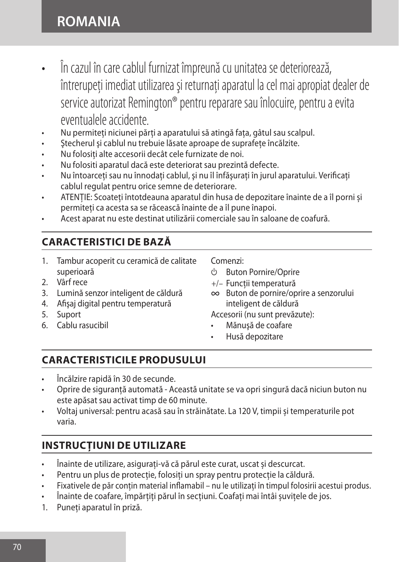- În cazul în care cablul furnizat împreună cu unitatea se deteriorează, întrerupeti imediat utilizarea și returnați aparatul la cel mai apropiat dealer de service autorizat Remington® pentru reparare sau înlocuire, pentru a evita eventualele accidente.
- Nu permiteți niciunei părți a aparatului să atingă fața, gâtul sau scalpul.
- Stecherul și cablul nu trebuie lăsate aproape de suprafete încălzite.
- Nu folositi alte accesorii decât cele furnizate de noi.
- Nu folositi aparatul dacă este deteriorat sau prezintă defecte.
- Nu întoarceți sau nu înnodați cablul, și nu îl înfășurați în jurul aparatului. Verificați cablul regulat pentru orice semne de deteriorare.
- ATENȚIE: Scoateți întotdeauna aparatul din husa de depozitare înainte de a îl porni și permiteți ca acesta sa se răcească înainte de a îl pune înapoi.
- Acest aparat nu este destinat utilizării comerciale sau în saloane de coafură.

# **CARACTERISTICI DE BAZĂ**

- 1. Tambur acoperit cu ceramică de calitate superioară
- 2. Vârf rece
- 3. Lumină senzor inteligent de căldură
- 4. Afişaj digital pentru temperatură
- 5. Suport
- 6. Cablu rasucibil

Comenzi:

- (b) Buton Pornire/Oprire
- +/– Funcții temperatură
- ∞ Buton de pornire/oprire a senzorului inteligent de căldură

Accesorii (nu sunt prevăzute):

- Mănusă de coafare
- Husă depozitare

### **CARACTERISTICILE PRODUSULUI**

- Încălzire rapidă în 30 de secunde.
- Oprire de siguranță automată Această unitate se va opri singură dacă niciun buton nu este apăsat sau activat timp de 60 minute.
- Voltaj universal: pentru acasă sau în străinătate. La 120 V, timpii și temperaturile pot varia.

### **INSTRUCȚIUNI DE UTILIZARE**

- Înainte de utilizare, asigurați-vă că părul este curat, uscat și descurcat.
- Pentru un plus de protecție, folosiți un spray pentru protecție la căldură.
- Fixativele de păr conțin material inflamabil nu le utilizați în timpul folosirii acestui produs.
- Înainte de coafare, împărțiți părul în secțiuni. Coafați mai întâi suvițele de jos.
- 1. Puneți aparatul în priză.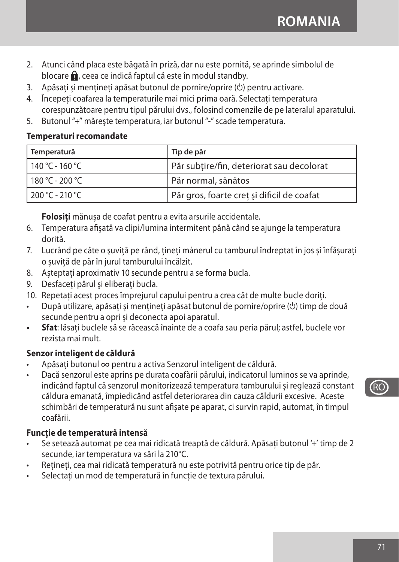- 2. Atunci când placa este băgată în priză, dar nu este pornită, se aprinde simbolul de blocare  $\mathbf{\hat{m}}$ , ceea ce indică faptul că este în modul standby.
- 3. Apăsați și mentineți apăsat butonul de pornire/oprire  $(\bigcirc)$  pentru activare.
- 4. Începeți coafarea la temperaturile mai mici prima oară. Selectați temperatura corespunzătoare pentru tipul părului dvs., folosind comenzile de pe lateralul aparatului.
- 5. Butonul "+" mărește temperatura, iar butonul "-" scade temperatura.

#### **Temperaturi recomandate**

| Temperatură       | Tip de păr                                 |
|-------------------|--------------------------------------------|
| $140 °C - 160 °C$ | Păr subtire/fin, deteriorat sau decolorat  |
| $180 °C - 200 °C$ | Păr normal, sănătos                        |
| $200 °C - 210 °C$ | Păr gros, foarte creț și dificil de coafat |

**Folosiți** mănușa de coafat pentru a evita arsurile accidentale.

- 6. Temperatura afișată va clipi/lumina intermitent până când se ajunge la temperatura dorită.
- 7. Lucrând pe câte o suvită pe rând, tineți mânerul cu tamburul îndreptat în jos și înfășurați o șuviţă de păr în jurul tamburului încălzit.
- 8. Așteptați aproximativ 10 secunde pentru a se forma bucla.
- 9. Desfaceti părul și eliberati bucla.
- 10. Repetați acest proces împrejurul capului pentru a crea cât de multe bucle doriți.
- $\cdot$  După utilizare, apăsați și mențineți apăsat butonul de pornire/oprire  $(0)$  timp de două secunde pentru a opri și deconecta apoi aparatul.
- **• Sfat**: lăsaţi buclele să se răcească înainte de a coafa sau peria părul; astfel, buclele vor rezista mai mult.

#### **Senzor inteligent de căldură**

- Apăsați butonul ∞ pentru a activa Senzorul inteligent de căldură.
- Dacă senzorul este aprins pe durata coafării părului, indicatorul luminos se va aprinde, indicând faptul că senzorul monitorizează temperatura tamburului și reglează constant căldura emanată, împiedicând astfel deteriorarea din cauza căldurii excesive. Aceste schimbări de temperatură nu sunt afișate pe aparat, ci survin rapid, automat, în timpul coafării.

#### **Funcţie de temperatură intensă**

- Se setează automat pe cea mai ridicată treaptă de căldură. Apăsați butonul '+' timp de 2 secunde, iar temperatura va sări la 210°C.
- Retineti, cea mai ridicată temperatură nu este potrivită pentru orice tip de păr.
- Selectați un mod de temperatură în funcție de textura părului.

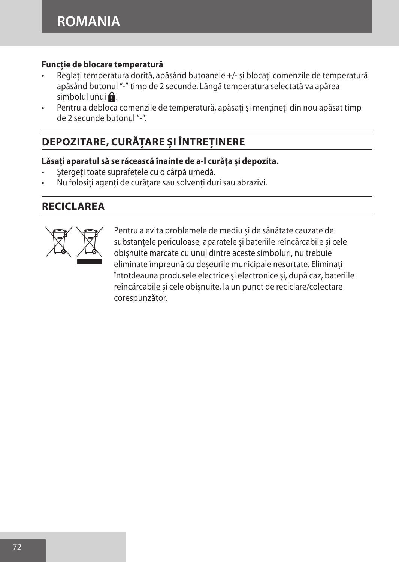#### **Funcţie de blocare temperatură**

- Reglaţi temperatura dorită, apăsând butoanele +/- şi blocaţi comenzile de temperatură apăsând butonul "-" timp de 2 secunde. Lângă temperatura selectată va apărea  $sim$ bolul unui  $\mathbf{m}$ .
- Pentru a debloca comenzile de temperatură, apăsați și mențineți din nou apăsat timp de 2 secunde butonul "-".

### **DEPOZITARE, CURĂȚARE ȘI ÎNTREȚINERE**

#### **Lăsați aparatul să se răcească înainte de a-l curăța și depozita.**

- Ștergeți toate suprafețele cu o cârpă umedă.
- Nu folosiți agenți de curățare sau solvenți duri sau abrazivi.

### **RECICLAREA**



Pentru a evita problemele de mediu și de sănătate cauzate de substanțele periculoase, aparatele și bateriile reîncărcabile și cele obișnuite marcate cu unul dintre aceste simboluri, nu trebuie eliminați întotdeauna produse substantele periculoase, aparatele și bateriile reîncărcabile și cele obișnuite marcate cu unul dintre aceste simboluri, nu trebuie întotdeauna produsele electrice și electronice și, după caz, bateriile reîncărcabile și cele obișnuite, la un punct de reciclare/colectare corespunzător.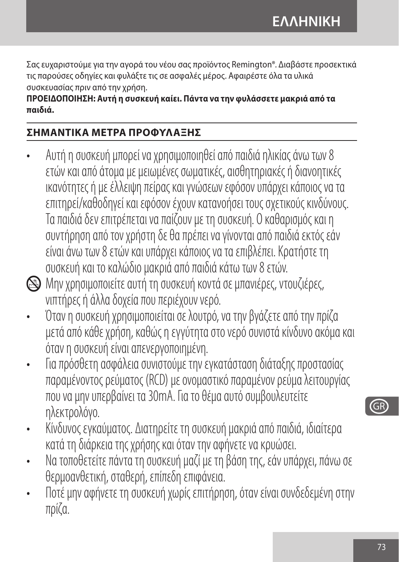Σας ευχαριστούμε για την αγορά του νέου σας προϊόντος Remington®. Διαβάστε προσεκτικά τις παρούσες οδηγίες και φυλάξτε τις σε ασφαλές μέρος. Αφαιρέστε όλα τα υλικά συσκευασίας πριν από την χρήση.

**ΠΡΟΕΙΔΟΠΟΙΗΣΗ: Αυτή η συσκευή καίει. Πάντα να την φυλάσσετε μακριά από τα παιδιά.**

# **ΣΗΜΑΝΤΙΚΑ ΜΕΤΡΑ ΠΡΟΦΥΛΑΞΗΣ**

- Αυτή η συσκευή μπορεί να χρησιμοποιηθεί από παιδιά ηλικίας άνω των 8 ετών και από άτομα με μειωμένες σωματικές, αισθητηριακές ή διανοητικές ικανότητες ή με έλλειψη πείρας και γνώσεων εφόσον υπάρχει κάποιος να τα επιτηρεί/καθοδηγεί και εφόσον έχουν κατανοήσει τους σχετικούς κινδύνους. Τα παιδιά δεν επιτρέπεται να παίζουν με τη συσκευή. Ο καθαρισμός και η συντήρηση από τον χρήστη δε θα πρέπει να γίνονται από παιδιά εκτός εάν είναι άνω των 8 ετών και υπάρχει κάποιος να τα επιβλέπει. Κρατήστε τη συσκευή και το καλώδιο μακριά από παιδιά κάτω των 8 ετών.
- L Μην χρησιμοποιείτε αυτή τη συσκευή κοντά σε μπανιέρες, ντουζιέρες, νιπτήρες ή άλλα δοχεία που περιέχουν νερό.
- Όταν η συσκευή χρησιμοποιείται σε λουτρό, να την βγάζετε από την πρίζα μετά από κάθε χρήση, καθώς η εγγύτητα στο νερό συνιστά κίνδυνο ακόμα και όταν η συσκευή είναι απενεργοποιημένη.
- Για πρόσθετη ασφάλεια συνιστούμε την εγκατάσταση διάταξης προστασίας παραμένοντος ρεύματος (RCD) με ονομαστικό παραμένον ρεύμα λειτουργίας που να μην υπερβαίνει τα 30mA. Για το θέμα αυτό συμβουλευτείτε ηλεκτρολόγο.
- Κίνδυνος εγκαύματος. Διατηρείτε τη συσκευή μακριά από παιδιά, ιδιαίτερα κατά τη διάρκεια της χρήσης και όταν την αφήνετε να κρυώσει.
- Να τοποθετείτε πάντα τη συσκευή μαζί με τη βάση της, εάν υπάρχει, πάνω σε θερμοανθετική, σταθερή, επίπεδη επιφάνεια.
- Ποτέ μην αφήνετε τη συσκευή χωρίς επιτήρηση, όταν είναι συνδεδεμένη στην πρίζα.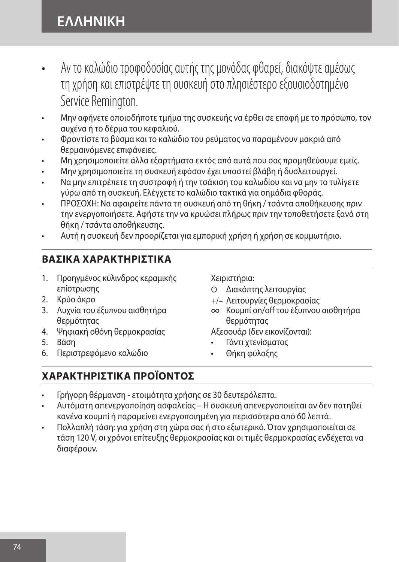- Αν το καλώδιο τροφοδοσίας αυτής της μονάδας φθαρεί, διακόψτε αμέσως τη χρήση και επιστρέψτε τη συσκευή στο πλησιέστερο εξουσιοδοτημένο Service Remington.
- Μην αφήνετε οποιοδήποτε τμήμα της συσκευής να έρθει σε επαφή με το πρόσωπο, τον αυχένα ή το δέρμα του κεφαλιού.
- Φροντίστε το βύσμα και το καλώδιο του ρεύματος να παραμένουν μακριά από θερμαινόμενες επιφάνειες.
- Μη χρησιμοποιείτε άλλα εξαρτήματα εκτός από αυτά που σας προμηθεύουμε εμείς.
- Μην χρησιμοποιείτε τη συσκευή εφόσον έχει υποστεί βλάβη ή δυσλειτουργεί.
- Να μην επιτρέπετε τη συστροφή ή την τσάκιση του καλωδίου και να μην το τυλίγετε γύρω από τη συσκευή. Ελέγχετε το καλώδιο τακτικά για σημάδια φθοράς.
- ΠΡΟΣΟΧΗ: Να αφαιρείτε πάντα τη συσκευή από τη θήκη / τσάντα αποθήκευσης πριν την ενεργοποιήσετε. Αφήστε την να κρυώσει πλήρως πριν την τοποθετήσετε ξανά στη θήκη / τσάντα αποθήκευσης.
- Αυτή η συσκευή δεν προορίζεται για εμπορική χρήση ή χρήση σε κομμωτήριο.

### **ΒΑΣΙΚΑ ΧΑΡΑΚΤΗΡΙΣΤΙΚΑ**

- 1. Προηγμένος κύλινδρος κεραμικής επίστρωσης
- 2. Κρύο άκρο
- 3. Λυχνία του έξυπνου αισθητήρα θερμότητας
- 4. Ψηφιακή οθόνη θερμοκρασίας
- 5. Βάση
- 6. Περιστρεφόμενο καλώδιο

Χειριστήρια:

- C Διακόπτης λειτουργίας
- +/– Λειτουργίες θερμοκρασίας
- ∞ Κουμπί on/off του έξυπνου αισθητήρα θερμότητας

Αξεσουάρ (δεν εικονίζονται):

- Γάντι χτενίσματος
- Θήκη φύλαξης

# **ΧΑΡΑΚΤΗΡΙΣΤΙΚΑ ΠΡΟΪΟΝΤΟΣ**

- Γρήγορη θέρμανση ετοιμότητα χρήσης σε 30 δευτερόλεπτα.
- Αυτόματη απενεργοποίηση ασφαλείας Η συσκευή απενεργοποιείται αν δεν πατηθεί κανένα κουμπί ή παραμείνει ενεργοποιημένη για περισσότερα από 60 λεπτά.
- Πολλαπλή τάση: για χρήση στη χώρα σας ή στο εξωτερικό. Όταν χρησιμοποιείται σε τάση 120 V, οι χρόνοι επίτευξης θερμοκρασίας και οι τιμές θερμοκρασίας ενδέχεται να διαφέρουν.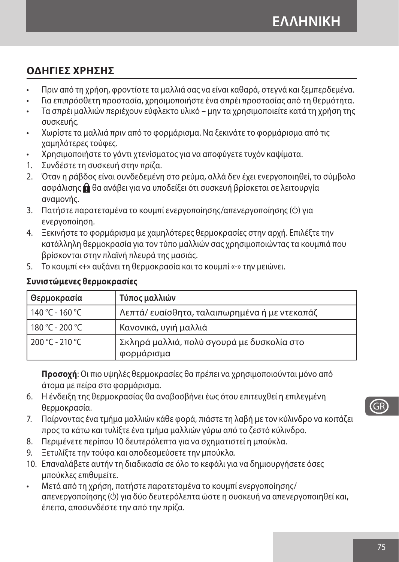### **ΟΔΗΓΙΕΣ ΧΡΗΣΗΣ**

- Πριν από τη χρήση, φροντίστε τα μαλλιά σας να είναι καθαρά, στεγνά και ξεμπερδεμένα.
- Για επιπρόσθετη προστασία, χρησιμοποιήστε ένα σπρέι προστασίας από τη θερμότητα.
- Τα σπρέι μαλλιών περιέχουν εύφλεκτο υλικό μην τα χρησιμοποιείτε κατά τη χρήση της συσκευής.
- Χωρίστε τα μαλλιά πριν από το φορμάρισμα. Να ξεκινάτε το φορμάρισμα από τις χαμηλότερες τούφες.
- Χρησιμοποιήστε το γάντι χτενίσματος για να αποφύγετε τυχόν καψίματα.
- 1. Συνδέστε τη συσκευή στην πρίζα.
- 2. Όταν η ράβδος είναι συνδεδεμένη στο ρεύμα, αλλά δεν έχει ενεργοποιηθεί, το σύμβολο ασφάλισης B θα ανάβει για να υποδείξει ότι συσκευή βρίσκεται σε λειτουργία αναμονής.
- 3. Πατήστε παρατεταμένα το κουμπί ενεργοποίησης/απενεργοποίησης ( $\circ$ ) για ενεργοποίηση.
- 4. Ξεκινήστε το φορμάρισμα με χαμηλότερες θερμοκρασίες στην αρχή. Επιλέξτε την κατάλληλη θερμοκρασία για τον τύπο μαλλιών σας χρησιμοποιώντας τα κουμπιά που βρίσκονται στην πλαϊνή πλευρά της μασιάς.
- 5. Το κουμπί «+» αυξάνει τη θερμοκρασία και το κουμπί «-» την μειώνει.

| Θερμοκρασία       | Τύπος μαλλιών                                            |
|-------------------|----------------------------------------------------------|
| 140 °C - 160 °C   | Λεπτά/ ευαίσθητα, ταλαιπωρημένα ή με ντεκαπάζ            |
| $180 °C - 200 °C$ | Κανονικά, υγιή μαλλιά                                    |
| $200 °C - 210 °C$ | Σκληρά μαλλιά, πολύ σγουρά με δυσκολία στο<br>φορμάρισμα |

#### **Συνιστώμενες θερμοκρασίες**

**Προσοχή**: Οι πιο υψηλές θερμοκρασίες θα πρέπει να χρησιμοποιούνται μόνο από άτομα με πείρα στο φορμάρισμα.

- 6. Η ένδειξη της θερμοκρασίας θα αναβοσβήνει έως ότου επιτευχθεί η επιλεγμένη θερμοκρασία.
- 7. Παίρνοντας ένα τμήμα μαλλιών κάθε φορά, πιάστε τη λαβή με τον κύλινδρο να κοιτάζει προς τα κάτω και τυλίξτε ένα τμήμα μαλλιών γύρω από το ζεστό κύλινδρο.
- 8. Περιμένετε περίπου 10 δευτερόλεπτα για να σχηματιστεί η μπούκλα.
- 9. Ξετυλίξτε την τούφα και αποδεσμεύσετε την μπούκλα.
- 10. Επαναλάβετε αυτήν τη διαδικασία σε όλο το κεφάλι για να δημιουργήσετε όσες μπούκλες επιθυμείτε.
- Μετά από τη χρήση, πατήστε παρατεταμένα το κουμπί ενεργοποίησης/ απενεργοποίησης (C) για δύο δευτερόλεπτα ώστε η συσκευή να απενεργοποιηθεί και, έπειτα, αποσυνδέστε την από την πρίζα.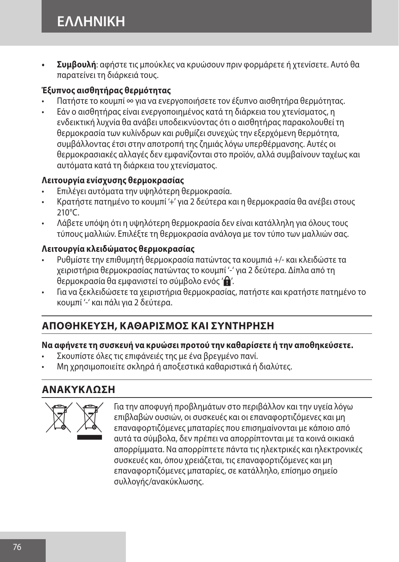**• Συμβουλή**: αφήστε τις μπούκλες να κρυώσουν πριν φορμάρετε ή χτενίσετε. Αυτό θα παρατείνει τη διάρκειά τους.

#### **Έξυπνος αισθητήρας θερμότητας**

- Πατήστε το κουμπί ∞ για να ενεργοποιήσετε τον έξυπνο αισθητήρα θερμότητας.
- Εάν ο αισθητήρας είναι ενεργοποιημένος κατά τη διάρκεια του χτενίσματος, η ενδεικτική λυχνία θα ανάβει υποδεικνύοντας ότι ο αισθητήρας παρακολουθεί τη θερμοκρασία των κυλίνδρων και ρυθμίζει συνεχώς την εξερχόμενη θερμότητα, συμβάλλοντας έτσι στην αποτροπή της ζημιάς λόγω υπερθέρμανσης. Αυτές οι θερμοκρασιακές αλλαγές δεν εμφανίζονται στο προϊόν, αλλά συμβαίνουν ταχέως και αυτόματα κατά τη διάρκεια του χτενίσματος.

#### **Λειτουργία ενίσχυσης θερμοκρασίας**

- Επιλέγει αυτόματα την υψηλότερη θερμοκρασία.
- Κρατήστε πατημένο το κουμπί '+' για 2 δεύτερα και η θερμοκρασία θα ανέβει στους 210°C.
- Λάβετε υπόψη ότι η υψηλότερη θερμοκρασία δεν είναι κατάλληλη για όλους τους τύπους μαλλιών. Επιλέξτε τη θερμοκρασία ανάλογα με τον τύπο των μαλλιών σας.

#### **Λειτουργία κλειδώματος θερμοκρασίας**

- Ρυθμίστε την επιθυμητή θερμοκρασία πατώντας τα κουμπιά +/- και κλειδώστε τα χειριστήρια θερμοκρασίας πατώντας το κουμπί '-' για 2 δεύτερα. Δίπλα από τη .<br>θερμοκρασία θα εμφανιστεί το σύμβολο ενός '**m**'.
- Για να ξεκλειδώσετε τα χειριστήρια θερμοκρασίας, πατήστε και κρατήστε πατημένο το κουμπί '-' και πάλι για 2 δεύτερα.

### **ΑΠΟΘΗΚΕΥΣΗ, ΚΑΘΑΡΙΣΜΟΣ ΚΑΙ ΣΥΝΤΗΡΗΣΗ**

#### **Να αφήνετε τη συσκευή να κρυώσει προτού την καθαρίσετε ή την αποθηκεύσετε.**

- Σκουπίστε όλες τις επιφάνειές της με ένα βρεγμένο πανί.
- Μη χρησιμοποιείτε σκληρά ή αποξεστικά καθαριστικά ή διαλύτες.

### **ΑΝΑΚΥΚΛΩΣΗ**



Για την αποφυγή προβλημάτων στο περιβάλλον και την υγεία λόγω<br>
επιβλαβών ουσιών, οι συσκευές και οι επαναφορτιζόμενες και μη<br>
αυτά τα σύμβολα, δεν πρέπει να απορρίπτονται με τα κόποιο από<br>
αυτά τα σύμβολα, δεν πρέπει να α επιβλαβών ουσιών, οι συσκευές και οι επαναφορτιζόμενες και μη επαναφορτιζόμενες μπαταρίες που επισημαίνονται με κάποιο από απορρίμματα. Να απορρίπτετε πάντα τις ηλεκτρικές και ηλεκτρονικές συσκευές και, όπου χρειάζεται, τις επαναφορτιζόμενες και μη επαναφορτιζόμενες μπαταρίες, σε κατάλληλο, επίσημο σημείο συλλογής/ανακύκλωσης.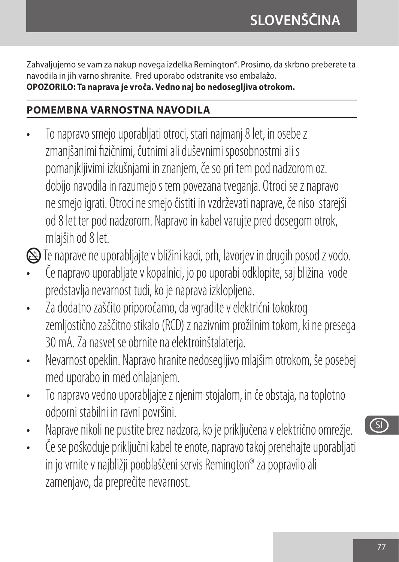Zahvaljujemo se vam za nakup novega izdelka Remington®. Prosimo, da skrbno preberete ta navodila in jih varno shranite. Pred uporabo odstranite vso embalažo. **OPOZORILO: Ta naprava je vroča. Vedno naj bo nedosegljiva otrokom.**

### **POMEMBNA VARNOSTNA NAVODILA**

• To napravo smejo uporabljati otroci, stari najmanj 8 let, in osebe z zmanjšanimi fizičnimi, čutnimi ali duševnimi sposobnostmi ali s pomanjkljivimi izkušnjami in znanjem, če so pri tem pod nadzorom oz. dobijo navodila in razumejo s tem povezana tveganja. Otroci se z napravo ne smejo igrati. Otroci ne smejo čistiti in vzdrževati naprave, če niso starejši od 8 let ter pod nadzorom. Napravo in kabel varujte pred dosegom otrok, mlajših od 8 let.

L Te naprave ne uporabljajte v bližini kadi, prh, lavorjev in drugih posod z vodo.

- Če napravo uporabljate v kopalnici, jo po uporabi odklopite, saj bližina vode predstavlja nevarnost tudi, ko je naprava izklopljena.
- Za dodatno zaščito priporočamo, da vgradite v električni tokokrog zemljostično zaščitno stikalo (RCD) z nazivnim prožilnim tokom, ki ne presega 30 mA. Za nasvet se obrnite na elektroinštalaterja.
- Nevarnost opeklin. Napravo hranite nedosegljivo mlajšim otrokom, še posebej med uporabo in med ohlajanjem.
- To napravo vedno uporabljajte z njenim stojalom, in če obstaja, na toplotno odporni stabilni in ravni površini.
- Naprave nikoli ne pustite brez nadzora, ko je priključena v električno omrežje.
- Če se poškoduje priključni kabel te enote, napravo takoj prenehajte uporabljati in jo vrnite v najbližji pooblaščeni servis Remington® za popravilo ali zameniavo, da preprečite nevarnost.

SI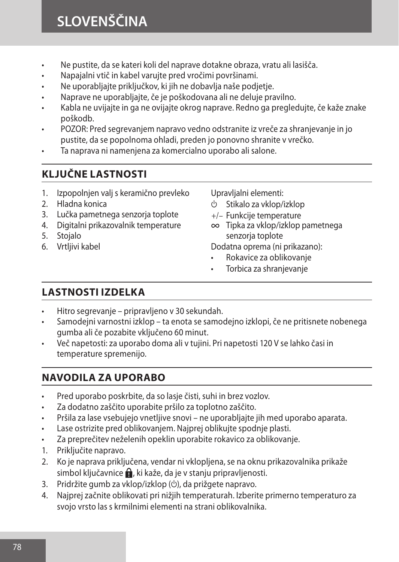- Ne pustite, da se kateri koli del naprave dotakne obraza, vratu ali lasišča.
- Napajalni vtič in kabel varujte pred vročimi površinami.
- Ne uporabljajte priključkov, ki jih ne dobavlja naše podjetje.
- Naprave ne uporabljajte, če je poškodovana ali ne deluje pravilno.
- Kabla ne uvijajte in ga ne ovijajte okrog naprave. Redno ga pregledujte, če kaže znake poškodb.
- POZOR: Pred segrevanjem napravo vedno odstranite iz vreče za shranjevanje in jo pustite, da se popolnoma ohladi, preden jo ponovno shranite v vrečko.
- Ta naprava ni namenjena za komercialno uporabo ali salone.

### **KLJUČNE LASTNOSTI**

- 1. Izpopolnjen valj s keramično prevleko
- 2. Hladna konica
- 3. Lučka pametnega senzorja toplote
- 4. Digitalni prikazovalnik temperature
- 5. Stojalo
- 6. Vrtljivi kabel

Upravljalni elementi:

- O Stikalo za vklop/izklop
- +/– Funkcije temperature
- ∞ Tipka za vklop/izklop pametnega senzoria toplote
- Dodatna oprema (ni prikazano):
- Rokavice za oblikovanje
- Torbica za shranjevanje

### **LASTNOSTI IZDELKA**

- Hitro segrevanje pripravljeno v 30 sekundah.
- Samodejni varnostni izklop ta enota se samodejno izklopi, če ne pritisnete nobenega gumba ali če pozabite vključeno 60 minut.
- Več napetosti: za uporabo doma ali v tujini. Pri napetosti 120 V se lahko časi in temperature spremenijo.

### **NAVODILA ZA UPORABO**

- Pred uporabo poskrbite, da so lasje čisti, suhi in brez vozlov.
- Za dodatno zaščito uporabite pršilo za toplotno zaščito.
- Pršila za lase vsebujejo vnetljive snovi ne uporabljajte jih med uporabo aparata.
- Lase ostrizite pred oblikovanjem. Najprej oblikujte spodnje plasti.
- Za preprečitev neželenih opeklin uporabite rokavico za oblikovanje.
- 1. Priključite napravo.
- 2. Ko je naprava priključena, vendar ni vklopljena, se na oknu prikazovalnika prikaže simbol ključavnice  $\mathbf{\hat{m}}$ , ki kaže, da je v stanju pripravljenosti.
- 3. Pridržite gumb za vklop/izklop  $(\circ)$ , da prižgete napravo.
- 4. Najprej začnite oblikovati pri nižjih temperaturah. Izberite primerno temperaturo za svojo vrsto las s krmilnimi elementi na strani oblikovalnika.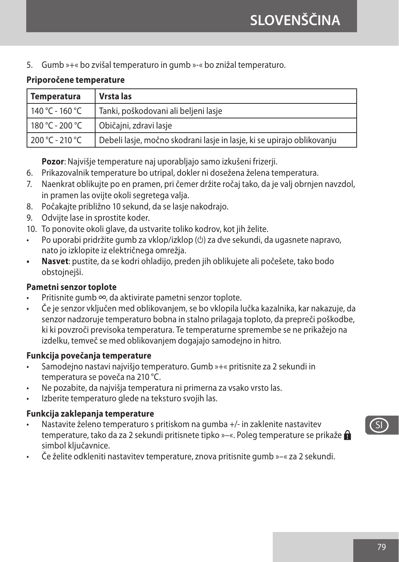5. Gumb »+« bo zvišal temperaturo in gumb »-« bo znižal temperaturo.

#### **Priporočene temperature**

| Temperatura       | l Vrsta las                                                            |
|-------------------|------------------------------------------------------------------------|
| $140 °C - 160 °C$ | Tanki, poškodovani ali beljeni lasje                                   |
| $180 °C - 200 °C$ | Običajni, zdravi lasje                                                 |
| $200 °C - 210 °C$ | Debeli lasje, močno skodrani lasje in lasje, ki se upirajo oblikovanju |

**Pozor**: Najvišje temperature naj uporabljajo samo izkušeni frizerji.

- 6. Prikazovalnik temperature bo utripal, dokler ni dosežena želena temperatura.
- 7. Naenkrat oblikujte po en pramen, pri čemer držite ročaj tako, da je valj obrnjen navzdol, in pramen las ovijte okoli segretega valja.
- 8. Počakajte približno 10 sekund, da se lasje nakodrajo.
- 9. Odvijte lase in sprostite koder.
- 10. To ponovite okoli glave, da ustvarite toliko kodrov, kot jih želite.
- Po uporabi pridržite gumb za vklop/izklop ( $\circ$ ) za dve sekundi, da ugasnete napravo, nato jo izklopite iz električnega omrežja.
- **• Nasvet**: pustite, da se kodri ohladijo, preden jih oblikujete ali počešete, tako bodo obstojnejši.

#### **Pametni senzor toplote**

- Pritisnite gumb ∞, da aktivirate pametni senzor toplote.
- Če je senzor vključen med oblikovanjem, se bo vklopila lučka kazalnika, kar nakazuje, da senzor nadzoruje temperaturo bobna in stalno prilagaja toploto, da prepreči poškodbe, ki ki povzroči previsoka temperatura. Te temperaturne spremembe se ne prikažejo na izdelku, temveč se med oblikovanjem dogajajo samodejno in hitro.

#### **Funkcija povečanja temperature**

- Samodejno nastavi najvišjo temperaturo. Gumb »+« pritisnite za 2 sekundi in temperatura se poveča na 210 °C.
- Ne pozabite, da najvišja temperatura ni primerna za vsako vrsto las.
- Izberite temperaturo glede na teksturo svojih las.

#### **Funkcija zaklepanja temperature**

- Nastavite želeno temperaturo s pritiskom na gumba +/- in zaklenite nastavitev temperature, tako da za 2 sekundi pritisnete tipko »–«. Poleg temperature se prikaže  $\bigoplus$ simbol ključavnice.
- Če želite odkleniti nastavitev temperature, znova pritisnite gumb »–« za 2 sekundi.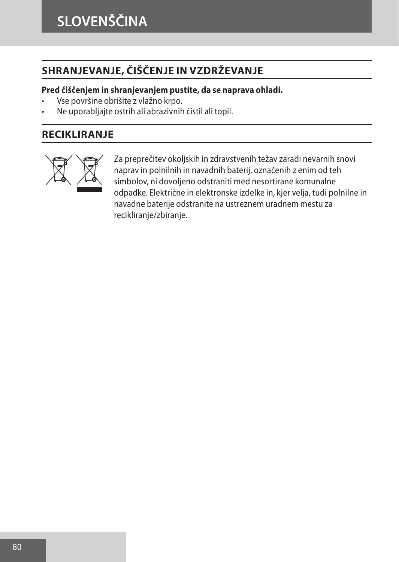### **SHRANJEVANJE, ČIŠČENJE IN VZDRŽEVANJE**

#### **Pred čiščenjem in shranjevanjem pustite, da se naprava ohladi.**

- Vse površine obrišite z vlažno krpo.
- Ne uporabljajte ostrih ali abrazivnih čistil ali topil.

#### **RECIKLIRANJE**



Za preprečitev okoljskih in zdravstvenih težav zaradi nevarnih snovi<br>
odpadke. Električne in elektronske izdelke in, kjer velja, tudi polnilne in<br>
odpadke. Električne in elektronske izdelke in, kjer velja, tudi polnilne in naprav in polnilnih in navadnih baterij, označenih z enim od teh simbolov, ni dovoljeno odstraniti med nesortirane komunalne navadne baterije odstranite na ustreznem uradnem mestu za recikliranje/zbiranje.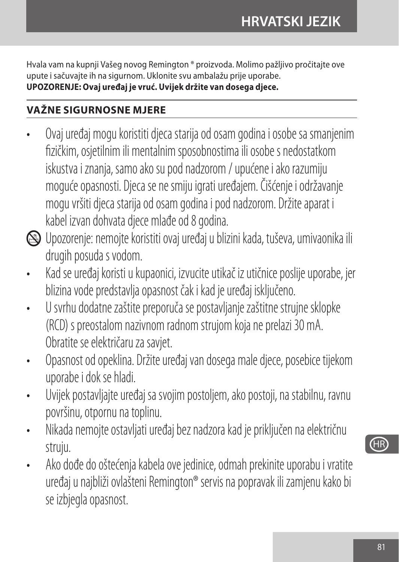Hvala vam na kupnji Vašeg novog Remington ® proizvoda. Molimo pažljivo pročitajte ove upute i sačuvajte ih na sigurnom. Uklonite svu ambalažu prije uporabe. **UPOZORENJE: Ovaj uređaj je vruć. Uvijek držite van dosega djece.**

# **VAŽNE SIGURNOSNE MJERE**

- Ovaj uređaj mogu koristiti djeca starija od osam godina i osobe sa smanjenim fizičkim, osjetilnim ili mentalnim sposobnostima ili osobe s nedostatkom iskustva i znanja, samo ako su pod nadzorom / upućene i ako razumiju moguće opasnosti. Djeca se ne smiju igrati uređajem. Čišćenje i održavanje mogu vršiti djeca starija od osam godina i pod nadzorom. Držite aparat i kabel izvan dohvata djece mlađe od 8 godina.
- L Upozorenje: nemojte koristiti ovaj uređaj u blizini kada, tuševa, umivaonika ili drugih posuda s vodom.
- Kad se uređaj koristi u kupaonici, izvucite utikač iz utičnice poslije uporabe, jer blizina vode predstavlja opasnost čak i kad je uređaj isključeno.
- U svrhu dodatne zaštite preporuča se postavljanje zaštitne strujne sklopke (RCD) s preostalom nazivnom radnom strujom koja ne prelazi 30 mA. Obratite se električaru za savjet.
- Opasnost od opeklina. Držite uređaj van dosega male djece, posebice tijekom uporabe i dok se hladi.
- Uvijek postavljajte uređaj sa svojim postoljem, ako postoji, na stabilnu, ravnu površinu, otpornu na toplinu.
- Nikada nemojte ostavljati uređaj bez nadzora kad je priključen na električnu struju.
- Ako dođe do oštećenja kabela ove jedinice, odmah prekinite uporabu i vratite uređaj u najbliži ovlašteni Remington® servis na popravak ili zamjenu kako bi se izbjegla opasnost.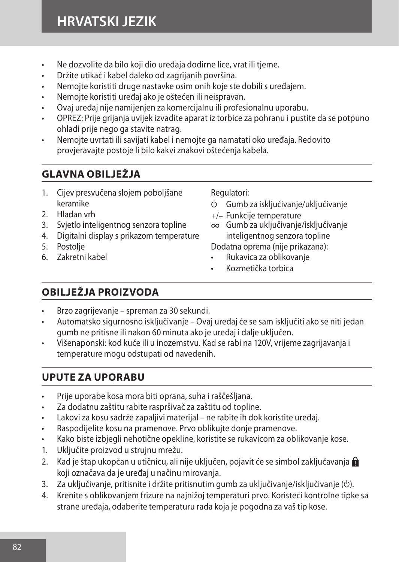- Ne dozvolite da bilo koji dio uređaja dodirne lice, vrat ili tjeme.
- Držite utikač i kabel daleko od zagrijanih površina.
- Nemojte koristiti druge nastavke osim onih koje ste dobili s uređajem.
- Nemojte koristiti uređaj ako je oštećen ili neispravan.
- Ovaj uređaj nije namijenjen za komercijalnu ili profesionalnu uporabu.
- OPREZ: Prije grijanja uvijek izvadite aparat iz torbice za pohranu i pustite da se potpuno ohladi prije nego ga stavite natrag.
- Nemojte uvrtati ili savijati kabel i nemojte ga namatati oko uređaja. Redovito provjeravajte postoje li bilo kakvi znakovi oštećenja kabela.

# **GLAVNA OBILJEŽJA**

- 1. Cijev presvučena slojem poboljšane keramike
- 2. Hladan vrh
- 3. Svjetlo inteligentnog senzora topline
- 4. Digitalni display s prikazom temperature
- 5. Postolie
- 6. Zakretni kabel

Regulatori:

- C Gumb za iskliučivanie/ukliučivanie
- +/– Funkcije temperature
- ∞ Gumb za uključivanje/isključivanje inteligentnog senzora topline
- Dodatna oprema (nije prikazana):
- Rukavica za oblikovanje
- Kozmetička torbica

# **OBILJEŽJA PROIZVODA**

- Brzo zagrijevanje spreman za 30 sekundi.
- Automatsko sigurnosno isključivanje Ovaj uređaj će se sam isključiti ako se niti jedan gumb ne pritisne ili nakon 60 minuta ako je uređaj i dalje uključen.
- Višenaponski: kod kuće ili u inozemstvu. Kad se rabi na 120V, vrijeme zagrijavanja i temperature mogu odstupati od navedenih.

# **UPUTE ZA UPORABU**

- Prije uporabe kosa mora biti oprana, suha i raščešljana.
- Za dodatnu zaštitu rabite raspršivač za zaštitu od topline.
- Lakovi za kosu sadrže zapaljivi materijal ne rabite ih dok koristite uređaj.
- Raspodijelite kosu na pramenove. Prvo oblikujte donje pramenove.
- Kako biste izbjegli nehotične opekline, koristite se rukavicom za oblikovanje kose.
- 1. Uključite proizvod u strujnu mrežu.
- 2. Kad je štap ukopčan u utičnicu, ali nije uključen, pojavit će se simbol zaključavanja d koji označava da je uređaj u načinu mirovanja.
- 3. Za uključivanje, pritisnite i držite pritisnutim gumb za uključivanje/isključivanje  $(\circlearrowright)$ .
- 4. Krenite s oblikovanjem frizure na najnižoj temperaturi prvo. Koristeći kontrolne tipke sa strane uređaja, odaberite temperaturu rada koja je pogodna za vaš tip kose.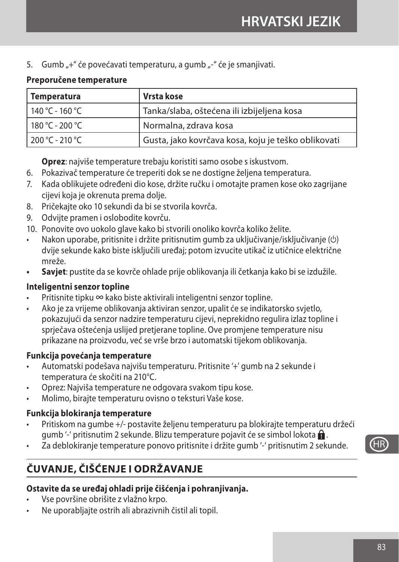5. Gumb "+" će povećavati temperaturu, a gumb "-" će je smanjivati.

#### **Preporučene temperature**

| Temperatura        | Vrsta kose                                          |
|--------------------|-----------------------------------------------------|
| $140 °C - 160 °C$  | Tanka/slaba, oštećena ili izbijeljena kosa          |
| $180 °C - 200 °C$  | Normalna, zdrava kosa                               |
| $1200 °C - 210 °C$ | Gusta, jako kovrčava kosa, koju je teško oblikovati |

**Oprez**: najviše temperature trebaju koristiti samo osobe s iskustvom.

- 6. Pokazivač temperature će treperiti dok se ne dostigne željena temperatura.
- 7. Kada oblikujete određeni dio kose, držite ručku i omotajte pramen kose oko zagrijane cijevi koja je okrenuta prema dolje.
- 8. Pričekajte oko 10 sekundi da bi se stvorila kovrča.
- 9. Odvijte pramen i oslobodite kovrču.
- 10. Ponovite ovo uokolo glave kako bi stvorili onoliko kovrča koliko želite.
- Nakon uporabe, pritisnite i držite pritisnutim gumb za uključivanje/isključivanje (C) dvije sekunde kako biste isključili uređaj; potom izvucite utikač iz utičnice električne mreže.
- **• Savjet**: pustite da se kovrče ohlade prije oblikovanja ili četkanja kako bi se izdužile.

#### **Inteligentni senzor topline**

- Pritisnite tipku ∞ kako biste aktivirali inteligentni senzor topline.
- Ako je za vrijeme oblikovanja aktiviran senzor, upalit će se indikatorsko svjetlo, pokazujući da senzor nadzire temperaturu cijevi, neprekidno regulira izlaz topline i sprječava oštećenja uslijed pretjerane topline. Ove promjene temperature nisu prikazane na proizvodu, već se vrše brzo i automatski tijekom oblikovanja.

#### **Funkcija povećanja temperature**

- Automatski podešava najvišu temperaturu. Pritisnite '+' gumb na 2 sekunde i temperatura će skočiti na 210°C.
- Oprez: Najviša temperature ne odgovara svakom tipu kose.
- Molimo, birajte temperaturu ovisno o teksturi Vaše kose.

#### **Funkcija blokiranja temperature**

- Pritiskom na gumbe +/- postavite željenu temperaturu pa blokirajte temperaturu držeći gumb '-' pritisnutim 2 sekunde. Blizu temperature pojavit će se simbol lokota  $\mathbf{\hat{m}}$ .
- Za deblokiranje temperature ponovo pritisnite i držite gumb '-' pritisnutim 2 sekunde.

# **ČUVANJE, ČIŠĆENJE I ODRŽAVANJE**

#### **Ostavite da se uređaj ohladi prije čišćenja i pohranjivanja.**

- Vse površine obrišite z vlažno krpo.
- Ne uporabljajte ostrih ali abrazivnih čistil ali topil.

HR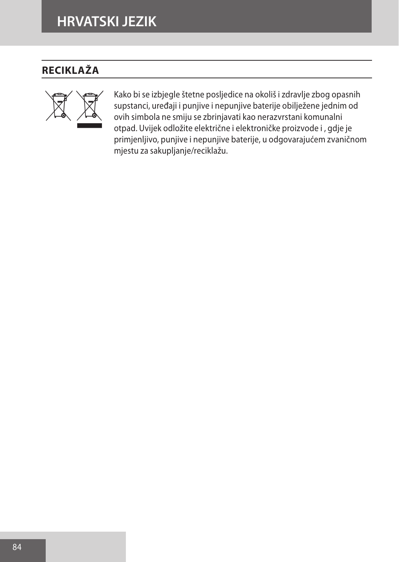### **RECIKLAŽA**



Kako bi se izbjegle štetne posljedice na okoliš i zdravlje zbog opasnih supstanci, uređaji i punjive i nepunjive baterije obilježene jednim od ovih simbola ne smiju se zbrinjavati kao nerazvrstani komunalni opas obazil u s supstanci, uređaji i punjive i nepunjive baterije obilježene jednim od ovih simbola ne smiju se zbrinjavati kao nerazvrstani komunalni otpad. Uvijek odložite električne i elektroničke proizvode i , gdje je primjenljivo, punjive i nepunjive baterije, u odgovarajućem zvaničnom mjestu za sakupljanje/reciklažu.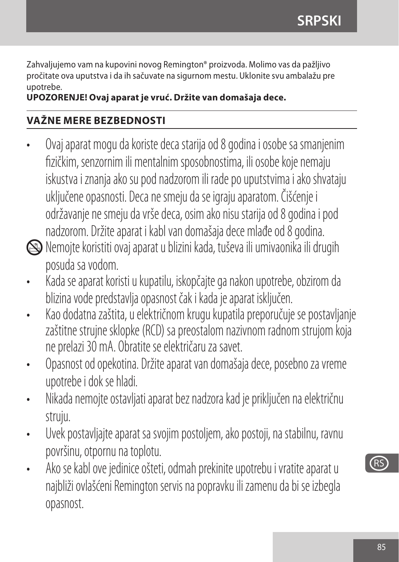Zahvaljujemo vam na kupovini novog Remington® proizvoda. Molimo vas da pažljivo pročitate ova uputstva i da ih sačuvate na sigurnom mestu. Uklonite svu ambalažu pre upotrebe.

### **UPOZORENJE! Ovaj aparat je vruć. Držite van domašaja dece.**

# **VAŽNE MERE BEZBEDNOSTI**

- Ovaj aparat mogu da koriste deca starija od 8 godina i osobe sa smanjenim fizičkim, senzornim ili mentalnim sposobnostima, ili osobe koje nemaju iskustva i znanja ako su pod nadzorom ili rade po uputstvima i ako shvataju uključene opasnosti. Deca ne smeju da se igraju aparatom. Čišćenje i održavanje ne smeju da vrše deca, osim ako nisu starija od 8 godina i pod nadzorom. Držite aparat i kabl van domašaja dece mlađe od 8 godina.
- L Nemojte koristiti ovaj aparat u blizini kada, tuševa ili umivaonika ili drugih posuda sa vodom.
- Kada se aparat koristi u kupatilu, iskopčajte ga nakon upotrebe, obzirom da blizina vode predstavlja opasnost čak i kada je aparat isključen.
- Kao dodatna zaštita, u električnom krugu kupatila preporučuje se postavljanje zaštitne strujne sklopke (RCD) sa preostalom nazivnom radnom strujom koja ne prelazi 30 mA. Obratite se električaru za savet.
- Opasnost od opekotina. Držite aparat van domašaja dece, posebno za vreme upotrebe i dok se hladi.
- Nikada nemojte ostavljati aparat bez nadzora kad je priključen na električnu struju.
- Uvek postavljajte aparat sa svojim postoljem, ako postoji, na stabilnu, ravnu površinu, otpornu na toplotu.
- Ako se kabl ove jedinice ošteti, odmah prekinite upotrebu i vratite aparat u najbliži ovlašćeni Remington servis na popravku ili zamenu da bi se izbegla opasnost.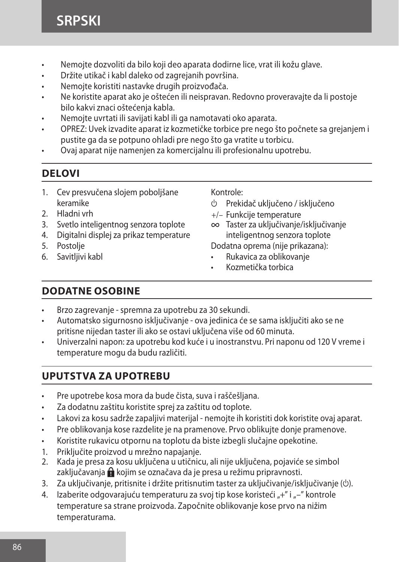- Nemojte dozvoliti da bilo koji deo aparata dodirne lice, vrat ili kožu glave.
- Držite utikač i kabl daleko od zagrejanih površina.
- Nemojte koristiti nastavke drugih proizvođača.
- Ne koristite aparat ako je oštećen ili neispravan. Redovno proveravajte da li postoje bilo kakvi znaci oštećenja kabla.
- Nemojte uvrtati ili savijati kabl ili ga namotavati oko aparata.
- OPREZ: Uvek izvadite aparat iz kozmetičke torbice pre nego što počnete sa grejanjem i pustite ga da se potpuno ohladi pre nego što ga vratite u torbicu.
- Ovaj aparat nije namenjen za komercijalnu ili profesionalnu upotrebu.

### **DELOVI**

- 1. Cev presvučena slojem poboljšane keramike
- 2. Hladni vrh
- 3. Svetlo inteligentnog senzora toplote
- 4. Digitalni displej za prikaz temperature
- 5. Postolie
- 6. Savitljivi kabl

Kontrole:

- C Prekidač uključeno / isključeno
- +/– Funkcije temperature
- ∞ Taster za uključivanje/isključivanje inteligentnog senzora toplote

Dodatna oprema (nije prikazana):

- Rukavica za oblikovanje
- Kozmetička torbica

### **DODATNE OSOBINE**

- Brzo zagrevanje spremna za upotrebu za 30 sekundi.
- Automatsko sigurnosno isključivanje ova jedinica će se sama isključiti ako se ne pritisne nijedan taster ili ako se ostavi uključena više od 60 minuta.
- Univerzalni napon: za upotrebu kod kuće i u inostranstvu. Pri naponu od 120 V vreme i temperature mogu da budu različiti.

### **UPUTSTVA ZA UPOTREBU**

- Pre upotrebe kosa mora da bude čista, suva i raščešljana.
- Za dodatnu zaštitu koristite sprej za zaštitu od toplote.
- Lakovi za kosu sadrže zapaljivi materijal nemojte ih koristiti dok koristite ovaj aparat.
- Pre oblikovanja kose razdelite je na pramenove. Prvo oblikujte donje pramenove.
- Koristite rukavicu otpornu na toplotu da biste izbegli slučajne opekotine.
- 1. Priključite proizvod u mrežno napajanje.<br>2. Kada je presa za kosu uključena u utičnici
- 2. Kada je presa za kosu uključena u utičnicu, ali nije uključena, pojaviće se simbol zaključavanja **B** kojim se označava da je presa u režimu pripravnosti.
- 3. Za uključivanje, pritisnite i držite pritisnutim taster za uključivanje/isključivanje ( $\uplus$ ).
- 4. Izaberite odgovarajuću temperaturu za svoj tip kose koristeći "+" i "-" kontrole temperature sa strane proizvoda. Započnite oblikovanje kose prvo na nižim temperaturama.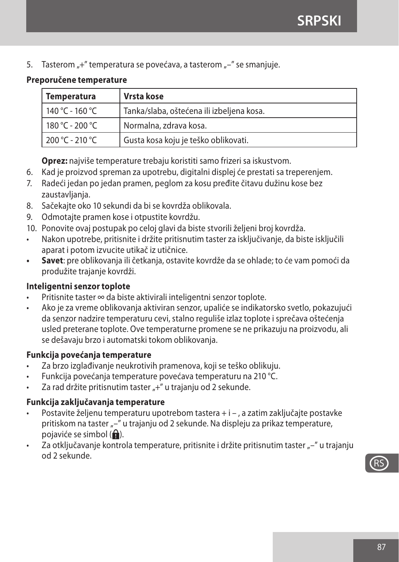5. Tasterom  $*$ +" temperatura se povećava, a tasterom  $*$ –" se smanjuje.

#### **Preporučene temperature**

| Temperatura       | Vrsta kose                                |
|-------------------|-------------------------------------------|
| 140 °C - 160 °C   | Tanka/slaba, oštećena ili izbeljena kosa. |
| 180 °C - 200 °C   | Normalna, zdrava kosa.                    |
| $200 °C - 210 °C$ | Gusta kosa koju je teško oblikovati.      |

**Oprez:** najviše temperature trebaju koristiti samo frizeri sa iskustvom.

- 6. Kad je proizvod spreman za upotrebu, digitalni displej će prestati sa treperenjem.
- 7. Radeći jedan po jedan pramen, peglom za kosu pređite čitavu dužinu kose bez zaustavljanja.
- 8. Sačekajte oko 10 sekundi da bi se kovrdža oblikovala.
- 9. Odmotajte pramen kose i otpustite kovrdžu.
- 10. Ponovite ovaj postupak po celoj glavi da biste stvorili željeni broj kovrdža.
- Nakon upotrebe, pritisnite i držite pritisnutim taster za isključivanje, da biste isključili aparat i potom izvucite utikač iz utičnice.
- **• Savet**: pre oblikovanja ili četkanja, ostavite kovrdže da se ohlade; to će vam pomoći da produžite trajanje kovrdži.

#### **Inteligentni senzor toplote**

- Pritisnite taster ∞ da biste aktivirali inteligentni senzor toplote.
- Ako je za vreme oblikovanja aktiviran senzor, upaliće se indikatorsko svetlo, pokazujući da senzor nadzire temperaturu cevi, stalno reguliše izlaz toplote i sprečava oštećenja usled preterane toplote. Ove temperaturne promene se ne prikazuju na proizvodu, ali se dešavaju brzo i automatski tokom oblikovanja.

#### **Funkcija povećanja temperature**

- Za brzo izglađivanje neukrotivih pramenova, koji se teško oblikuju.
- Funkcija povećanja temperature povećava temperaturu na 210 °C.
- Za rad držite pritisnutim taster "+" u trajanju od 2 sekunde.

#### **Funkcija zaključavanja temperature**

- Postavite željenu temperaturu upotrebom tastera + i , a zatim zaključajte postavke pritiskom na taster "-" u trajanju od 2 sekunde. Na displeju za prikaz temperature, pojaviće se simbol (**A)**.
- Za otključavanje kontrola temperature, pritisnite i držite pritisnutim taster "-" u trajanju od 2 sekunde.

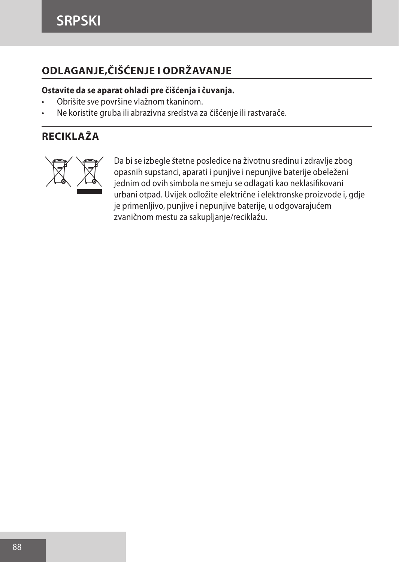# **ODLAGANJE,ČIŠĆENJE I ODRŽAVANJE**

#### **Ostavite da se aparat ohladi pre čišćenja i čuvanja.**

- Obrišite sve površine vlažnom tkaninom.
- Ne koristite gruba ili abrazivna sredstva za čišćenje ili rastvarače.

## **RECIKLAŽA**



Da bi se izbegle štetne posledice na životnu sredinu i zdravlje zbog<br>
opasnih supstanci, aparati i punjive i nepunjive baterije obeleženi<br>
jednim od ovih simbola ne smeju se odlagati kao neklasifikovani<br>
urbani otpad. Uvij opasnih supstanci, aparati i punjive i nepunjive baterije obeleženi jednim od ovih simbola ne smeju se odlagati kao neklasifikovani urbani otpad. Uvijek odložite električne i elektronske proizvode i, gdje je primenljivo, punjive i nepunjive baterije, u odgovarajućem zvaničnom mestu za sakupljanje/reciklažu.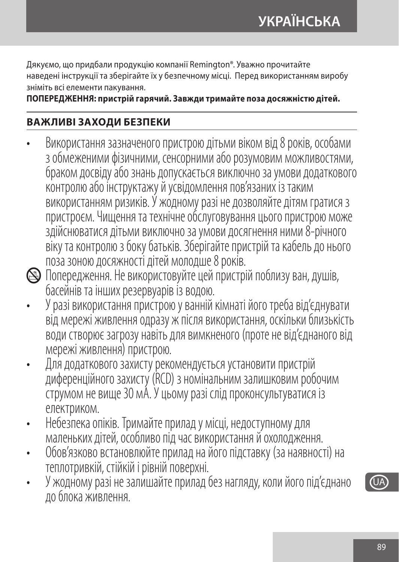Дякуємо, що придбали продукцію компанії Remington®. Уважно прочитайте наведені інструкції та зберігайте їх у безпечному місці. Перед використанням виробу зніміть всі елементи пакування.

**ПОПЕРЕДЖЕННЯ: пристрій гарячий. Завжди тримайте поза досяжністю дітей.**

# **ВАЖЛИВІ ЗАХОДИ БЕЗПЕКИ**

• Використання зазначеного пристрою дітьми віком від 8 років, особами з обмеженими фізичними, сенсорними або розумовим можливостями, браком досвіду або знань допускається виключно за умови додаткового контролю або інструктажу й усвідомлення пов'язаних із таким використанням ризиків. У жодному разі не дозволяйте дітям гратися з пристроєм. Чищення та технічне обслуговування цього пристрою може здійснюватися дітьми виключно за умови досягнення ними 8-річного віку та контролю з боку батьків. Зберігайте пристрій та кабель до нього<br>поза зоною досяжності дітей молодше 8 років.



**• Попередження. Не використовуйте цей пристрій поблизу ван, душів,** басейнів та інших резервуарів із водою.

- У разі використання пристрою у ванній кімнаті його треба від'єднувати від мережі живлення одразу ж після використання, оскільки близькість води створює загрозу навіть для вимкненого (проте не від'єднаного від мережі живлення) пристрою.
- Для додаткового захисту рекомендується установити пристрій диференційного захисту (RCD) з номінальним залишковим робочим струмом не вище 30 мА. У цьому разі слід проконсультуватися із електриком.
- Небезпека опіків. Тримайте прилад у місці, недоступному для маленьких дітей, особливо під час використання й охолодження.
- Обов'язково встановлюйте прилад на його підставку (за наявності) на теплотривкій, стійкій і рівній поверхні.
- У жодному разі не залишайте прилад без нагляду, коли його під'єднано до блока живлення.

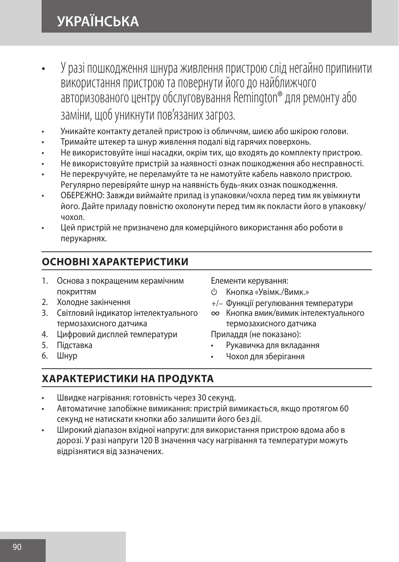# **УКРАЇНСЬКА**

- У разі пошкодження шнура живлення пристрою слід негайно припинити використання пристрою та повернути його до найближчого авторизованого центру обслуговування Remington® для ремонту або заміни, щоб уникнути пов'язаних загроз.
- Уникайте контакту деталей пристрою із обличчям, шиєю або шкірою голови.
- Тримайте штекер та шнур живлення подалі від гарячих поверхонь.
- Не використовуйте інші насадки, окрім тих, що входять до комплекту пристрою.
- Не використовуйте пристрій за наявності ознак пошкодження або несправності.
- Не перекручуйте, не переламуйте та не намотуйте кабель навколо пристрою. Регулярно перевіряйте шнур на наявність будь-яких ознак пошкодження.
- ОБЕРЕЖНО: Завжди виймайте прилад із упаковки/чохла перед тим як увімкнути його. Дайте приладу повністю охолонути перед тим як покласти його в упаковку/ чохол.
- Цей пристрій не призначено для комерційного використання або роботи в перукарнях.

### **ОСНОВНІ ХАРАКТЕРИСТИКИ**

- 1. Основа з покращеним керамічним покриттям
- 2. Холодне закінчення
- 3. Світловий індикатор інтелектуального термозахисного датчика
- 4. Цифровий дисплей температури
- 5. Підставка
- 6. Шнур

Елементи керування:

- C Кнопка «Увімк./Вимк.»
- +/– Функції регулювання температури
- ∞ Кнопка вмик/вимик інтелектуального термозахисного датчика

Приладдя (не показано):

- Рукавичка для вкладання
- Чохол для зберігання

### **ХАРАКТЕРИСТИКИ НА ПРОДУКТА**

- Швидке нагрівання: готовність через 30 секунд.
- Автоматичне запобіжне вимикання: пристрій вимикається, якщо протягом 60 секунд не натискати кнопки або залишити його без дії.
- Широкий діапазон вхідної напруги: для використання пристрою вдома або в дорозі. У разі напруги 120 В значення часу нагрівання та температури можуть відрізнятися від зазначених.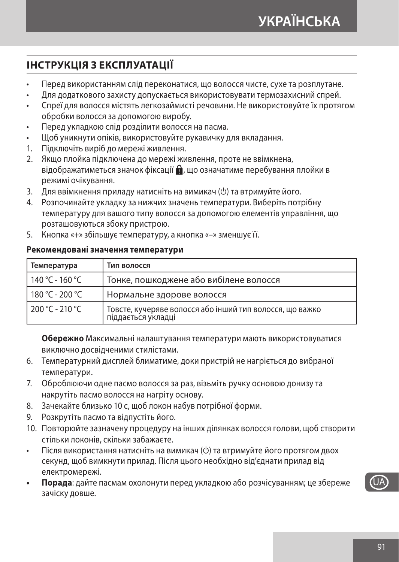### **IНСТРУКЦІЯ З ЕКСПЛУАТАЦІЇ**

- Перед використанням слід переконатися, що волосся чисте, сухе та розплутане.
- Для додаткового захисту допускається використовувати термозахисний спрей.
- Спреї для волосся містять легкозаймисті речовини. Не використовуйте їх протягом обробки волосся за допомогою виробу.
- Перед укладкою слід розділити волосся на пасма.
- Щоб уникнути опіків, використовуйте рукавичку для вкладання.
- 1. Підключіть виріб до мережі живлення.
- 2. Якщо плойка підключена до мережі живлення, проте не ввімкнена, відображатиметься значок фіксації  $\mathbf{a}$ , що означатиме перебування плойки в режимі очікування.
- 3. Для ввімкнення приладу натисніть на вимикач (C) та втримуйте його.
- 4. Розпочинайте укладку за нижчих значень температури. Виберіть потрібну температуру для вашого типу волосся за допомогою елементів управління, що розташовуються збоку пристрою.
- 5. Кнопка «+» збільшує температуру, а кнопка «–» зменшує її.

#### **Рекомендовані значення температури**

| Температура       | Тип волосся                                                                    |
|-------------------|--------------------------------------------------------------------------------|
| $140 °C - 160 °C$ | Тонке, пошкоджене або вибілене волосся                                         |
| $180 °C - 200 °C$ | Нормальне здорове волосся                                                      |
| $200 °C - 210 °C$ | Товсте, кучеряве волосся або інший тип волосся, що важко<br>піддається укладці |

**Обережно** Максимальні налаштування температури мають використовуватися виключно досвідченими стилістами.

- 6. Температурний дисплей блиматиме, доки пристрій не нагріється до вибраної температури.
- 7. Оброблюючи одне пасмо волосся за раз, візьміть ручку основою донизу та накрутіть пасмо волосся на нагріту основу.
- 8. Зачекайте близько 10 с, щоб локон набув потрібної форми.
- 9. Розкрутіть пасмо та відпустіть його.
- 10. Повторюйте зазначену процедуру на інших ділянках волосся голови, щоб створити стільки локонів, скільки забажаєте.
- Після використання натисніть на вимикач  $(\bigcup)$  та втримуйте його протягом двох секунд, щоб вимкнути прилад. Після цього необхідно від'єднати прилад від електромережі.
- **• Порада**: дайте пасмам охолонути перед укладкою або розчісуванням; це збереже зачіску довше.

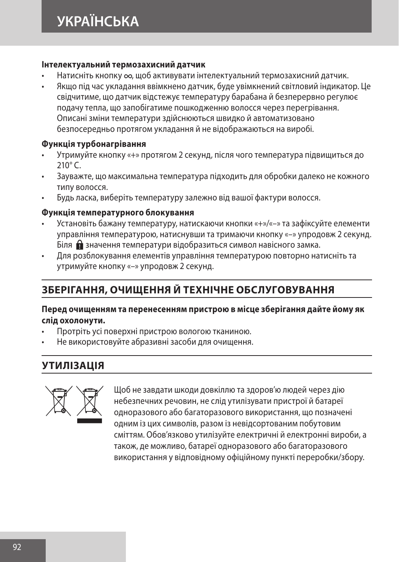#### **Інтелектуальний термозахисний датчик**

- Натисніть кнопку ∞, щоб активувати інтелектуальний термозахисний датчик.
- Якщо під час укладання ввімкнено датчик, буде увімкнений світловий індикатор. Це свідчитиме, що датчик відстежує температуру барабана й безперервно регулює подачу тепла, що запобігатиме пошкодженню волосся через перегрівання. Описані зміни температури здійснюються швидко й автоматизовано безпосередньо протягом укладання й не відображаються на виробі.

#### **Функція турбонагрівання**

- Утримуйте кнопку «+» протягом 2 секунд, після чого температура підвищиться до 210° C.
- Зауважте, що максимальна температура підходить для обробки далеко не кожного типу волосся.
- Будь ласка, виберіть температуру залежно від вашої фактури волосся.

#### **Функція температурного блокування**

- Установіть бажану температуру, натискаючи кнопки «+»/«–» та зафіксуйте елементи управління температурою, натиснувши та тримаючи кнопку «–» упродовж 2 секунд. Біля **В** значення температури відобразиться символ навісного замка.
- Для розблокування елементів управління температурою повторно натисніть та утримуйте кнопку «–» упродовж 2 секунд.

### **ЗБЕРІГАННЯ, ОЧИЩЕННЯ Й ТЕХНІЧНЕ ОБСЛУГОВУВАННЯ**

#### **Перед очищенням та перенесенням пристрою в місце зберігання дайте йому як слід охолонути.**

- Протріть усі поверхні пристрою вологою тканиною.
- Не використовуйте абразивні засоби для очищення.

#### **УТИЛІЗАЦІЯ**



Щоб не завдати шкоди довкіллю та здоров'ю людей через дію<br>
небезпечних речовин, не слід утилізувати пристрої й батареї<br>
одноразового або багаторазового використання, що позначе<br>
одним із цих символів, разом із невідсортов небезпечних речовин, не слід утилізувати пристрої й батареї одноразового або багаторазового використання, що позначені одним із цих символів, разом із невідсортованим побутовим сміттям. Обов'язково утилізуйте електричні й електронні вироби, а також, де можливо, батареї одноразового або багаторазового використання у відповідному офіційному пункті переробки/збору.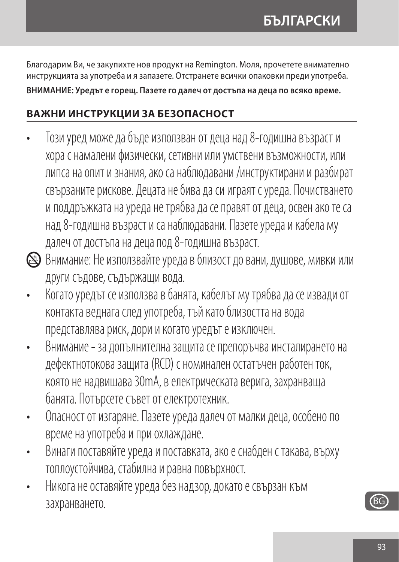Благодарим Ви, че закупихте нов продукт на Remington. Моля, прочетете внимателно инструкцията за употреба и я запазете. Отстранете всички опаковки преди употреба.

**ВНИМАНИЕ: Уредът е горещ. Пазете го далеч от достъпа на деца по всяко време.**

# **ВАЖНИ ИНСТРУКЦИИ ЗА БЕЗОПАСНОСТ**

• Този уред може да бъде използван от деца над 8-годишна възраст и хора с намалени физически, сетивни или умствени възможности, или липса на опит и знания, ако са наблюдавани /инструктирани и разбират свързаните рискове. Децата не бива да си играят с уреда. Почистването и поддръжката на уреда не трябва да се правят от деца, освен ако те са над 8-годишна възраст и са наблюдавани. Пазете уреда и кабела му далеч от достъпа на деца под 8-годишна възраст.



L Внимание: Не използвайте уреда в близост до вани, душове, мивки или други съдове, съдържащи вода.

- Когато уредът се използва в банята, кабелът му трябва да се извади от контакта веднага след употреба, тъй като близостта на вода представлява риск, дори и когато уредът е изключен.
- Внимание за допълнителна защита се препоръчва инсталирането на дефектнотокова защита (RCD) с номинален остатъчен работен ток, която не надвишава 30mA, в електрическата верига, захранваща банята. Потърсете съвет от електротехник.
- Опасност от изгаряне. Пазете уреда далеч от малки деца, особено по време на употреба и при охлаждане.
- Винаги поставяйте уреда и поставката, ако е снабден с такава, върху топлоустойчива, стабилна и равна повърхност.
- Никога не оставяйте уреда без надзор, докато е свързан към захранването.

BG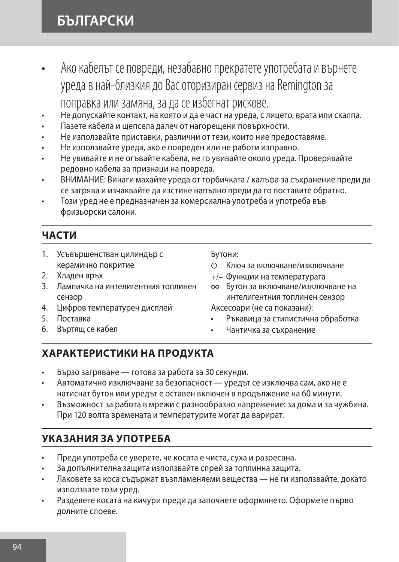- Ако кабелът се повреди, незабавно прекратете употребата и върнете уреда в най-близкия до Вас оторизиран сервиз на Remington за поправка или замяна, за да се избегнат рискове.
- Не допускайте контакт, на която и да е част на уреда, с лицето, врата или скалпа.
- Пазете кабела и щепсела далеч от нагорещени повърхности.
- Не използвайте приставки, различни от тези, които ние предоставяме.
- Не използвайте уреда, ако е повреден или не работи изправно.
- Не увивайте и не огъвайте кабела, не го увивайте около уреда. Проверявайте редовно кабела за признаци на повреда.
- ВНИМАНИЕ: Винаги махайте уреда от торбичката / калъфа за съхранение преди да се загрява и изчаквайте да изстине напълно преди да го поставите обратно.
- Този уред не е предназначен за комерсиална употреба и употреба във фризьорски салони.

#### **ЧАСТИ**

- 1. Усъвършенстван цилиндър с керамично покритие
- 2. Хладен връх
- 3. Лампичка на интелигентния топлинен сензор
- 4. Цифров температурен дисплей
- 5. Поставка
- 6. Въртящ се кабел

Бутони:

- C Ключ за включване/изключване
- +/– Функции на температурата
- ∞ Бутон за включване/изключване на интелигентния топлинен сензор

Аксесоари (не са показани):

- Ръкавица за стилистична обработка
- Чантичка за съхранение

### **ХАРАКТЕРИСТИКИ НА ПРОДУКТА**

- Бързо загряване готова за работа за 30 секунди.
- Автоматично изключване за безопасност уредът се изключва сам, ако не е натиснат бутон или уредът е оставен включен в продължение на 60 минути.
- Възможност за работа в мрежи с разнообразно напрежение: за дома и за чужбина. При 120 волта времената и температурите могат да варират.

#### **УКАЗАНИЯ ЗА УПОТРЕБА**

- Преди употреба се уверете, че косата е чиста, суха и разресана.
- За допълнителна защита използвайте спрей за топлинна защита.
- Лаковете за коса съдържат възпламеняеми вещества не ги използвайте, докато използвате този уред.
- Разделете косата на кичури преди да започнете оформянето. Оформете първо долните слоеве.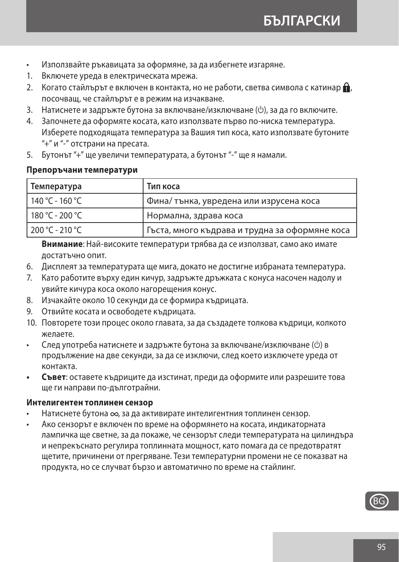- Използвайте ръкавицата за оформяне, за да избегнете изгаряне.
- 1. Включете уреда в електрическата мрежа.
- 2. Когато стайлърът е включен в контакта, но не работи, светва символа с катинар  $\mathbf{\hat{m}}$ . посочващ, че стайлърът е в режим на изчакване.
- 3. Натиснете и залръжте бутона за включване/изключване  $(c^i)$ , за да го включите.
- 4. Започнете да оформяте косата, като използвате първо по-ниска температура. Изберете подходящата температура за Вашия тип коса, като използвате бутоните "+" и "-" отстрани на пресата.
- 5. Бутонът "+" ще увеличи температурата, а бутонът "-" ще я намали.

#### **Препоръчани температури**

| Температура       | Тип коса                                       |
|-------------------|------------------------------------------------|
| $140 °C - 160 °C$ | Фина/тънка, увредена или изрусена коса         |
| $180 °C - 200 °C$ | Нормална, здрава коса                          |
| $200 °C - 210 °C$ | Гъста, много къдрава и трудна за оформяне коса |

**Внимание**: Най-високите температури трябва да се използват, само ако имате достатъчно опит.

- 6. Дисплеят за температурата ще мига, докато не достигне избраната температура.
- 7. Като работите върху един кичур, задръжте дръжката с конуса насочен надолу и увийте кичура коса около нагорещения конус.
- 8. Изчакайте около 10 секунди да се формира къдрицата.
- 9. Отвийте косата и освободете къдрицата.
- 10. Повторете този процес около главата, за да създадете толкова къдрици, колкото желаете.
- След употреба натиснете и задръжте бутона за включване/изключване ( $\uplus$ ) в продължение на две секунди, за да се изключи, след което изключете уреда от контакта.
- **• Съвет**: оставете къдриците да изстинат, преди да оформите или разрешите това ще ги направи по-дълготрайни.

#### **Интелигентен топлинен сензор**

- Натиснете бутона ∞, за да активирате интелигентния топлинен сензор.
- Ако сензорът е включен по време на оформянето на косата, индикаторната лампичка ще светне, за да покаже, че сензорът следи температурата на цилиндъра и непрекъснато регулира топлинната мощност, като помага да се предотвратят щетите, причинени от прегряване. Тези температурни промени не се показват на продукта, но се случват бързо и автоматично по време на стайлинг.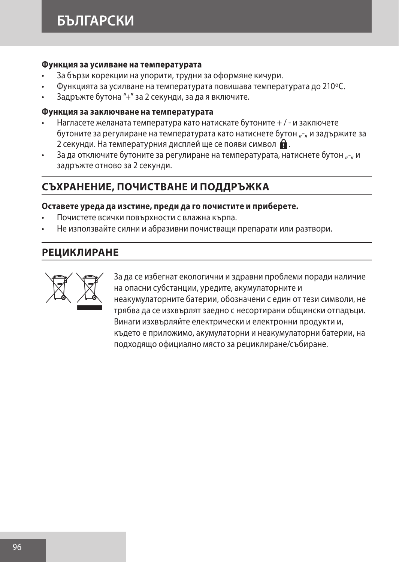#### **Функция за усилване на температурата**

- За бързи корекции на упорити, трудни за оформяне кичури.
- Функцията за усилване на температурата повишава температурата до 210ºС.
- Задръжте бутона "+" за 2 секунди, за да я включите.

#### **Функция за заключване на температурата**

- Нагласете желаната температура като натискате бутоните + / и заключете бутоните за регулиране на температурата като натиснете бутон "- "и задържите за 2 секунди. На температурния дисплей ше се появи символ  $\blacksquare$ .
- За да отключите бутоните за регулиране на температурата, натиснете бутон "-, и задръжте отново за 2 секунди.

#### **СЪХРАНЕНИЕ, ПОЧИСТВАНЕ И ПОДДРЪЖКА**

#### **Оставете уреда да изстине, преди да го почистите и приберете.**

- Почистете всички повърхности с влажна кърпа.
- Не използвайте силни и абразивни почистващи препарати или разтвори.

#### **РЕЦИКЛИРАНЕ**



За да се избегнат екологични и здравни проблеми поради наличие<br>
на опасни субстанции, уредите, акумулаторните и<br>
трябва да се изхвърлят заедно с несортирани общински отпадъци.<br>
Винаги изхвърляйте електрически и електронни на опасни субстанции, уредите, акумулаторните и неакумулаторните батерии, обозначени с един от тези символи, не Винаги изхвърляйте електрически и електронни продукти и, където е приложимо, акумулаторни и неакумулаторни батерии, на подходящо официално място за рециклиране/събиране.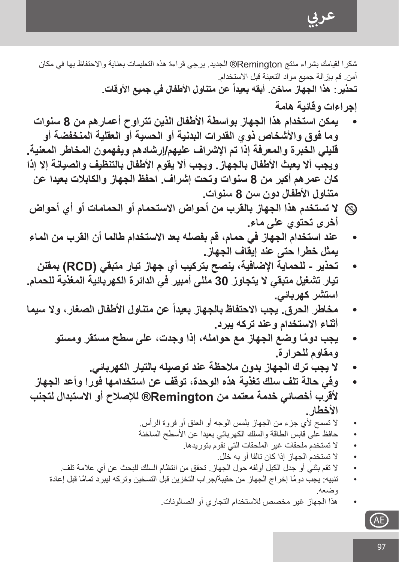**عريب**

شكرا لقيامك بشراء منتج Remington ®الجديد. يرجى قراءة هذه التعليمات بعناية واالحتفاظ بها في مكان آمن. قم بإزالة جميع مواد التعبئة قبل االستخدام. تحذير <u>:</u> هذا الجهاز ساخن. أبقه بعيدا عن متناول الأطفال في جميع الأوقات.

**إجراءات وقائية هامة**

- **يمكن استخدام هذا الجهاز بواسطة األطفال الذين تتراوح أعمارهم من 8 سنوات وما فوق واألشخاص ذوي القدرات البدنية أو الحسية أو العقلية المنخفضة أو قليلي الخبرة والمعرفة إذا تم اإلشراف عليهم/إرشادهم ويفهمون المخاطر المعنية. ويجب أال يعبث األطفال بالجهاز. ويجب أال يقوم األطفال بالتنظيف والصيانة إال إذا كان عمرهم أكبر من 8 سنوات وتحت إشراف. احفظ الجهاز والكابالت بعيدا عن متناول األطفال دون سن 8 سنوات.**
- L **ال تستخدم هذا الجهاز بالقرب من أحواض االستحمام أو الحمامات أو أي أحواض أخرى تحتوي على ماء.**
- **عند استخدام الجهاز في حمام، قم بفصله بعد االستخدام طالما أن القرب من الماء يمثل خطرا حتى عند إيقاف الجهاز.**
- **تحذير للحماية اإلضافية، ينصح بتركيب أي جهاز تيار متبقي )RCD )بمقنن تيار تشغيل متبقي ال يتجاوز 30 مللى أمبير في الدائرة الكهربائية المغذية للحمام. استشر كهربائي.**
- **ً عن متناول األطفال الصغار، وال سيما مخاطر الحرق. يجب االحتفاظ بالجهاز بعيدا أثناء االستخدام وعند تركه يبرد.**
	- **ً يجب دوما وضع الجهاز مع حوامله، إذا وجدت، على سطح مستقر ومستو ومقاوم للحرارة.**
		- **ال يجب ترك الجهاز بدون مالحظة عند توصيله بالتيار الكهربائي.**
	- **وفي حالة تلف سلك تغذية هذه الوحدة، توقف عن استخدامها فورا وأعد الجهاز ألقرب أخصائي خدمة معتمد من Remington ®لإلصالح أو االستبدال لتجنب األخطار.**
		- ال تسمح ألي جزء من الجهاز بلمس الوجه أو العنق أو فروة الرأس.
		- حافظ على قابس الطاقة والسلك الكهربائي بعيدا عن األسطح الساخنة
			- ال تستخدم ملحقات غير الملحقات التي نقوم بتوريدها.
				- ال تستخدم الجهاز إذا كان تالفا أو به خلل.
		- ال تقم بثني أو جدل الكبل أولفه حول الجهاز. تحقق من انتظام السلك للبحث عن أي عالمة تلف.
		- ُ تنبيه: يجب دوم ً ا إخراج الجهاز من حقيبة/جراب التخزين قبل التسخين وتركه ليبرد تماما قبل إعادة وضعه.
			- هذا الجهاز غير مخصص لالستخدام التجاري أو الصالونات.

97 AE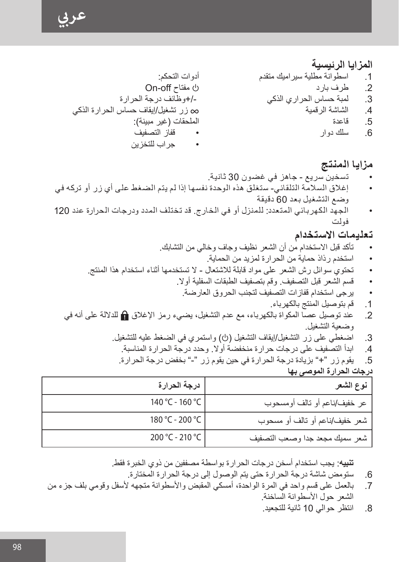**عريب**

**المزايا الرئيسية** . اسطوانة مطلية سيراميك متقدم . طرف بارد . لمبة حساس الحراري الذكي . الشاشة الرقمية . قاعدة . سلك دوار أدوات التحكم: On-off مفتاح C +/-وظائف درجة الحرارة oo زر تشغيل/إيقاف حساس الحرارة الذكي<br>الملحقات (غير مبينة):

#### **مزايا المنتج**

- تسخين سريع جاهز في غضون 30 ثانية.
- إغالق السالمة التلقائي- ستغلق هذه الوحدة نفسها إذا لم يتم الضغط على أي زر أو تركه في وضع التشغيل بعد 60 دقيقة

 قفاز التصفيف جراب للتخزين

 الجهد الكهربائي المتعدد: للمنزل أو في الخارج. قد تختلف المدد ودرجات الحرارة عند 120 فولت

#### **تعليمات االستخدام**

- تأكد قبل االستخدام من أن الشعر نظيف وجاف وخالي من التشابك.
	- استخدم رذاذ حماية من الحرارة لمزيد من الحماية.
- تحتوي سوائل رش الشعر على مواد قابلة لالشتعال ال تستخدمها أثناء استخدام هذا المنتج.
	- قسم الشعر قبل التصفيف. وقم بتصفيف الطبقات السفلية أوال.
		- يرجى استخدام قفازات التصفيف لتجنب الحروق العارضة.
			- 1. قم بتوصيل المنتج بالكهرباء.<br>2. عند توصيل عصبا المكواة بالذ
- . عند توصيل عصا المكواة بالكهرباء، مع عدم التشغيل، يضيء رمز اإلغالق B للداللة على أنه في وضعية التشغيل.
	- 3. اضغطي على زر التشغيل/إيقاف التشغيل (ن) واستمر ي في الضغط عليه للتشغيل.
		- . ابدأ التصفيف على درجات حرارة منخفضة أوال. وحدد درجة الحرارة المناسبة.
		- . يقوم زر "+" بزيادة درجة الحرارة في حين يقوم زر "-" بخفض درجة الحرارة.

#### **درجات الحرارة الموصى بها**

| نوع الشعر                      | درجة الحرارة    |
|--------------------------------|-----------------|
| عر خفيف/ناعم أو تالف أومسحوب   | 140 °C - 160 °C |
| شعر خفيف/ناعم أو تالف أو مسحوب | 180 °C - 200 °C |
| شعر سميك مجعد جدا وصعب التصفيف | 200 °C - 210 °C |

**تنبيه**: يجب استخدام أسخن درجات الحرارة بواسطة مصففين من ذوي الخبرة فقط.

- . ستومض شاشة درجة الحرارة حتى يتم الوصول إلى درجة الحرارة المختارة.
- 7. بالعمل على قسم واحد في المرة الواحدة، أمسكي المقبض والأسطوانة متجهه لأسفل وقومي بلف جزء من الشعر حول الأسطوانة الساخنة.
	- . انتظر حوالي 10 ثانية للتجعيد.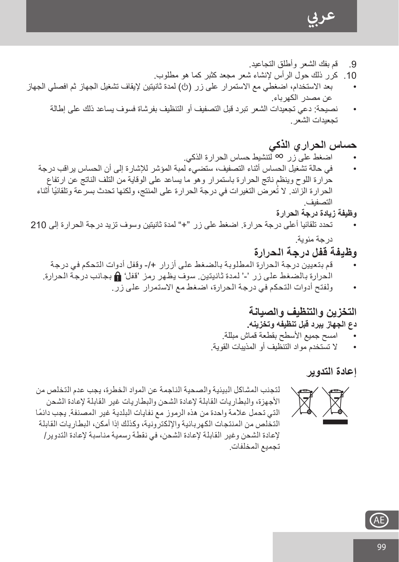**عريب**

- . قم بفك الشعر وأطلق التجاعيد.
- 10.كرر ذلك حول الرأس إلنشاء شعر مجعد كثبر كما هو مطلوب.
- بعد االستخدام، اضغطي مع االستمرار على زر )C )لمدة ثانيتين إليقاف تشغيل الجهاز ثم افصلي الجهاز عن مصدر الكهرباء.
	- نصيحة: دعي تجعيدات الشعر تبرد قبل التصفيف أو التنظيف بفرشاة فسوف يساعد ذلك على إطالة تجعيدات الشعر.

#### **حساس الحراري الذكي**

- اضغط على زر ∞ لتنشيط حساس الحرارة الذكي.
- في حالة تشغيل الحساس أثناء التصفيف، ستضيء لمبة المؤشر لإلشارة إلى أن الحساس يراقب درجة حرارة اللوح وينظم ناتج الحرارة باستمرار وهو ما يساعد على الوقاية من التلف الناتج عن ارتفاع الحرارة الزائد. لا تُعرض التغيرات في درجة الحرارة على المنتج، ولكنها تحدث بسرعة وتلقائيًا أثناء التصفيف.

**وظيفة زيادة درجة الحرارة** 

 تحدد تلقائيا أعلى درجة حرارة. اضغط على زر "+" لمدة ثانيتين وسوف تزيد درجة الحرارة إلى 210 درجة مئوية.

#### **وظيفة قفل درجة الحرارة**

- قم بتعيين درجة الحرارة المطلوبة بالضغط على أزرار -/+ وقفل أدوات التحكم في درجة الحرارة بالضغط على زر '-' لمدة ثانيتين. سوف يظهر رمز 'قفل' B بجانب درجة الحرارة.
	- ولفتح أدوات التحكم في درجة الحرارة، اضغط مع االستمرار على زر.

#### **التخزين والتنظيف والصيانة**

#### **دع الجهاز يبرد قبل تنظيفه وتخزينه.**

- امسح جميع األسطح بقطعة قماش مبللة.
- ال تستخدم مواد التنظيف أو المذيبات القوية.

**إعادة التدوير**



لتجنب المشاكل البيئية والصحية الناجمة عن المواد الخطرة، يجب عدم التخلص من<br>التجنب المشاكل البيئية لإعادة الشحن والمساهر التجنب المساهرة، يتم المصنفة، يجب التجنب التخلص من Willing الشحن<br>التخلص من المنتجات الكهربانية والإلكت األجهزة، والبطاريات القابلة إلعادة الشحن والبطاريات غير القابلة إلعادة الشحن ً التي تحمل عالمة واحدة من هذه الرموز مع نفايات البلدية غير المصنفة. يجب دائما التخلص من المنتجات الكهربائية واإللكترونية، وكذلك إذا أمكن، البطاريات القابلة إلعادة الشحن وغير القابلة إلعادة الشحن، في نقطة رسمية مناسبة إلعادة التدوير/ تجميع المخلفات.